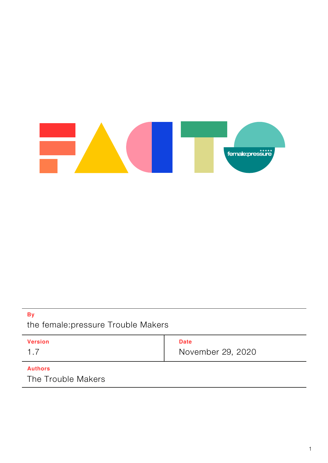

### **By**

the female:pressure Trouble Makers

| <b>Version</b> | <b>Date</b>       |
|----------------|-------------------|
|                | November 29, 2020 |

### **Authors**

The Trouble Makers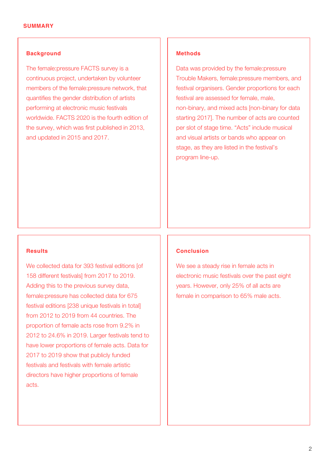#### **Background**

The female:pressure FACTS survey is a continuous project, undertaken by volunteer members of the female:pressure network, that quantifies the gender distribution of artists performing at electronic music festivals worldwide. FACTS 2020 is the fourth edition of the survey, which was first published in 2013, and updated in 2015 and 2017.

#### **Results**

We collected data for 393 festival editions [of 158 different festivals] from 2017 to 2019. Adding this to the previous survey data, female:pressure has collected data for 675 festival editions [238 unique festivals in total] from 2012 to 2019 from 44 countries. The proportion of female acts rose from 9.2% in 2012 to 24.6% in 2019. Larger festivals tend to have lower proportions of female acts. Data for 2017 to 2019 show that publicly funded festivals and festivals with female artistic directors have higher proportions of female acts.

#### **Methods**

Data was provided by the female:pressure Trouble Makers, female:pressure members, and festival organisers. Gender proportions for each festival are assessed for female, male, non-binary, and mixed acts [non-binary for data starting 2017]. The number of acts are counted per slot of stage time. "Acts" include musical and visual artists or bands who appear on stage, as they are listed in the festival's program line-up.

#### **Conclusion**

We see a steady rise in female acts in electronic music festivals over the past eight years. However, only 25% of all acts are female in comparison to 65% male acts.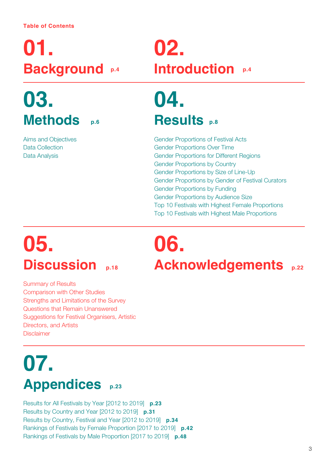# **01. [Background](#page-3-0) [p.4](#page-3-0)**

# **03. [Methods](#page-5-0) [p.6](#page-5-0)**

Aims and Objectives Data Collection Data Analysis

## **02. [Introduction](#page-3-0) [p.4](#page-3-0)**

## **04. [Results](#page-7-0) [p.8](#page-7-0)**

Gender Proportions of Festival Acts Gender Proportions Over Time Gender Proportions for Different Regions Gender Proportions by Country Gender Proportions by Size of Line-Up Gender Proportions by Gender of Festival Curators Gender Proportions by Funding Gender Proportions by Audience Size Top 10 Festivals with Highest Female Proportions Top 10 Festivals with Highest Male Proportions

# **05. [Discussion](#page-17-0) [p.18](#page-17-0)**

Summary of Results Comparison with Other Studies Strengths and Limitations of the Survey Questions that Remain Unanswered Suggestions for Festival Organisers, Artistic Directors, and Artists Disclaimer

# **06. [Acknowledgements](#page-21-0) [p.22](#page-21-0)**

## **07. [Appendices](#page-22-0) p.23**

[Results for All Festivals by Year \[2012 to 2019\]](#page-22-0) **p.23** [Results by Country and Year \[2012 to 2019\]](#page-30-0) **p.31** [Results by Country, Festival and Year \[2012 to 2019\]](#page-33-0) **p.34** [Rankings of Festivals by Female Proportion \[2017 to 2019\]](#page-41-0) **p.42** [Rankings of Festivals by Male Proportion \[2017 to 2019\]](#page-47-0) **p.48**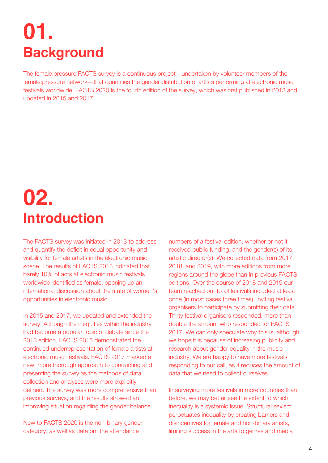## <span id="page-3-0"></span>**01. Background**

The female:pressure FACTS survey is a continuous project—undertaken by volunteer members of the female:pressure network—that quantifies the gender distribution of artists performing at electronic music festivals worldwide. FACTS 2020 is the fourth edition of the survey, which was first published in 2013 and updated in 2015 and 2017.

## **02. Introduction**

The FACTS survey was initiated in 2013 to address and quantify the deficit in equal opportunity and visibility for female artists in the electronic music scene. The results of FACTS 2013 indicated that barely 10% of acts at electronic music festivals worldwide identified as female, opening up an international discussion about the state of women's opportunities in electronic music.

In 2015 and 2017, we updated and extended the survey. Although the inequities within the industry had become a popular topic of debate since the 2013 edition, FACTS 2015 demonstrated the continued underrepresentation of female artists at electronic music festivals. FACTS 2017 marked a new, more thorough approach to conducting and presenting the survey as the methods of data collection and analyses were more explicitly defined. The survey was more comprehensive than previous surveys, and the results showed an improving situation regarding the gender balance.

New to FACTS 2020 is the non-binary gender category, as well as data on: the attendance

numbers of a festival edition, whether or not it received public funding, and the gender(s) of its artistic director(s). We collected data from 2017, 2018, and 2019, with more editions from more regions around the globe than in previous FACTS editions. Over the course of 2018 and 2019 our team reached out to all festivals included at least once (in most cases three times), inviting festival organisers to participate by submitting their data. Thirty festival organisers responded, more than double the amount who responded for FACTS 2017. We can only speculate why this is, although we hope it is because of increasing publicity and research about gender equality in the music industry. We are happy to have more festivals responding to our call, as it reduces the amount of data that we need to collect ourselves.

In surveying more festivals in more countries than before, we may better see the extent to which inequality is a systemic issue. Structural sexism perpetuates inequality by creating barriers and disincentives for female and non-binary artists, limiting success in the arts to genres and media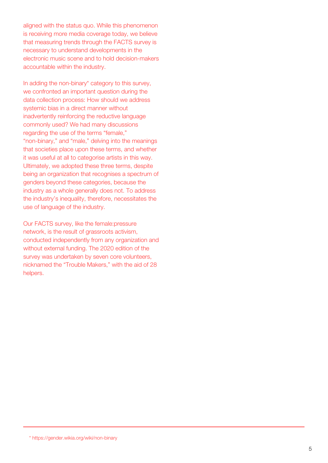aligned with the status quo. While this phenomenon is receiving more media coverage today, we believe that measuring trends through the FACTS survey is necessary to understand developments in the electronic music scene and to hold decision-makers accountable within the industry.

In adding the non-binary\* category to this survey, we confronted an important question during the data collection process: How should we address systemic bias in a direct manner without inadvertently reinforcing the reductive language commonly used? We had many discussions regarding the use of the terms "female," "non-binary," and "male," delving into the meanings that societies place upon these terms, and whether it was useful at all to categorise artists in this way. Ultimately, we adopted these three terms, despite being an organization that recognises a spectrum of genders beyond these categories, because the industry as a whole generally does not. To address the industry's inequality, therefore, necessitates the use of language of the industry.

Our FACTS survey, like the female:pressure network, is the result of grassroots activism, conducted independently from any organization and without external funding. The 2020 edition of the survey was undertaken by seven core volunteers, nicknamed the "Trouble Makers," with the aid of 28 helpers.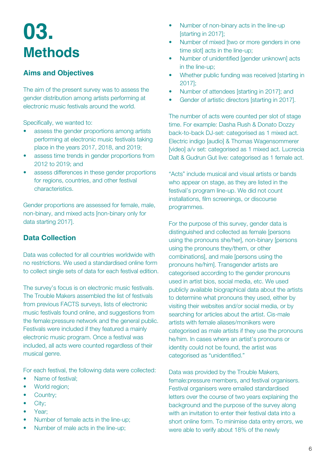## <span id="page-5-0"></span>**03. Methods**

## **Aims and Objectives**

The aim of the present survey was to assess the gender distribution among artists performing at electronic music festivals around the world.

Specifically, we wanted to:

- assess the gender proportions among artists performing at electronic music festivals taking place in the years 2017, 2018, and 2019;
- assess time trends in gender proportions from 2012 to 2019; and
- assess differences in these gender proportions for regions, countries, and other festival characteristics.

Gender proportions are assessed for female, male, non-binary, and mixed acts [non-binary only for data starting 2017].

## **Data Collection**

Data was collected for all countries worldwide with no restrictions. We used a standardised online form to collect single sets of data for each festival edition.

The survey's focus is on electronic music festivals. The Trouble Makers assembled the list of festivals from previous FACTS surveys, lists of electronic music festivals found online, and suggestions from the female:pressure network and the general public. Festivals were included if they featured a mainly electronic music program. Once a festival was included, all acts were counted regardless of their musical genre.

For each festival, the following data were collected:

- Name of festival;
- World region;
- Country;
- City;
- Year;
- Number of female acts in the line-up;
- Number of male acts in the line-up;
- Number of non-binary acts in the line-up [starting in 2017];
- Number of mixed [two or more genders in one time slot] acts in the line-up;
- Number of unidentified [gender unknown] acts in the line-up;
- Whether public funding was received [starting in 2017];
- Number of attendees [starting in 2017]; and
- Gender of artistic directors [starting in 2017].

The number of acts were counted per slot of stage time. For example: Dasha Rush & Donato Dozzy back-to-back DJ-set: categorised as 1 mixed act. Electric indigo [audio] & Thomas Wagensommerer [video] a/v set: categorised as 1 mixed act. Lucrecia Dalt & Gudrun Gut live: categorised as 1 female act.

"Acts" include musical and visual artists or bands who appear on stage, as they are listed in the festival's program line-up. We did not count installations, film screenings, or discourse programmes.

For the purpose of this survey, gender data is distinguished and collected as female [persons using the pronouns she/her], non-binary [persons using the pronouns they/them, or other combinations], and male [persons using the pronouns he/him]. Transgender artists are categorised according to the gender pronouns used in artist bios, social media, etc. We used publicly available biographical data about the artists to determine what pronouns they used, either by visiting their websites and/or social media, or by searching for articles about the artist. Cis-male artists with female aliases/monikers were categorised as male artists if they use the pronouns he/him. In cases where an artist's pronouns or identity could not be found, the artist was categorised as "unidentified."

Data was provided by the Trouble Makers, female:pressure members, and festival organisers. Festival organisers were emailed standardised letters over the course of two years explaining the background and the purpose of the survey along with an invitation to enter their festival data into a short online form. To minimise data entry errors, we were able to verify about 18% of the newly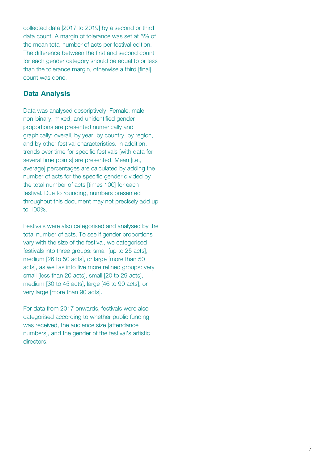collected data [2017 to 2019] by a second or third data count. A margin of tolerance was set at 5% of the mean total number of acts per festival edition. The difference between the first and second count for each gender category should be equal to or less than the tolerance margin, otherwise a third [final] count was done.

## **Data Analysis**

Data was analysed descriptively. Female, male, non-binary, mixed, and unidentified gender proportions are presented numerically and graphically: overall, by year, by country, by region, and by other festival characteristics. In addition, trends over time for specific festivals [with data for several time points] are presented. Mean [i.e., average] percentages are calculated by adding the number of acts for the specific gender divided by the total number of acts [times 100] for each festival. Due to rounding, numbers presented throughout this document may not precisely add up to 100%.

Festivals were also categorised and analysed by the total number of acts. To see if gender proportions vary with the size of the festival, we categorised festivals into three groups: small [up to 25 acts], medium [26 to 50 acts], or large [more than 50 acts], as well as into five more refined groups: very small [less than 20 acts], small [20 to 29 acts], medium [30 to 45 acts], large [46 to 90 acts], or very large [more than 90 acts].

For data from 2017 onwards, festivals were also categorised according to whether public funding was received, the audience size [attendance numbers], and the gender of the festival's artistic directors.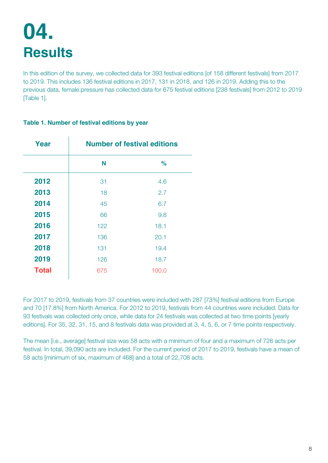## <span id="page-7-0"></span>**04. Results**

In this edition of the survey, we collected data for 393 festival editions [of 158 different festivals] from 2017 to 2019. This includes 136 festival editions in 2017, 131 in 2018, and 126 in 2019. Adding this to the previous data, female:pressure has collected data for 675 festival editions [238 festivals] from 2012 to 2019 [Table 1].

| Year         |     | <b>Number of festival editions</b> |
|--------------|-----|------------------------------------|
|              | N   | %                                  |
| 2012         | 31  | 4.6                                |
| 2013         | 18  | 2.7                                |
| 2014         | 45  | 6.7                                |
| 2015         | 66  | 9.8                                |
| 2016         | 122 | 18.1                               |
| 2017         | 136 | 20.1                               |
| 2018         | 131 | 19.4                               |
| 2019         | 126 | 18.7                               |
| <b>Total</b> | 675 | 100.0                              |

#### **Table 1. Number of festival editions by year**

For 2017 to 2019, festivals from 37 countries were included with 287 [73%] festival editions from Europe and 70 [17.8%] from North America. For 2012 to 2019, festivals from 44 countries were included. Data for 93 festivals was collected only once, while data for 24 festivals was collected at two time points [yearly editions]. For 35, 32, 31, 15, and 8 festivals data was provided at 3, 4, 5, 6, or 7 time points respectively.

The mean [i.e., average] festival size was 58 acts with a minimum of four and a maximum of 726 acts per festival. In total, 39,090 acts are included. For the current period of 2017 to 2019, festivals have a mean of 58 acts [minimum of six, maximum of 468] and a total of 22,708 acts.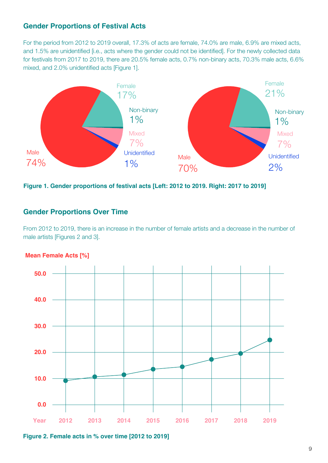### **Gender Proportions of Festival Acts**

For the period from 2012 to 2019 overall, 17.3% of acts are female, 74.0% are male, 6.9% are mixed acts, and 1.5% are unidentified [i.e., acts where the gender could not be identified]. For the newly collected data for festivals from 2017 to 2019, there are 20.5% female acts, 0.7% non-binary acts, 70.3% male acts, 6.6% mixed, and 2.0% unidentified acts [Figure 1].



**Figure 1. Gender proportions of festival acts [Left: 2012 to 2019. Right: 2017 to 2019]**

### **Gender Proportions Over Time**

From 2012 to 2019, there is an increase in the number of female artists and a decrease in the number of male artists [Figures 2 and 3].



#### **Mean Female Acts [%]**

**Figure 2. Female acts in % over time [2012 to 2019]**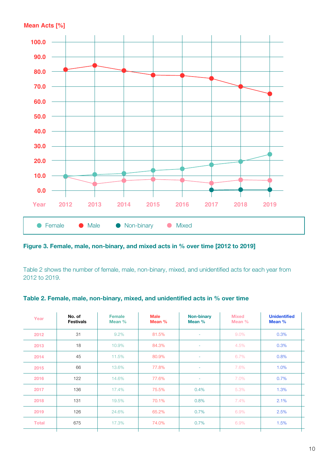

**Figure 3. Female, male, non-binary, and mixed acts in % over time [2012 to 2019]**

Table 2 shows the number of female, male, non-binary, mixed, and unidentified acts for each year from 2012 to 2019.

#### **Table 2. Female, male, non-binary, mixed, and unidentified acts in % over time**

| Year         | No. of<br><b>Festivals</b> | <b>Female</b><br>Mean % | <b>Male</b><br>Mean % | <b>Non-binary</b><br>Mean % | <b>Mixed</b><br>Mean % | <b>Unidentified</b><br>Mean % |
|--------------|----------------------------|-------------------------|-----------------------|-----------------------------|------------------------|-------------------------------|
| 2012         | 31                         | 9.2%                    | 81.5%                 | ٠                           | $9.0\%$                | 0.3%                          |
| 2013         | 18                         | 10.9%                   | 84.3%                 | ٠                           | 4.5%                   | 0.3%                          |
| 2014         | 45                         | 11.5%                   | 80.9%                 | ٠                           | 6.7%                   | 0.8%                          |
| 2015         | 66                         | 13.6%                   | 77.8%                 | ٠                           | 7.6%                   | 1.0%                          |
| 2016         | 122                        | 14.6%                   | 77.6%                 | ۰                           | 7.0%                   | 0.7%                          |
| 2017         | 136                        | 17.4%                   | 75.5%                 | 0.4%                        | 5.3%                   | 1.3%                          |
| 2018         | 131                        | 19.5%                   | 70.1%                 | 0.8%                        | 7.4%                   | 2.1%                          |
| 2019         | 126                        | 24.6%                   | 65.2%                 | 0.7%                        | 6.9%                   | 2.5%                          |
| <b>Total</b> | 675                        | 17.3%                   | 74.0%                 | 0.7%                        | 6.9%                   | 1.5%                          |
|              |                            |                         |                       |                             |                        |                               |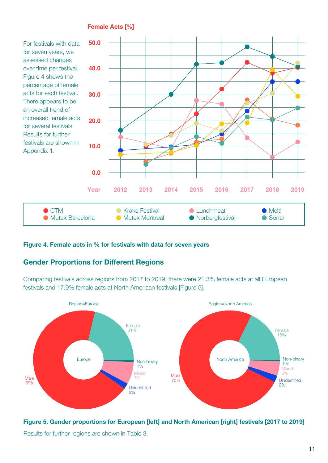

#### **Figure 4. Female acts in % for festivals with data for seven years**

### **Gender Proportions for Different Regions**

Comparing festivals across regions from 2017 to 2019, there were 21.3% female acts at all European festivals and 17.9% female acts at North American festivals [Figure 5].



**Figure 5. Gender proportions for European [left] and North American [right] festivals [2017 to 2019]** Results for further regions are shown in Table 3.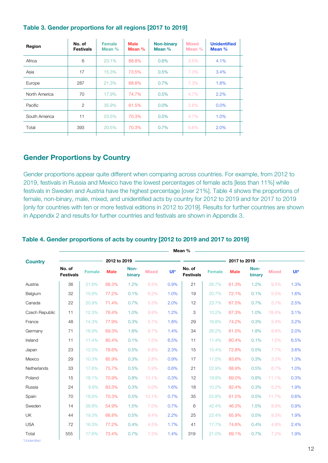| Region        | No. of<br><b>Festivals</b> | <b>Female</b><br>Mean $%$ | <b>Male</b><br>Mean $%$ | <b>Non-binary</b><br>Mean $%$ | <b>Mixed</b><br>Mean $%$ | <b>Unidentified</b><br>Mean % |
|---------------|----------------------------|---------------------------|-------------------------|-------------------------------|--------------------------|-------------------------------|
| Africa        | 6                          | 23.1%                     | 68.8%                   | 0.6%                          | 3.5%                     | 4.1%                          |
| Asia          | 17                         | 15.3%                     | 73.5%                   | 0.5%                          | 7.3%                     | 3.4%                          |
| Europe        | 287                        | 21.3%                     | 68.8%                   | 0.7%                          | 7.3%                     | 1.8%                          |
| North America | 70                         | 17.9%                     | 74.7%                   | 0.5%                          | 4.7%                     | 2.2%                          |
| Pacific       | $\overline{2}$             | 35.9%                     | 61.5%                   | $0.0\%$                       | 2.6%                     | $0.0\%$                       |
| South America | 11                         | 23.5%                     | 70.3%                   | 0.5%                          | 4.7%                     | 1.0%                          |
| Total         | 393                        | 20.5%                     | 70.3%                   | $0.7\%$                       | 6.6%                     | 2.0%                          |
|               |                            |                           |                         |                               |                          |                               |

#### **Table 3. Gender proportions for all regions [2017 to 2019]**

### **Gender Proportions by Country**

Gender proportions appear quite different when comparing across countries. For example, from 2012 to 2019, festivals in Russia and Mexico have the lowest percentages of female acts [less than 11%] while festivals in Sweden and Austria have the highest percentage [over 21%]. Table 4 shows the proportions of female, non-binary, male, mixed, and unidentified acts by country for 2012 to 2019 and for 2017 to 2019 [only for countries with ten or more festival editions in 2012 to 2019]. Results for further countries are shown in Appendix 2 and results for further countries and festivals are shown in Appendix 3.

**Mean %**

|                        |                            |               |              |                |              |      | <b>Mean</b> %              |               |              |                |              |       |
|------------------------|----------------------------|---------------|--------------|----------------|--------------|------|----------------------------|---------------|--------------|----------------|--------------|-------|
| <b>Country</b>         |                            |               | 2012 to 2019 |                |              |      |                            |               | 2017 to 2019 |                |              |       |
|                        | No. of<br><b>Festivals</b> | <b>Female</b> | <b>Male</b>  | Non-<br>binary | <b>Mixed</b> | UI*  | No. of<br><b>Festivals</b> | <b>Female</b> | <b>Male</b>  | Non-<br>binary | <b>Mixed</b> | $UI*$ |
| Austria                | 36                         | 21.6%         | 68.3%        | 1.2%           | 8.5%         | 0.9% | 21                         | 26.7%         | 61.3%        | 1.2%           | 9.5%         | 1.3%  |
| Belgium                | 32                         | 15.6%         | 77.2%        | 0.1%           | 6.2%         | 1.0% | 19                         | 20.7%         | 72.1%        | 0.1%           | 5.5%         | 1.6%  |
| Canada                 | 22                         | 20.9%         | 71.4%        | 0.7%           | 5.3%         | 2.0% | 12                         | 23.7%         | 67.5%        | 0.7%           | 5.7%         | 2.5%  |
| Czech Republic         | 11                         | 12.3%         | 76.4%        | 1.0%           | 9.8%         | 1.2% | 3                          | 10.2%         | 67.3%        | 1.0%           | 18.4%        | 3.1%  |
| France                 | 48                         | 14.3%         | 77.9%        | 0.3%           | 5.7%         | 1.8% | 29                         | 16.8%         | 74.2%        | 0.3%           | 5.4%         | 3.2%  |
| Germany                | 71                         | 18.9%         | 69.3%        | 1.8%           | 9.7%         | 1.4% | 34                         | 26.2%         | 61.5%        | 1.8%           | 8.6%         | 2.0%  |
| Ireland                | 11                         | 11.4%         | 80.4%        | 0.1%           | 1.5%         | 6.5% | 11                         | 11.4%         | 80.4%        | 0.1%           | 1.5%         | 6.5%  |
| Japan                  | 23                         | 12.0%         | 78.6%        | 0.5%           | 6.8%         | 2.3% | 15                         | 15.4%         | 72.8%        | 0.5%           | 7.7%         | 3.6%  |
| Mexico                 | 29                         | 10.3%         | 85.9%        | 0.3%           | 2.8%         | 0.9% | 17                         | 11.5%         | 83.6%        | 0.3%           | 3.3%         | 1.3%  |
| Netherlands            | 33                         | 17.6%         | 75.7%        | 0.5%           | 5.9%         | 0.6% | 21                         | 22.9%         | 68.9%        | 0.5%           | 6.7%         | 1.0%  |
| Poland                 | 15                         | 18.1%         | 70.9%        | 0.8%           | 10.1%        | 0.3% | 12                         | 18.8%         | 69.0%        | 0.8%           | 11.1%        | 0.3%  |
| Russia                 | 24                         | 9.8%          | 83.3%        | 0.3%           | 5.0%         | 1.6% | 18                         | 10.2%         | 82.4%        | 0.3%           | 5.2%         | 1.9%  |
| Spain                  | 70                         | 18.6%         | 70.3%        | 0.5%           | 10.1%        | 0.7% | 35                         | 25.8%         | 61.5%        | 0.5%           | 11.7%        | 0.6%  |
| Sweden                 | 14                         | 36.8%         | 54.9%        | 1.5%           | 7.0%         | 0.7% | 6                          | 42.4%         | 46.3%        | 1.5%           | 8.9%         | 0.9%  |
| <b>UK</b>              | 44                         | 19.3%         | 68.8%        | 0.5%           | 9.4%         | 2.2% | 25                         | 22.4%         | 65.9%        | 0.5%           | 9.3%         | 1.9%  |
| <b>USA</b>             | 72                         | 16.3%         | 77.2%        | 0.4%           | 4.5%         | 1.7% | 41                         | 17.7%         | 74.6%        | 0.4%           | 4.8%         | 2.4%  |
| Total<br>*Unidentified | 555                        | 17.6%         | 73.4%        | 0.7%           | 7.2%         | 1.4% | 319                        | 21.0%         | 69.1%        | 0.7%           | 7.2%         | 1.9%  |

#### **Table 4. Gender proportions of acts by country [2012 to 2019 and 2017 to 2019]**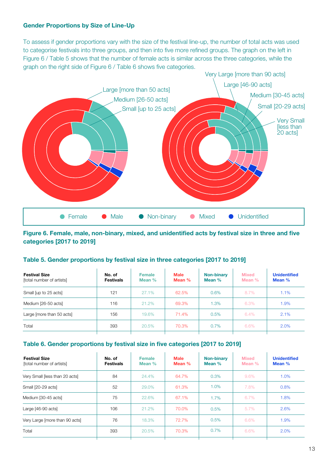#### **Gender Proportions by Size of Line-Up**

To assess if gender proportions vary with the size of the festival line-up, the number of total acts was used to categorise festivals into three groups, and then into five more refined groups. The graph on the left in Figure 6 / Table 5 shows that the number of female acts is similar across the three categories, while the graph on the right side of Figure 6 / Table 6 shows five categories.



**Figure 6. Female, male, non-binary, mixed, and unidentified acts by festival size in three and five categories [2017 to 2019]**

#### **Table 5. Gender proportions by festival size in three categories [2017 to 2019]**

| <b>Festival Size</b><br>[total number of artists] | No. of<br><b>Festivals</b> | <b>Female</b><br>Mean $%$ | <b>Male</b><br>Mean % | <b>Non-binary</b><br>Mean % | <b>Mixed</b><br>Mean % | <b>Unidentified</b><br>Mean $%$ |
|---------------------------------------------------|----------------------------|---------------------------|-----------------------|-----------------------------|------------------------|---------------------------------|
| Small [up to 25 acts]                             | 121                        | 27.1%                     | 62.5%                 | 0.6%                        | 8.7%                   | 1.1%                            |
| Medium [26-50 acts]                               | 116                        | 21.2%                     | 69.3%                 | $1.3\%$                     | 6.3%                   | 1.9%                            |
| Large [more than 50 acts]                         | 156                        | 19.6%                     | 71.4%                 | 0.5%                        | 6.4%                   | 2.1%                            |
| Total                                             | 393                        | 20.5%                     | 70.3%                 | $0.7\%$                     | 6.6%                   | 2.0%                            |
|                                                   |                            |                           |                       |                             |                        |                                 |

#### **Table 6. Gender proportions by festival size in five categories [2017 to 2019]**

| <b>Festival Size</b><br>[total number of artists] | No. of<br><b>Festivals</b> | <b>Female</b><br>Mean $%$ | <b>Male</b><br>Mean $%$ | <b>Non-binary</b><br>Mean $%$ | <b>Mixed</b><br>Mean $%$ | <b>Unidentified</b><br>Mean % |
|---------------------------------------------------|----------------------------|---------------------------|-------------------------|-------------------------------|--------------------------|-------------------------------|
| Very Small [less than 20 acts]                    | 84                         | 24.4%                     | 64.7%                   | 0.3%                          | 9.6%                     | 1.0%                          |
| Small [20-29 acts]                                | 52                         | 29.0%                     | 61.3%                   | 1.0%                          | 7.8%                     | 0.8%                          |
| Medium [30-45 acts]                               | 75                         | 22.6%                     | 67.1%                   | 1.7%                          | 6.7%                     | 1.8%                          |
| Large [46-90 acts]                                | 106                        | 21.2%                     | 70.0%                   | 0.5%                          | $5.7\%$                  | 2.6%                          |
| Very Large [more than 90 acts]                    | 76                         | 18.3%                     | 72.7%                   | 0.5%                          | 6.6%                     | 1.9%                          |
| Total                                             | 393                        | 20.5%                     | 70.3%                   | 0.7%                          | 6.6%                     | 2.0%                          |
|                                                   |                            |                           |                         |                               |                          |                               |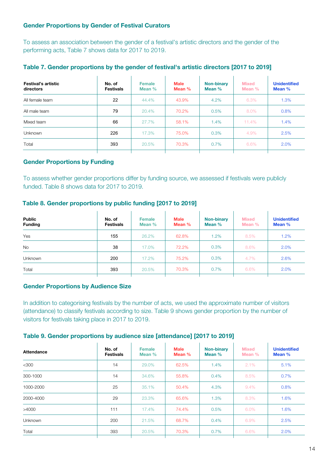#### **Gender Proportions by Gender of Festival Curators**

To assess an association between the gender of a festival's artistic directors and the gender of the performing acts, Table 7 shows data for 2017 to 2019.

| Festival's artistic<br>directors | No. of<br><b>Festivals</b> | Female<br>Mean $%$ | <b>Male</b><br>Mean $%$ | <b>Non-binary</b><br>Mean % | <b>Mixed</b><br>Mean $%$ | <b>Unidentified</b><br>Mean % |
|----------------------------------|----------------------------|--------------------|-------------------------|-----------------------------|--------------------------|-------------------------------|
| All female team                  | 22                         | 44.4%              | 43.9%                   | 4.2%                        | 6.3%                     | 1.3%                          |
| All male team                    | 79                         | 20.4%              | 70.2%                   | 0.5%                        | 8.0%                     | 0.8%                          |
| Mixed team                       | 66                         | 27.7%              | 58.1%                   | 1.4%                        | 11.4%                    | 1.4%                          |
| Unknown                          | 226                        | 17.3%              | 75.0%                   | 0.3%                        | 4.9%                     | 2.5%                          |
| Total                            | 393                        | 20.5%              | 70.3%                   | 0.7%                        | 6.6%                     | 2.0%                          |
|                                  |                            |                    |                         |                             |                          |                               |

#### **Table 7. Gender proportions by the gender of festival's artistic directors [2017 to 2019]**

#### **Gender Proportions by Funding**

To assess whether gender proportions differ by funding source, we assessed if festivals were publicly funded. Table 8 shows data for 2017 to 2019.

#### **Table 8. Gender proportions by public funding [2017 to 2019]**

| <b>Public</b><br><b>Funding</b> | No. of<br><b>Festivals</b> | <b>Female</b><br>Mean $%$ | <b>Male</b><br>Mean % | <b>Non-binary</b><br>Mean % | <b>Mixed</b><br>Mean % | <b>Unidentified</b><br>Mean % |
|---------------------------------|----------------------------|---------------------------|-----------------------|-----------------------------|------------------------|-------------------------------|
| Yes                             | 155                        | 26.2%                     | 62.8%                 | $1.2\%$                     | 8.5%                   | 1.2%                          |
| <b>No</b>                       | 38                         | 17.0%                     | 72.2%                 | 0.3%                        | 8.6%                   | 2.0%                          |
| <b>Unknown</b>                  | 200                        | 17.2%                     | 75.2%                 | 0.3%                        | 4.7%                   | 2.6%                          |
| Total                           | 393                        | 20.5%                     | 70.3%                 | 0.7%                        | 6.6%                   | 2.0%                          |
|                                 |                            |                           |                       |                             |                        |                               |

#### **Gender Proportions by Audience Size**

In addition to categorising festivals by the number of acts, we used the approximate number of visitors (attendance) to classify festivals according to size. Table 9 shows gender proportion by the number of visitors for festivals taking place in 2017 to 2019.

#### **Table 9. Gender proportions by audience size [attendance] [2017 to 2019]**

| Attendance     | No. of<br><b>Festivals</b> | <b>Female</b><br>Mean % | <b>Male</b><br>Mean % | <b>Non-binary</b><br>Mean % | <b>Mixed</b><br>Mean $%$ | <b>Unidentified</b><br>Mean % |
|----------------|----------------------------|-------------------------|-----------------------|-----------------------------|--------------------------|-------------------------------|
| $<$ 300        | 14                         | 29.0%                   | 62.5%                 | 1.4%                        | 2.1%                     | 5.1%                          |
| 300-1000       | 14                         | 34.6%                   | 55.8%                 | 0.4%                        | 8.5%                     | 0.7%                          |
| 1000-2000      | 25                         | 35.1%                   | 50.4%                 | 4.3%                        | $9.4\%$                  | 0.8%                          |
| 2000-4000      | 29                         | 23.3%                   | 65.6%                 | 1.3%                        | 8.3%                     | 1.6%                          |
| >4000          | 111                        | 17.4%                   | 74.4%                 | 0.5%                        | 6.0%                     | 1.6%                          |
| <b>Unknown</b> | 200                        | 21.5%                   | 68.7%                 | 0.4%                        | 6.9%                     | 2.5%                          |
| Total          | 393                        | 20.5%                   | 70.3%                 | 0.7%                        | 6.6%                     | 2.0%                          |
|                |                            |                         |                       |                             |                          |                               |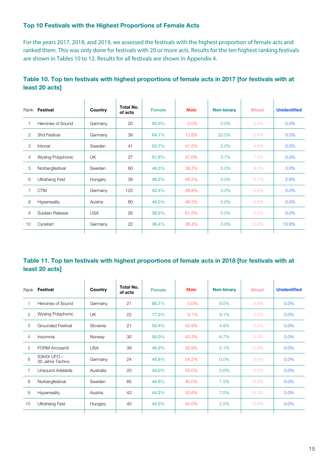#### **Top 10 Festivals with the Highest Proportions of Female Acts**

For the years 2017, 2018, and 2019, we assessed the festivals with the highest proportion of female acts and ranked them. This was only done for festivals with 20 or more acts. Results for the ten highest ranking festivals are shown in Tables 10 to 12. Results for all festivals are shown in Appendix 4.

|    | Rank Festival            | Country    | Total No.<br>of acts | <b>Female</b> | <b>Male</b> | <b>Non-binary</b> | <b>Mixed</b> | <b>Unidentified</b> |
|----|--------------------------|------------|----------------------|---------------|-------------|-------------------|--------------|---------------------|
|    | Heroines of Sound        | Germany    | 20                   | 95.0%         | $0.0\%$     | 0.0%              | 5.0%         | $0.0\%$             |
| 2  | 3hd Festival             | Germany    | 39                   | 64.1%         | 12.8%       | 20.5%             | 2.6%         | $0.0\%$             |
| 3  | Intonal                  | Sweden     | 41                   | 53.7%         | 41.5%       | 0.0%              | 4.9%         | $0.0\%$             |
| 4  | <b>Wysing Polyphonic</b> | <b>UK</b>  | 27                   | 51.9%         | 37.0%       | 3.7%              | 7.4%         | $0.0\%$             |
| 5  | Norbergfestival          | Sweden     | 60                   | 48.3%         | 38.3%       | 5.0%              | 8.3%         | $0.0\%$             |
| 6  | <b>Ultrahang Fest</b>    | Hungary    | 39                   | 46.2%         | 46.2%       | 0.0%              | 5.1%         | 2.6%                |
| 7  | <b>CTM</b>               | Germany    | 125                  | 42.4%         | 48.8%       | 3.2%              | 5.6%         | $0.0\%$             |
| 8  | Hyperreality             | Austria    | 80                   | 40.0%         | 46.3%       | 5.0%              | 8.8%         | $0.0\%$             |
| 9  | Sustain-Release          | <b>USA</b> | 26                   | 38.5%         | 61.5%       | 0.0%              | $0.0\%$      | 0.0%                |
| 10 | Cynetart                 | Germany    | 22                   | 36.4%         | 36.4%       | 0.0%              | 13.6%        | 13.6%               |
|    |                          |            |                      |               |             |                   |              |                     |

### **Table 10. Top ten festivals with highest proportions of female acts in 2017 [for festivals with at least 20 acts]**

### **Table 11. Top ten festivals with highest proportions of female acts in 2018 [for festivals with at least 20 acts]**

|                 | Rank Festival                   | Country    | Total No.<br>of acts | <b>Female</b> | <b>Male</b> | <b>Non-binary</b> | <b>Mixed</b> | <b>Unidentified</b> |
|-----------------|---------------------------------|------------|----------------------|---------------|-------------|-------------------|--------------|---------------------|
|                 | Heroines of Sound               | Germany    | 21                   | 85.7%         | $0.0\%$     | 9.5%              | 4.8%         | $0.0\%$             |
| $\overline{2}$  | <b>Wysing Polyphonic</b>        | <b>UK</b>  | 22                   | 77.3%         | 9.1%        | 9.1%              | 4.5%         | $0.0\%$             |
| 3               | <b>Grounded Festival</b>        | Slovenia   | 21                   | 52.4%         | 42.9%       | 4.8%              | $0.0\%$      | $0.0\%$             |
| 4               | Insomnia                        | Norway     | 30                   | 50.0%         | 43.3%       | 6.7%              | $0.0\%$      | $0.0\%$             |
| 5               | <b>FORM Arcosanti</b>           | <b>USA</b> | 39                   | 46.2%         | 35.9%       | 5.1%              | 12.8%        | $0.0\%$             |
| 6               | S3kt0r UFO -<br>30 Jahre Techno | Germany    | 24                   | 45.8%         | 54.2%       | 0.0%              | $0.0\%$      | $0.0\%$             |
| 7               | Unsound Adelaide                | Australia  | 20                   | 45.0%         | 55.0%       | 0.0%              | $0.0\%$      | $0.0\%$             |
| 8               | Norbergfestival                 | Sweden     | 65                   | 44.6%         | 40.0%       | 1.5%              | 13.8%        | 0.0%                |
| 9               | Hyperreality                    | Austria    | 43                   | 44.2%         | 32.6%       | 7.0%              | 16.3%        | $0.0\%$             |
| 10 <sup>°</sup> | <b>Ultrahang Fest</b>           | Hungary    | 40                   | 42.5%         | 45.0%       | 2.5%              | 10.0%        | 0.0%                |
|                 |                                 |            |                      |               |             |                   |              |                     |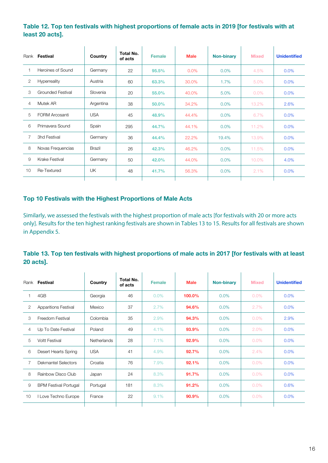#### **Table 12. Top ten festivals with highest proportions of female acts in 2019 [for festivals with at least 20 acts].**

|    | Rank Festival            | Country    | <b>Total No.</b><br>of acts | <b>Female</b> | <b>Male</b> | <b>Non-binary</b> | <b>Mixed</b> | <b>Unidentified</b> |
|----|--------------------------|------------|-----------------------------|---------------|-------------|-------------------|--------------|---------------------|
|    | Heroines of Sound        | Germany    | 22                          | 95.5%         | $0.0\%$     | 0.0%              | 4.5%         | $0.0\%$             |
| 2  | Hyperreality             | Austria    | 60                          | 63.3%         | 30.0%       | 1.7%              | 5.0%         | $0.0\%$             |
| 3  | <b>Grounded Festival</b> | Slovenia   | 20                          | 55.0%         | 40.0%       | 5.0%              | $0.0\%$      | $0.0\%$             |
| 4  | Mutek AR                 | Argentina  | 38                          | 50.0%         | 34.2%       | 0.0%              | 13.2%        | 2.6%                |
| 5  | <b>FORM Arcosanti</b>    | <b>USA</b> | 45                          | 48.9%         | 44.4%       | 0.0%              | 6.7%         | 0.0%                |
| 6  | Primavera Sound          | Spain      | 295                         | 44.7%         | 44.1%       | 0.0%              | 11.2%        | 0.0%                |
| 7  | 3hd Festival             | Germany    | 36                          | 44.4%         | 22.2%       | 19.4%             | 13.9%        | 0.0%                |
| 8  | Novas Frequencias        | Brazil     | 26                          | 42.3%         | 46.2%       | 0.0%              | 11.5%        | 0.0%                |
| 9  | <b>Krake Festival</b>    | Germany    | 50                          | 42.0%         | 44.0%       | 0.0%              | 10.0%        | 4.0%                |
| 10 | Re-Textured              | UK         | 48                          | 41.7%         | 56.3%       | 0.0%              | 2.1%         | 0.0%                |
|    |                          |            |                             |               |             |                   |              |                     |

#### **Top 10 Festivals with the Highest Proportions of Male Acts**

Similarly, we assessed the festivals with the highest proportion of male acts [for festivals with 20 or more acts only]. Results for the ten highest ranking festivals are shown in Tables 13 to 15. Results for all festivals are shown in Appendix 5.

#### **Table 13. Top ten festivals with highest proportions of male acts in 2017 [for festivals with at least 20 acts].**

|    | Rank Festival                | Country     | Total No.<br>of acts | <b>Female</b> | <b>Male</b> | <b>Non-binary</b> | <b>Mixed</b> | <b>Unidentified</b> |
|----|------------------------------|-------------|----------------------|---------------|-------------|-------------------|--------------|---------------------|
|    | 4GB                          | Georgia     | 46                   | $0.0\%$       | 100.0%      | $0.0\%$           | $0.0\%$      | 0.0%                |
| 2  | <b>Apparitions Festival</b>  | Mexico      | 37                   | 2.7%          | 94.6%       | $0.0\%$           | 2.7%         | 0.0%                |
| 3  | Freedom Festival             | Colombia    | 35                   | 2.9%          | 94.3%       | $0.0\%$           | $0.0\%$      | 2.9%                |
| 4  | Up To Date Festival          | Poland      | 49                   | 4.1%          | 93.9%       | $0.0\%$           | 2.0%         | 0.0%                |
| 5  | <b>Voltt Festival</b>        | Netherlands | 28                   | 7.1%          | 92.9%       | 0.0%              | $0.0\%$      | 0.0%                |
| 6  | Desert Hearts Spring         | <b>USA</b>  | 41                   | 4.9%          | 92.7%       | $0.0\%$           | 2.4%         | 0.0%                |
| 7  | <b>Dekmantel Selectors</b>   | Croatia     | 76                   | 7.9%          | 92.1%       | $0.0\%$           | $0.0\%$      | 0.0%                |
| 8  | Rainbow Disco Club           | Japan       | 24                   | 8.3%          | 91.7%       | $0.0\%$           | $0.0\%$      | 0.0%                |
| 9  | <b>BPM Festival Portugal</b> | Portugal    | 181                  | 8.3%          | 91.2%       | $0.0\%$           | $0.0\%$      | 0.6%                |
| 10 | I Love Techno Europe         | France      | 22                   | 9.1%          | 90.9%       | $0.0\%$           | $0.0\%$      | 0.0%                |
|    |                              |             |                      |               |             |                   |              |                     |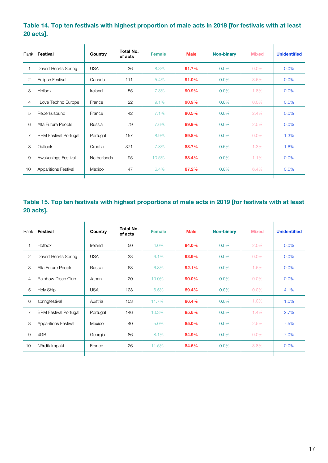### **Table 14. Top ten festivals with highest proportion of male acts in 2018 [for festivals with at least 20 acts].**

|    | Rank Festival                | Country            | Total No.<br>of acts | <b>Female</b> | <b>Male</b> | <b>Non-binary</b> | <b>Mixed</b> | <b>Unidentified</b> |
|----|------------------------------|--------------------|----------------------|---------------|-------------|-------------------|--------------|---------------------|
|    | Desert Hearts Spring         | <b>USA</b>         | 36                   | 8.3%          | 91.7%       | $0.0\%$           | $0.0\%$      | 0.0%                |
| 2  | <b>Eclipse Festival</b>      | Canada             | 111                  | 5.4%          | 91.0%       | 0.0%              | 3.6%         | 0.0%                |
| 3  | Hotbox                       | Ireland            | 55                   | 7.3%          | 90.9%       | $0.0\%$           | 1.8%         | 0.0%                |
| 4  | I Love Techno Europe         | France             | 22                   | 9.1%          | 90.9%       | 0.0%              | $0.0\%$      | 0.0%                |
| 5  | Reperkusound                 | France             | 42                   | 7.1%          | 90.5%       | $0.0\%$           | 2.4%         | $0.0\%$             |
| 6  | Alfa Future People           | Russia             | 79                   | 7.6%          | 89.9%       | $0.0\%$           | 2.5%         | $0.0\%$             |
| 7  | <b>BPM Festival Portugal</b> | Portugal           | 157                  | 8.9%          | 89.8%       | 0.0%              | $0.0\%$      | 1.3%                |
| 8  | Outlook                      | Croatia            | 371                  | 7.8%          | 88.7%       | 0.5%              | 1.3%         | 1.6%                |
| 9  | Awakenings Festival          | <b>Netherlands</b> | 95                   | 10.5%         | 88.4%       | 0.0%              | 1.1%         | 0.0%                |
| 10 | <b>Apparitions Festival</b>  | Mexico             | 47                   | 6.4%          | 87.2%       | $0.0\%$           | 6.4%         | 0.0%                |
|    |                              |                    |                      |               |             |                   |              |                     |

### **Table 15. Top ten festivals with highest proportions of male acts in 2019 [for festivals with at least 20 acts].**

|                | Rank Festival                | Country    | Total No.<br>of acts | <b>Female</b> | <b>Male</b> | <b>Non-binary</b> | <b>Mixed</b> | <b>Unidentified</b> |
|----------------|------------------------------|------------|----------------------|---------------|-------------|-------------------|--------------|---------------------|
|                | Hotbox                       | Ireland    | 50                   | 4.0%          | 94.0%       | 0.0%              | 2.0%         | 0.0%                |
| $\overline{2}$ | Desert Hearts Spring         | <b>USA</b> | 33                   | 6.1%          | 93.9%       | $0.0\%$           | $0.0\%$      | 0.0%                |
| 3              | Alfa Future People           | Russia     | 63                   | 6.3%          | 92.1%       | 0.0%              | 1.6%         | 0.0%                |
| 4              | Rainbow Disco Club           | Japan      | 20                   | 10.0%         | 90.0%       | 0.0%              | $0.0\%$      | 0.0%                |
| 5              | <b>Holy Ship</b>             | <b>USA</b> | 123                  | 6.5%          | 89.4%       | $0.0\%$           | $0.0\%$      | 4.1%                |
| 6              | springfestival               | Austria    | 103                  | 11.7%         | 86.4%       | 0.0%              | 1.0%         | 1.0%                |
| 7              | <b>BPM Festival Portugal</b> | Portugal   | 146                  | 10.3%         | 85.6%       | $0.0\%$           | 1.4%         | 2.7%                |
| 8              | <b>Apparitions Festival</b>  | Mexico     | 40                   | 5.0%          | 85.0%       | $0.0\%$           | 2.5%         | 7.5%                |
| 9              | 4GB                          | Georgia    | 86                   | 8.1%          | 84.9%       | $0.0\%$           | $0.0\%$      | 7.0%                |
| 10             | Nördik Impakt                | France     | 26                   | 11.5%         | 84.6%       | 0.0%              | 3.8%         | 0.0%                |
|                |                              |            |                      |               |             |                   |              |                     |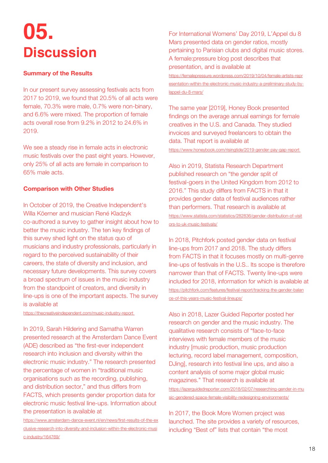## <span id="page-17-0"></span>**05. Discussion**

#### **Summary of the Results**

In our present survey assessing festivals acts from 2017 to 2019, we found that 20.5% of all acts were female, 70.3% were male, 0.7% were non-binary, and 6.6% were mixed. The proportion of female acts overall rose from 9.2% in 2012 to 24.6% in 2019.

We see a steady rise in female acts in electronic music festivals over the past eight years. However, only 25% of all acts are female in comparison to 65% male acts.

#### **Comparison with Other Studies**

In October of 2019, the Creative Independent's Willa Köerner and musician René Kladzyk co-authored a survey to gather insight about how to better the music industry. The ten key findings of this survey shed light on the status quo of musicians and industry professionals, particularly in regard to the perceived sustainability of their careers, the state of diversity and inclusion, and necessary future developments. This survey covers a broad spectrum of issues in the music industry from the standpoint of creators, and diversity in line-ups is one of the important aspects. The survey is available at

[https://thecreativeindependent.com/music-industry-report](https://thecreativeindependent.com/music-industry-report/)

In 2019, Sarah Hildering and Samatha Warren presented research at the Amsterdam Dance Event (ADE) described as "the first-ever independent research into inclusion and diversity within the electronic music industry." The research presented the percentage of women in "traditional music organisations such as the recording, publishing, and distribution sector," and thus differs from FACTS, which presents gender proportion data for electronic music festival line-ups. Information about the presentation is available at

[https://www.amsterdam-dance-event.nl/en/news/first-results-of-the-ex](https://www.amsterdam-dance-event.nl/en/news/first-results-of-the-exclusive-research-into-diversity-and-inclusion-within-the-electronic-music-industry/164769/) [clusive-research-into-diversity-and-inclusion-within-the-electronic-musi](https://www.amsterdam-dance-event.nl/en/news/first-results-of-the-exclusive-research-into-diversity-and-inclusion-within-the-electronic-music-industry/164769/) [c-industry/164769/](https://www.amsterdam-dance-event.nl/en/news/first-results-of-the-exclusive-research-into-diversity-and-inclusion-within-the-electronic-music-industry/164769/)

For International Womens' Day 2019, L'Appel du 8 Mars presented data on gender ratios, mostly pertaining to Parisian clubs and digital music stores. A female:pressure blog post describes that presentation, and is available at [https://femalepressure.wordpress.com/2019/10/04/female-artists-repr](https://femalepressure.wordpress.com/2019/10/04/female-artists-representation-within-the-electronic-music-industry-a-preliminary-study-by-lappel-du-8-mars/)

[esentation-within-the-electronic-music-industry-a-preliminary-study-by](https://femalepressure.wordpress.com/2019/10/04/female-artists-representation-within-the-electronic-music-industry-a-preliminary-study-by-lappel-du-8-mars/)[lappel-du-8-mars/](https://femalepressure.wordpress.com/2019/10/04/female-artists-representation-within-the-electronic-music-industry-a-preliminary-study-by-lappel-du-8-mars/)

The same year [2019], Honey Book presented findings on the average annual earnings for female creatives in the U.S. and Canada. They studied invoices and surveyed freelancers to obtain the data. That report is available at <https://www.honeybook.com/risingtide/2019-gender-pay-gap-report>

Also in 2019, Statista Research Department published research on "the gender split of festival-goers in the United Kingdom from 2012 to 2016." This study differs from FACTS in that it provides gender data of festival audiences rather than performers. That research is available at [https://www.statista.com/statistics/282836/gender-distribution-of-visit](https://www.statista.com/statistics/282836/gender-distribution-of-visitors-to-uk-music-festivals/) [ors-to-uk-music-festivals/](https://www.statista.com/statistics/282836/gender-distribution-of-visitors-to-uk-music-festivals/)

In 2018, Pitchfork posted gender data on festival line-ups from 2017 and 2018. The study differs from FACTS in that it focuses mostly on multi-genre line-ups of festivals in the U.S.. Its scope is therefore narrower than that of FACTS. Twenty line-ups were included for 2018, information for which is available at [https://pitchfork.com/features/festival-report/tracking-the-gender-balan](https://pitchfork.com/features/festival-report/tracking-the-gender-balance-of-this-years-music-festival-lineups/) [ce-of-this-years-music-festival-lineups/](https://pitchfork.com/features/festival-report/tracking-the-gender-balance-of-this-years-music-festival-lineups/)

Also in 2018, Lazer Guided Reporter posted her research on gender and the music industry. The qualitative research consists of "face-to-face interviews with female members of the music industry [music production, music production lecturing, record label management, composition, DJing], research into festival line ups, and also a content analysis of some major global music magazines." That research is available at [https://lazerguidedreporter.com/2018/02/07/researching-gender-in-mu](https://lazerguidedreporter.com/2018/02/07/researching-gender-in-music-gendered-space-female-visibility-redesigning-environments/) [sic-gendered-space-female-visibility-redesigning-environments/](https://lazerguidedreporter.com/2018/02/07/researching-gender-in-music-gendered-space-female-visibility-redesigning-environments/)

In 2017, the Book More Women project was launched. The site provides a variety of resources, including "Best of" lists that contain "the most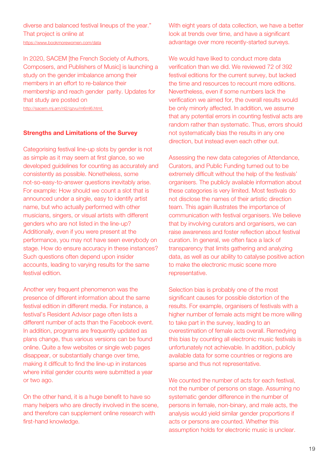diverse and balanced festival lineups of the year." That project is online at <https://www.bookmorewomen.com/data>

In 2020, SACEM [the French Society of Authors, Composers, and Publishers of Music] is launching a study on the gender imbalance among their members in an effort to re-balance their membership and reach gender parity. Updates for that study are posted on <http://sacem.mj.am/nl2/qzvu/m6ml6.html>

#### **Strengths and Limitations of the Survey**

Categorising festival line-up slots by gender is not as simple as it may seem at first glance, so we developed guidelines for counting as accurately and consistently as possible. Nonetheless, some not-so-easy-to-answer questions inevitably arise. For example: How should we count a slot that is announced under a single, easy to identify artist name, but who actually performed with other musicians, singers, or visual artists with different genders who are not listed in the line-up? Additionally, even if you were present at the performance, you may not have seen everybody on stage. How do ensure accuracy in these instances? Such questions often depend upon insider accounts, leading to varying results for the same festival edition.

Another very frequent phenomenon was the presence of different information about the same festival edition in different media. For instance, a festival's Resident Advisor page often lists a different number of acts than the Facebook event. In addition, programs are frequently updated as plans change, thus various versions can be found online. Quite a few websites or single web pages disappear, or substantially change over time, making it difficult to find the line-up in instances where initial gender counts were submitted a year or two ago.

On the other hand, it is a huge benefit to have so many helpers who are directly involved in the scene, and therefore can supplement online research with first-hand knowledge.

With eight years of data collection, we have a better look at trends over time, and have a significant advantage over more recently-started surveys.

We would have liked to conduct more data verification than we did. We reviewed 72 of 392 festival editions for the current survey, but lacked the time and resources to recount more editions. Nevertheless, even if some numbers lack the verification we aimed for, the overall results would be only minorly affected. In addition, we assume that any potential errors in counting festival acts are random rather than systematic. Thus, errors should not systematically bias the results in any one direction, but instead even each other out.

Assessing the new data categories of Attendance, Curators, and Public Funding turned out to be extremely difficult without the help of the festivals' organisers. The publicly available information about these categories is very limited. Most festivals do not disclose the names of their artistic direction team. This again illustrates the importance of communication with festival organisers. We believe that by involving curators and organisers, we can raise awareness and foster reflection about festival curation. In general, we often face a lack of transparency that limits gathering and analyzing data, as well as our ability to catalyse positive action to make the electronic music scene more representative.

Selection bias is probably one of the most significant causes for possible distortion of the results. For example, organisers of festivals with a higher number of female acts might be more willing to take part in the survey, leading to an overestimation of female acts overall. Remedying this bias by counting all electronic music festivals is unfortunately not achievable. In addition, publicly available data for some countries or regions are sparse and thus not representative.

We counted the number of acts for each festival, not the number of persons on stage. Assuming no systematic gender difference in the number of persons in female, non-binary, and male acts, the analysis would yield similar gender proportions if acts or persons are counted. Whether this assumption holds for electronic music is unclear.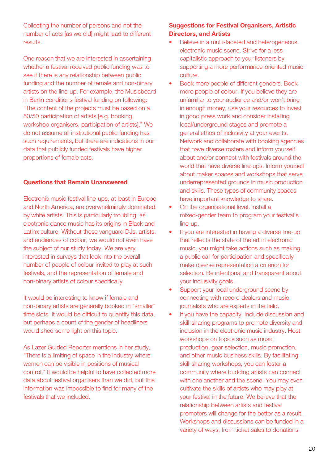Collecting the number of persons and not the number of acts [as we did] might lead to different results.

One reason that we are interested in ascertaining whether a festival received public funding was to see if there is any relationship between public funding and the number of female and non-binary artists on the line-up. For example, the Musicboard in Berlin conditions festival funding on following: "The content of the projects must be based on a 50/50 participation of artists [e.g. booking, workshop organisers, participation of artists]." We do not assume all institutional public funding has such requirements, but there are indications in our data that publicly funded festivals have higher proportions of female acts.

#### **Questions that Remain Unanswered**

Electronic music festival line-ups, at least in Europe and North America, are overwhelmingly dominated by white artists. This is particularly troubling, as electronic dance music has its origins in Black and Latinx culture. Without these vanguard DJs, artists, and audiences of colour, we would not even have the subject of our study today. We are very interested in surveys that look into the overall number of people of colour invited to play at such festivals, and the representation of female and non-binary artists of colour specifically.

It would be interesting to know if female and non-binary artists are generally booked in "smaller" time slots. It would be difficult to quantify this data, but perhaps a count of the gender of headliners would shed some light on this topic.

As Lazer Guided Reporter mentions in her study, "There is a limiting of space in the industry where women can be visible in positions of musical control." It would be helpful to have collected more data about festival organisers than we did, but this information was impossible to find for many of the festivals that we included.

#### **Suggestions for Festival Organisers, Artistic Directors, and Artists**

- Believe in a multi-faceted and heterogeneous electronic music scene. Strive for a less capitalistic approach to your listeners by supporting a more performance-oriented music culture.
- Book more people of different genders. Book more people of colour. If you believe they are unfamiliar to your audience and/or won't bring in enough money, use your resources to invest in good press work and consider installing local/underground stages and promote a general ethos of inclusivity at your events. Network and collaborate with booking agencies that have diverse rosters and inform yourself about and/or connect with festivals around the world that have diverse line-ups. Inform yourself about maker spaces and workshops that serve underrepresented grounds in music production and skills. These types of community spaces have important knowledge to share.
- On the organisational level, install a mixed-gender team to program your festival's line-up.
- If you are interested in having a diverse line-up that reflects the state of the art in electronic music, you might take actions such as making a public call for participation and specifically make diverse representation a criterion for selection. Be intentional and transparent about your inclusivity goals.
- Support your local underground scene by connecting with record dealers and music journalists who are experts in the field.
- If you have the capacity, include discussion and skill-sharing programs to promote diversity and inclusion in the electronic music industry. Host workshops on topics such as music production, gear selection, music promotion, and other music business skills. By facilitating skill-sharing workshops, you can foster a community where budding artists can connect with one another and the scene. You may even cultivate the skills of artists who may play at your festival in the future. We believe that the relationship between artists and festival promoters will change for the better as a result. Workshops and discussions can be funded in a variety of ways, from ticket sales to donations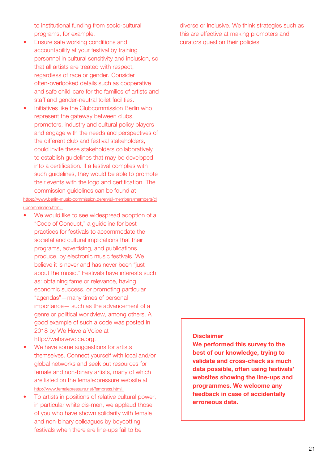to institutional funding from socio-cultural programs, for example.

- Ensure safe working conditions and accountability at your festival by training personnel in cultural sensitivity and inclusion, so that all artists are treated with respect, regardless of race or gender. Consider often-overlooked details such as cooperative and safe child-care for the families of artists and staff and gender-neutral toilet facilities.
- Initiatives like the Clubcommission Berlin who represent the gateway between clubs, promoters, industry and cultural policy players and engage with the needs and perspectives of the different club and festival stakeholders, could invite these stakeholders collaboratively to establish guidelines that may be developed into a certification. If a festival complies with such quidelines, they would be able to promote their events with the logo and certification. The commission guidelines can be found at

https://www.berlin-music-commission.de/en/all-members/members/cl ubcommission.html.

- We would like to see widespread adoption of a "Code of Conduct," a guideline for best practices for festivals to accommodate the societal and cultural implications that their programs, advertising, and publications produce, by electronic music festivals. We believe it is never and has never been "just about the music." Festivals have interests such as: obtaining fame or relevance, having economic success, or promoting particular "agendas"—many times of personal importance— such as the advancement of a genre or political worldview, among others. A good example of such a code was posted in 2018 by We Have a Voice at http://wehavevoice.org.
- We have some suggestions for artists themselves. Connect yourself with local and/or global networks and seek out resources for female and non-binary artists, many of which are listed on the female:pressure website at http://www.femalepressure.net/fempress.html.
- To artists in positions of relative cultural power, in particular white cis-men, we applaud those of you who have shown solidarity with female and non-binary colleagues by boycotting festivals when there are line-ups fail to be

diverse or inclusive. We think strategies such as this are effective at making promoters and curators question their policies!

#### **Disclaimer**

**We performed this survey to the best of our knowledge, trying to validate and cross-check as much data possible, often using festivals' websites showing the line-ups and programmes. We welcome any feedback in case of accidentally erroneous data.**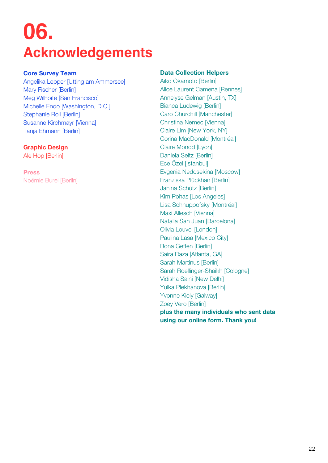## <span id="page-21-0"></span>**06. Acknowledgements**

#### **Core Survey Team**

Angelika Lepper [Utting am Ammersee] Mary Fischer [Berlin] Meg Wilhoite [San Francisco] Michelle Endo [Washington, D.C.] Stephanie Roll [Berlin] Susanne Kirchmayr [Vienna] Tanja Ehmann [Berlin]

#### **Graphic Design**

Ale Hop [Berlin]

**Press** Noëmie Burel [Berlin]

#### **Data Collection Helpers**

Aiko Okamoto [Berlin] Alice Laurent Camena [Rennes] Annelyse Gelman [Austin, TX] Bianca Ludewig [Berlin] Caro Churchill [Manchester] Christina Nemec [Vienna] Claire Lim [New York, NY] Corina MacDonald [Montréal] Claire Monod [Lyon] Daniela Seitz [Berlin] Ece Özel [Istanbul] Evgenia Nedosekina [Moscow] Franziska Plückhan [Berlin] Janina Schütz [Berlin] Kim Pohas [Los Angeles] Lisa Schnuppofsky [Montréal] Maxi Allesch [Vienna] Natalia San Juan [Barcelona] Olivia Louvel [London] Paulina Lasa [Mexico City] Rona Geffen [Berlin] Saira Raza [Atlanta, GA] Sarah Martinus [Berlin] Sarah Roellinger-Shaikh [Cologne] Vidisha Saini [New Delhi] Yulka Plekhanova [Berlin] Yvonne Kiely [Galway] Zoey Vero [Berlin] **plus the many individuals who sent data using our online form. Thank you!**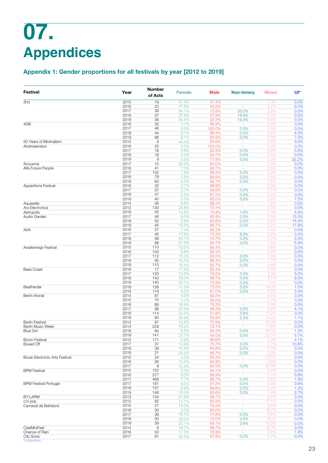## <span id="page-22-0"></span>**07. Appendices**

## **Appendix 1: Gender proportions for all festivals by year [2012 to 2019]**

| <b>Festival</b>                                                                                                                                                                                                                                                                                                                                                                                                                                                                                  | Year         | <b>Number</b><br>of Acts | <b>Female</b>  | Male            | <b>Non-binary</b>  | <b>Mixed</b> | Uľ*           |
|--------------------------------------------------------------------------------------------------------------------------------------------------------------------------------------------------------------------------------------------------------------------------------------------------------------------------------------------------------------------------------------------------------------------------------------------------------------------------------------------------|--------------|--------------------------|----------------|-----------------|--------------------|--------------|---------------|
|                                                                                                                                                                                                                                                                                                                                                                                                                                                                                                  | 2015         | 19                       | 47.4%          | 47.4%           | $\omega$           | 5.3%         | 0.0%          |
|                                                                                                                                                                                                                                                                                                                                                                                                                                                                                                  | 2016         | 23                       | 47.8%          | 43.5%           | ×,                 | 8.7%         | 0.0%          |
|                                                                                                                                                                                                                                                                                                                                                                                                                                                                                                  | 2017         | 39                       | 64.1%          | 12.8%           | 20.5%              | 2.6%         | 0.0%          |
|                                                                                                                                                                                                                                                                                                                                                                                                                                                                                                  | 2018         | 37                       | 37.8%          | 37.8%           | 18.9%              | 5.4%         | 0.0%          |
|                                                                                                                                                                                                                                                                                                                                                                                                                                                                                                  | 2019         | 36                       | 44.4%          | 22.2%           | 19.4%              | 13.9%        | 0.0%          |
|                                                                                                                                                                                                                                                                                                                                                                                                                                                                                                  | 2016         | 32                       | 3.1%           | 96.9%           |                    | 0.0%         | 0.0%          |
| 3hd<br>4GB<br>50 Years of Minimalism<br>Abstrasension<br>Acousma<br>Alfa Future People<br>Apparitions Festival<br>Aquasella<br>Ars Electronica<br>Astropolis<br>Audio Garden<br>AVA<br>Awakenings Festival<br><b>Bass Coast</b><br>Beatherder<br>Berlin Atonal<br><b>Berlin Festival</b><br>Berlin Music Week<br>Blue Dot<br>Boom Festival<br>Boxed Off<br>Bozar Electronic Arts Festival<br><b>BPM Festival</b><br><b>BPM Festival Portugal</b><br>BY:LARM<br>$C/O$ pop<br>Carnaval de Bahidorá | 2017<br>2018 | 46<br>44                 | 0.0%<br>9.1%   | 100.0%<br>86.4% | 0.0%<br>0.0%       | 0.0%<br>0.0% | 0.0%<br>4.5%  |
|                                                                                                                                                                                                                                                                                                                                                                                                                                                                                                  | 2019         | 86                       | 8.1%           | 84.9%           | 0.0%               | 0.0%         | 7.0%          |
|                                                                                                                                                                                                                                                                                                                                                                                                                                                                                                  | 2012         | $\mathsf 9$              | 44.4%          | 55.6%           | $\sim$             | 0.0%         | 0.0%          |
|                                                                                                                                                                                                                                                                                                                                                                                                                                                                                                  | 2016         | 25                       | 0.0%           | 100.0%          | $\sim$             | 0.0%         | 0.0%          |
|                                                                                                                                                                                                                                                                                                                                                                                                                                                                                                  | 2017         | 18                       | 5.6%           | 83.3%           | 0.0%               | 5.6%         | 5.6%          |
|                                                                                                                                                                                                                                                                                                                                                                                                                                                                                                  | 2018         | 19                       | 0.0%           | 94.7%           | 0.0%               | 5.3%         | 0.0%          |
|                                                                                                                                                                                                                                                                                                                                                                                                                                                                                                  | 2019         | 9                        | 0.0%           | 77.8%           | 0.0%               | 0.0%         | 22.2%         |
|                                                                                                                                                                                                                                                                                                                                                                                                                                                                                                  | 2017         | 10                       | 20.0%          | 80.0%           | $\sim$             | 0.0%         | 0.0%          |
|                                                                                                                                                                                                                                                                                                                                                                                                                                                                                                  | 2016<br>2017 | 41<br>102                | 7.3%<br>7.8%   | 92.7%<br>89.2%  | $\omega$<br>0.0%   | 0.0%<br>2.9% | 0.0%<br>0.0%  |
|                                                                                                                                                                                                                                                                                                                                                                                                                                                                                                  | 2018         | 79                       | 7.6%           | 89.9%           | 0.0%               | 2.5%         | 0.0%          |
|                                                                                                                                                                                                                                                                                                                                                                                                                                                                                                  | 2019         | 63                       | 6.3%           | 92.1%           | 0.0%               | 1.6%         | 0.0%          |
|                                                                                                                                                                                                                                                                                                                                                                                                                                                                                                  | 2016         | 32                       | 3.1%           | 96.9%           | $\omega$           | 0.0%         | 0.0%          |
|                                                                                                                                                                                                                                                                                                                                                                                                                                                                                                  | 2017         | 37                       | 2.7%           | 94.6%           | 0.0%               | 2.7%         | 0.0%          |
|                                                                                                                                                                                                                                                                                                                                                                                                                                                                                                  | 2018         | 47                       | 6.4%           | 87.2%           | 0.0%               | 6.4%         | 0.0%          |
|                                                                                                                                                                                                                                                                                                                                                                                                                                                                                                  | 2019         | 40                       | 5.0%           | 85.0%           | 0.0%               | 2.5%         | 7.5%          |
|                                                                                                                                                                                                                                                                                                                                                                                                                                                                                                  | 2014         | 56                       | 8.9%           | 89.3%           | $\sim$             | 1.8%         | 0.0%          |
|                                                                                                                                                                                                                                                                                                                                                                                                                                                                                                  | 2012         | 130                      | 24.6%          | 73.1%           | $\omega$           | 2.3%         | 0.0%          |
|                                                                                                                                                                                                                                                                                                                                                                                                                                                                                                  | 2019<br>2017 | 55<br>46                 | 14.5%<br>6.5%  | 70.9%<br>80.4%  | 1.8%<br>0.0%       | 7.3%<br>0.0% | 5.5%<br>13.0% |
|                                                                                                                                                                                                                                                                                                                                                                                                                                                                                                  | 2018         | 52                       | 3.8%           | 80.8%           | 0.0%               | 0.0%         | 15.4%         |
|                                                                                                                                                                                                                                                                                                                                                                                                                                                                                                  | 2019         | 45                       | 13.3%          | 66.7%           | 0.0%               | 2.2%         | 17.8%         |
|                                                                                                                                                                                                                                                                                                                                                                                                                                                                                                  | 2016         | 27                       | 7.4%           | 85.2%           | $\sim$             | 7.4%         | 0.0%          |
|                                                                                                                                                                                                                                                                                                                                                                                                                                                                                                  | 2017         | 45                       | 17.8%          | 73.3%           | 8.9%               | 0.0%         | 0.0%          |
|                                                                                                                                                                                                                                                                                                                                                                                                                                                                                                  | 2018         | 58                       | 24.1%          | 70.7%           | 0.0%               | 1.7%         | 3.4%          |
|                                                                                                                                                                                                                                                                                                                                                                                                                                                                                                  | 2019         | 68                       | 27.9%          | 64.7%           | 0.0%               | 1.5%         | 5.9%          |
|                                                                                                                                                                                                                                                                                                                                                                                                                                                                                                  | 2015         | 110                      | 10.0%          | 86.4%           | ×.                 | 3.6%         | 0.0%          |
|                                                                                                                                                                                                                                                                                                                                                                                                                                                                                                  | 2016         | 103                      | 6.8%           | 90.3%           | $\sim$             | 2.9%         | 0.0%          |
|                                                                                                                                                                                                                                                                                                                                                                                                                                                                                                  | 2017<br>2018 | 112<br>95                | 15.2%<br>10.5% | 83.0%<br>88.4%  | 0.0%<br>0.0%       | 1.8%<br>1.1% | 0.0%<br>0.0%  |
|                                                                                                                                                                                                                                                                                                                                                                                                                                                                                                  | 2019         | 110                      | 16.4%          | 82.7%           | 0.0%               | 0.9%         | 0.0%          |
|                                                                                                                                                                                                                                                                                                                                                                                                                                                                                                  | 2016         | 17                       | 17.6%          | 82.4%           | $\sim$             | 0.0%         | 0.0%          |
|                                                                                                                                                                                                                                                                                                                                                                                                                                                                                                  | 2017         | 120                      | 12.5%          | 79.2%           | 0.0%               | 3.3%         | 5.0%          |
|                                                                                                                                                                                                                                                                                                                                                                                                                                                                                                  | 2018         | 142                      | 19.0%          | 69.7%           | 0.0%               | 2.1%         | 9.2%          |
|                                                                                                                                                                                                                                                                                                                                                                                                                                                                                                  | 2019         | 140                      | 25.7%          | 72.9%           | 0.0%               | 1.4%         | 0.0%          |
|                                                                                                                                                                                                                                                                                                                                                                                                                                                                                                  | 2018         | 136                      | 11.0%          | 73.5%           | 0.0%               | 14.0%        | 1.5%          |
|                                                                                                                                                                                                                                                                                                                                                                                                                                                                                                  | 2019         | 116                      | 9.5%           | 81.0%           | 0.0%               | 6.0%         | 3.4%          |
|                                                                                                                                                                                                                                                                                                                                                                                                                                                                                                  | 2014<br>2015 | 67<br>70                 | 3.0%<br>4.3%   | 92.5%<br>90.0%  | $\sim$<br>$\omega$ | 4.5%         | 0.0%<br>0.0%  |
|                                                                                                                                                                                                                                                                                                                                                                                                                                                                                                  | 2016         | 89                       | 16.9%          | 75.3%           | ×                  | 5.7%<br>7.9% | 0.0%          |
|                                                                                                                                                                                                                                                                                                                                                                                                                                                                                                  | 2017         | 98                       | 20.4%          | 66.3%           | 0.0%               | 9.2%         | 4.1%          |
|                                                                                                                                                                                                                                                                                                                                                                                                                                                                                                  | 2018         | 114                      | 32.5%          | 51.8%           | 2.6%               | 13.2%        | 0.0%          |
|                                                                                                                                                                                                                                                                                                                                                                                                                                                                                                  | 2019         | 93                       | 26.9%          | 55.9%           | 2.2%               | 14.0%        | 1.1%          |
|                                                                                                                                                                                                                                                                                                                                                                                                                                                                                                  | 2012         | 87                       | 13.8%          | 75.9%           | $\sim$             | 10.3%        | 0.0%          |
|                                                                                                                                                                                                                                                                                                                                                                                                                                                                                                  | 2014         | 229                      | 16.2%          | 72.1%           | $\omega$           | 11.8%        | 0.0%          |
|                                                                                                                                                                                                                                                                                                                                                                                                                                                                                                  | 2018         | 84                       | 9.5%           | 64.3%           | 0.0%               | 25.0%        | 1.2%          |
|                                                                                                                                                                                                                                                                                                                                                                                                                                                                                                  | 2019         | 141                      | 27.7%          | 44.0%           | 0.0%               | 22.7%        | 5.7%          |
|                                                                                                                                                                                                                                                                                                                                                                                                                                                                                                  | 2012<br>2017 | 171<br>37                | 2.9%<br>10.8%  | 90.6%<br>75.7%  | $\sim$<br>0.0%     | 2.3%<br>2.7% | 4.1%<br>10.8% |
|                                                                                                                                                                                                                                                                                                                                                                                                                                                                                                  | 2018         | 39                       | 15.4%          | 84.6%           | 0.0%               | 0.0%         | 0.0%          |
|                                                                                                                                                                                                                                                                                                                                                                                                                                                                                                  | 2019         | 21                       | 33.3%          | 66.7%           | 0.0%               | 0.0%         | 0.0%          |
|                                                                                                                                                                                                                                                                                                                                                                                                                                                                                                  | 2015         | 24                       | 4.2%           | 83.3%           | $\sim$             | 12.5%        | 0.0%          |
|                                                                                                                                                                                                                                                                                                                                                                                                                                                                                                  | 2016         | 26                       | 15.4%          | 80.8%           | $\omega$           | 3.8%         | 0.0%          |
|                                                                                                                                                                                                                                                                                                                                                                                                                                                                                                  | 2017         | 8                        | 12.5%          | 62.5%           | 0.0%               | 25.0%        | 0.0%          |
|                                                                                                                                                                                                                                                                                                                                                                                                                                                                                                  | 2015         | 152                      | 5.3%           | 94.1%           | $\omega$           | 0.7%         | 0.0%          |
|                                                                                                                                                                                                                                                                                                                                                                                                                                                                                                  | 2016         | 377                      | 9.3%           | 88.9%           | $\omega$           | 1.1%         | 0.8%          |
|                                                                                                                                                                                                                                                                                                                                                                                                                                                                                                  | 2017<br>2017 | 468                      | 7.7%           | 89.7%           | 0.0%               | 0.6%         | 1.9%          |
|                                                                                                                                                                                                                                                                                                                                                                                                                                                                                                  | 2018         | 181<br>157               | 8.3%<br>8.9%   | 91.2%<br>89.8%  | 0.0%<br>0.0%       | 0.0%<br>0.0% | 0.6%<br>1.3%  |
|                                                                                                                                                                                                                                                                                                                                                                                                                                                                                                  | 2019         | 146                      | 10.3%          | 85.6%           | 0.0%               | 1.4%         | 2.7%          |
|                                                                                                                                                                                                                                                                                                                                                                                                                                                                                                  | 2013         | 134                      | 21.6%          | 68.7%           | $\omega$           | 9.7%         | 0.0%          |
|                                                                                                                                                                                                                                                                                                                                                                                                                                                                                                  | 2012         | 82                       | 17.1%          | 65.9%           | $\sim$             | 17.1%        | 0.0%          |
|                                                                                                                                                                                                                                                                                                                                                                                                                                                                                                  | 2015         | 21                       | 14.3%          | 76.2%           | $\omega$           | 9.5%         | 0.0%          |
|                                                                                                                                                                                                                                                                                                                                                                                                                                                                                                  | 2016         | 30                       | 3.3%           | 80.0%           | $\sim$             | 16.7%        | 0.0%          |
|                                                                                                                                                                                                                                                                                                                                                                                                                                                                                                  | 2017         | 36                       | 16.7%          | 77.8%           | 0.0%               | 5.6%         | 0.0%          |
|                                                                                                                                                                                                                                                                                                                                                                                                                                                                                                  | 2018         | 50                       | 20.0%          | 72.0%           | 0.0%               | 8.0%         | 0.0%          |
|                                                                                                                                                                                                                                                                                                                                                                                                                                                                                                  | 2019         | 39                       | 23.1%          | 64.1%           | 2.6%               | 10.3%        | 0.0%          |
| CasiMiniFest<br>Chance of Rain                                                                                                                                                                                                                                                                                                                                                                                                                                                                   | 2014<br>2016 | 6<br>52                  | 16.7%          | 66.7%           | $\sim$<br>$\omega$ | 16.7%        | 0.0%          |
| <b>City Sonic</b>                                                                                                                                                                                                                                                                                                                                                                                                                                                                                | 2017         | 81                       | 17.3%<br>28.4% | 76.9%<br>67.9%  | 0.0%               | 3.8%<br>3.7% | 1.9%<br>0.0%  |
| *Unidentified                                                                                                                                                                                                                                                                                                                                                                                                                                                                                    |              |                          |                |                 |                    |              |               |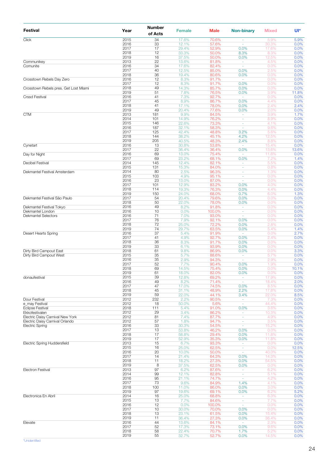| Festival                              | Year         | Number<br>of Acts | <b>Female</b>  | <b>Male</b>     | <b>Non-binary</b>        | <b>Mixed</b>  | Ul*          |
|---------------------------------------|--------------|-------------------|----------------|-----------------|--------------------------|---------------|--------------|
| Click                                 | 2015         | 34                | 17.6%          | 70.6%           | ÷                        | 5.9%          | 5.9%         |
|                                       | 2016         | 33                | 12.1%          | 57.6%           | ä,                       | 30.3%         | 0.0%         |
|                                       | 2017<br>2018 | 17<br>12          | 29.4%<br>33.3% | 52.9%<br>50.0%  | 0.0%<br>8.3%             | 17.6%<br>8.3% | 0.0%<br>0.0% |
|                                       | 2019         | 16                | 37.5%          | 50.0%           | 0.0%                     | 12.5%         | 0.0%         |
| Communikey                            | 2013         | 22                | 13.6%          | 81.8%           |                          | 4.5%          | 0.0%         |
| Comunite                              | 2016         | 34                | 17.6%          | 82.4%           | $\sim$                   | 0.0%          | 0.0%         |
|                                       | 2017         | 40                | 12.5%          | 85.0%           | 0.0%                     | 2.5%          | 0.0%         |
|                                       | 2018         | 36                | 19.4%          | 80.6%           | 0.0%                     | 0.0%          | 0.0%         |
| Crosstown Rebels Day Zero             | 2016         | 12                | 8.3%           | 91.7%           | $\sim$                   | 0.0%          | 0.0%         |
| Crosstown Rebels pres. Get Lost Miami | 2017<br>2018 | 12<br>49          | 8.3%<br>14.3%  | 91.7%<br>85.7%  | 0.0%<br>0.0%             | 0.0%<br>0.0%  | 0.0%<br>0.0% |
|                                       | 2019         | 51                | 7.8%           | 76.5%           | 0.0%                     | 3.9%          | 11.8%        |
| <b>Crssd Festival</b>                 | 2016         | 41                | 7.3%           | 92.7%           | $\sim$                   | 0.0%          | 0.0%         |
|                                       | 2017         | 45                | 8.9%           | 86.7%           | 0.0%                     | 4.4%          | 0.0%         |
|                                       | 2018         | 41                | 17.1%          | 78.0%           | 0.0%                     | 2.4%          | 2.4%         |
|                                       | 2019         | 49                | 20.4%          | 77.6%           | 0.0%                     | 2.0%          | 0.0%         |
| <b>CTM</b>                            | 2013<br>2014 | 181<br>101        | 9.9%<br>14.9%  | 84.5%<br>76.2%  | ä,<br>÷                  | 3.9%<br>8.9%  | 1.7%<br>0.0% |
|                                       | 2015         | 146               | 22.6%          | 73.3%           | ÷                        | 4.1%          | 0.0%         |
|                                       | 2016         | 187               | 32.1%          | 58.3%           | ä,                       | 9.6%          | 0.0%         |
|                                       | 2017         | 125               | 42.4%          | 48.8%           | 3.2%                     | 5.6%          | 0.0%         |
|                                       | 2018         | 144               | 38.2%          | 45.1%           | 4.2%                     | 12.5%         | 0.0%         |
|                                       | 2019         | 205               | 40.5%          | 48.3%           | 2.4%                     | 8.8%          | 0.0%         |
| Cynetart                              | 2016         | 13                | 30.8%          | 53.8%           | $\sim$                   | 15.4%         | 0.0%         |
|                                       | 2017         | 22                | 36.4%          | 36.4%           | 0.0%                     | 13.6%         | 13.6%        |
| Day for Night                         | 2016<br>2017 | 69<br>69          | 13.0%<br>23.2% | 75.4%<br>68.1%  | 0.0%                     | 11.6%<br>7.2% | 0.0%<br>1.4% |
| <b>Decibel Festival</b>               | 2014         | 145               | 12.4%          | 82.1%           | ÷                        | 5.5%          | 0.0%         |
|                                       | 2015         | 131               | 15.3%          | 84.0%           | ä,                       | 0.8%          | 0.0%         |
| Dekmantel Festival Amsterdam          | 2014         | 80                | 2.5%           | 96.3%           | ٠                        | 1.3%          | 0.0%         |
|                                       | 2015         | 103               | 4.9%           | 95.1%           | ÷                        | 0.0%          | 0.0%         |
|                                       | 2016         | 23                | 13.0%          | 87.0%           | ä,                       | 0.0%          | 0.0%         |
|                                       | 2017         | 101               | 12.9%          | 83.2%           | 0.0%                     | 4.0%          | 0.0%         |
|                                       | 2018<br>2019 | 114<br>150        | 19.3%<br>24.0% | 76.3%<br>68.0%  | 0.0%<br>0.7%             | 4.4%          | 0.0%<br>1.3% |
| Dekmantel Festival São Paulo          | 2017         | 54                | 20.4%          | 79.6%           | 0.0%                     | 6.0%<br>0.0%  | 0.0%         |
|                                       | 2018         | 50                | 22.0%          | 78.0%           | 0.0%                     | 0.0%          | 0.0%         |
| Dekmantel Festival Tokyo              | 2016         | 49                | 8.2%           | 91.8%           | ä,                       | 0.0%          | 0.0%         |
| Dekmantel London                      | 2016         | 10                | 0.0%           | 100.0%          | ÷                        | 0.0%          | 0.0%         |
| <b>Dekmantel Selectors</b>            | 2016         | 71                | 7.0%           | 93.0%           | ÷,                       | 0.0%          | 0.0%         |
|                                       | 2017         | 76                | 7.9%           | 92.1%           | 0.0%                     | 0.0%          | 0.0%         |
|                                       | 2018<br>2019 | 72<br>74          | 25.0%<br>29.7% | 72.2%<br>63.5%  | 0.0%<br>0.0%             | 2.8%<br>5.4%  | 0.0%<br>1.4% |
| Desert Hearts Spring                  | 2016         | 37                | 5.4%           | 91.9%           |                          | 0.0%          | 2.7%         |
|                                       | 2017         | 41                | 4.9%           | 92.7%           | 0.0%                     | 2.4%          | 0.0%         |
|                                       | 2018         | 36                | 8.3%           | 91.7%           | 0.0%                     | 0.0%          | 0.0%         |
|                                       | 2019         | 33                | 6.1%           | 93.9%           | 0.0%                     | 0.0%          | 0.0%         |
| Dirty Bird Campout East               | 2018         | 61                | 9.8%           | 86.9%           | 0.0%                     | 0.0%          | 3.3%         |
| Dirty Bird Campout West               | 2015         | 35                | 5.7%           | 88.6%           | $\omega$<br>ä,           | 5.7%          | 0.0%         |
|                                       | 2016<br>2017 | 35<br>52          | 2.9%<br>7.7%   | 94.3%<br>90.4%  | 0.0%                     | 2.9%<br>1.9%  | 0.0%<br>0.0% |
|                                       | 2018         | 69                | 14.5%          | 75.4%           | 0.0%                     | 0.0%          | 10.1%        |
|                                       | 2019         | 61                | 18.0%          | 82.0%           | 0.0%                     | 0.0%          | 0.0%         |
| donaufestival                         | 2015         | 39                | 12.8%          | 69.2%           | $\overline{\phantom{a}}$ | 17.9%         | 0.0%         |
|                                       | 2016         | 49                | 8.2%           | 71.4%           | ÷,                       | 18.4%         | 2.0%         |
|                                       | 2017         | 47                | 17.0%          | 74.5%           | 0.0%                     | 8.5%          | 0.0%         |
|                                       | 2018         | 45                | 31.1%          | 48.9%           | 2.2%                     | 17.8%         | 0.0%         |
| Dour Festival                         | 2019<br>2012 | 59<br>232         | 22.0%<br>2.2%  | 44.1%<br>90.5%  | 3.4%                     | 22.0%<br>7.3% | 8.5%<br>0.0% |
| e_may Festival                        | 2012         | 18                | 50.0%          | 5.6%            | $\sim$                   | 44.4%         | 0.0%         |
| <b>Eclipse Festival</b>               | 2018         | 111               | 5.4%           | 91.0%           | 0.0%                     | 3.6%          | 0.0%         |
| Ekkofestivalen                        | 2012         | 29                | 3.4%           | 86.2%           |                          | 10.3%         | 0.0%         |
| Electric Daisy Carnival New York      | 2012         | 81                | 7.4%           | 87.7%           | ٠                        | 4.9%          | 0.0%         |
| Electric Daisy Carnival Orlando       | 2012         | 57                | 1.8%           | 94.7%           | ÷,                       | 3.5%          | 0.0%         |
| <b>Electric Spring</b>                | 2016<br>2017 | 33<br>13          | 30.3%<br>53.8% | 54.5%<br>46.2%  | ä,                       | 15.2%<br>0.0% | 0.0%<br>0.0% |
|                                       | 2018         | 17                | 58.8%          | 29.4%           | 0.0%<br>0.0%             | 11.8%         | 0.0%         |
|                                       | 2019         | 17                | 52.9%          | 35.3%           | 0.0%                     | 11.8%         | 0.0%         |
| <b>Electric Spring Huddersfield</b>   | 2013         | 15                | 6.7%           | 93.3%           | $\overline{\phantom{a}}$ | 0.0%          | 0.0%         |
|                                       | 2015         | 16                | 25.0%          | 62.5%           | ÷                        | 0.0%          | 12.5%        |
|                                       | 2016         | 20                | 10.0%          | 50.0%           | ä,                       | 40.0%         | 0.0%         |
|                                       | 2017         | 14                | 21.4%          | 64.3%           | 0.0%                     | 14.3%         | 0.0%         |
|                                       | 2018<br>2019 | 11<br>8           | 18.2%          | 27.3%<br>62.5%  | 0.0%<br>0.0%             | 54.5%         | 0.0%         |
| <b>Electron Festival</b>              | 2013         | 97                | 37.5%<br>6.2%  | 87.6%           | $\overline{\phantom{a}}$ | 0.0%<br>6.2%  | 0.0%<br>0.0% |
|                                       | 2014         | 99                | 12.1%          | 82.8%           | ÷                        | 5.1%          | 0.0%         |
|                                       | 2016         | 95                | 21.1%          | 74.7%           | ä,                       | 4.2%          | 0.0%         |
|                                       | 2017         | 73                | 9.6%           | 84.9%           | 1.4%                     | 4.1%          | 0.0%         |
|                                       | 2018         | 100               | 11.0%          | 86.0%           | 0.0%                     | 3.0%          | 0.0%         |
|                                       | 2019         | 97                | 19.6%          | 69.1%           | 0.0%                     | 6.2%          | 5.2%         |
| Electronica En Abril                  | 2014<br>2015 | 16<br>13          | 25.0%          | 68.8%           | ÷<br>÷,                  | 6.3%<br>7.7%  | 0.0%<br>0.0% |
|                                       | 2016         | 12                | 7.7%<br>0.0%   | 84.6%<br>100.0% | ä,                       | 0.0%          | 0.0%         |
|                                       | 2017         | 10                | 30.0%          | 70.0%           | 0.0%                     | 0.0%          | 0.0%         |
|                                       | 2018         | 13                | 23.1%          | 61.5%           | 0.0%                     | 15.4%         | 0.0%         |
|                                       | 2019         | 11                | 36.4%          | 27.3%           | 0.0%                     | 36.4%         | 0.0%         |
| Elevate                               | 2016         | 44                | 13.6%          | 84.1%           | $\omega$                 | 2.3%          | 0.0%         |
|                                       | 2017         | 52                | 17.3%          | 73.1%           | 0.0%                     | 9.6%          | 0.0%<br>0.0% |
|                                       | 2018<br>2019 | 58<br>55          | 22.4%<br>32.7% | 70.7%<br>52.7%  | 1.7%<br>0.0%             | 5.2%<br>14.5% | 0.0%         |
|                                       |              |                   |                |                 |                          |               |              |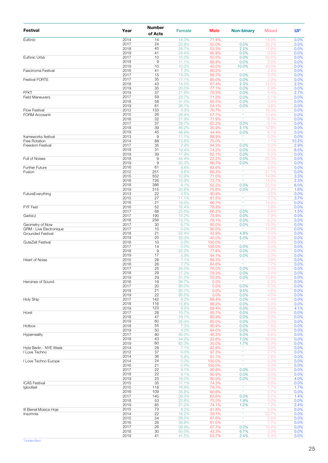| <b>Festival</b>                             | Year         | Number<br>of Acts    | <b>Female</b>  | <b>Male</b>    | <b>Non-binary</b> | <b>Mixed</b>   | Ul*           |
|---------------------------------------------|--------------|----------------------|----------------|----------------|-------------------|----------------|---------------|
| Eufònic                                     | 2014         | 14                   | 14.3%          | 71.4%          |                   | 14.3%          | 0.0%          |
|                                             | 2017<br>2018 | 24<br>45             | 20.8%<br>26.7% | 50.0%<br>53.3% | 0.0%<br>2.2%      | 29.2%<br>17.8% | 0.0%<br>0.0%  |
|                                             | 2019         | 41                   | 24.4%          | 65.9%          | 0.0%              | 9.8%           | 0.0%          |
| Eufònic Urbà                                | 2017         | 10                   | 10.0%          | 50.0%          | 0.0%              | 40.0%          | 0.0%          |
|                                             | 2018<br>2019 | 9<br>10              | 11.1%<br>10.0% | 88.9%<br>40.0% | 0.0%<br>10.0%     | 0.0%<br>40.0%  | 0.0%<br>0.0%  |
| Fascinoma Festival                          | 2016         | 41                   | 7.3%           | 90.2%          | ۰                 | 2.4%           | 0.0%          |
|                                             | 2017         | 15                   | 13.3%          | 86.7%          | 0.0%              | 0.0%           | 0.0%          |
| <b>Festival FORTE</b>                       | 2017<br>2018 | 35<br>43             | 17.1%<br>14.0% | 80.0%<br>67.4% | 0.0%<br>2.3%      | 2.9%<br>14.0%  | 0.0%<br>2.3%  |
|                                             | 2019         | 35                   | 20.0%          | 77.1%          | 0.0%              | 2.9%           | 0.0%          |
| FFKT                                        | 2019         | 37                   | 21.6%          | 70.3%          | 0.0%              | 5.4%           | 2.7%          |
| <b>Field Maneuvers</b>                      | 2017<br>2018 | 59<br>58             | 23.7%<br>31.0% | 71.2%<br>65.5% | 0.0%<br>0.0%      | 5.1%<br>3.4%   | 0.0%<br>0.0%  |
|                                             | 2019         | 61                   | 36.1%          | 54.1%          | 0.0%              | 9.8%           | 0.0%          |
| <b>Flow Festival</b>                        | 2012         | 133                  | 5.3%           | 76.7%          | ۰                 | 18.0%          | 0.0%          |
| <b>FORM Arcosanti</b>                       | 2015<br>2016 | 26<br>32             | 26.9%          | 57.7%<br>71.9% | ÷<br>٠            | 15.4%<br>6.3%  | 0.0%<br>0.0%  |
|                                             | 2017         | 37                   | 21.9%<br>29.7% | 62.2%          | 0.0%              | 8.1%           | 0.0%          |
|                                             | 2018         | 39                   | 46.2%          | 35.9%          | 5.1%              | 12.8%          | 0.0%          |
|                                             | 2019         | 45                   | 48.9%          | 44.4%          | 0.0%              | 6.7%           | 0.0%          |
| frameworks festival<br><b>Free Rotation</b> | 2013<br>2014 | $\overline{9}$<br>88 | 11.1%<br>13.6% | 88.9%<br>75.0% | ÷<br>$\sim$       | 0.0%<br>1.1%   | 0.0%<br>10.2% |
| Freedom Festival                            | 2017         | 35                   | 2.9%           | 94.3%          | 0.0%              | 0.0%           | 2.9%          |
|                                             | 2018         | 31                   | 19.4%          | 74.2%          | 0.0%              | 0.0%           | 6.5%          |
| Full of Noises                              | 2019<br>2018 | 39<br>$\hbox{9}$     | 17.9%          | 82.1%<br>22.2% | 0.0%              | 0.0%           | 0.0%          |
|                                             | 2019         | $\overline{9}$       | 44.4%<br>33.3% | 66.7%          | 0.0%<br>0.0%      | 33.3%<br>0.0%  | 0.0%<br>0.0%  |
| <b>Further Future</b>                       | 2016         | 61                   | 6.6%           | 83.6%          |                   | 9.8%           | 0.0%          |
| Fusion                                      | 2012         | 251                  | 9.6%           | 69.3%          | ٠<br>÷            | 21.1%          | 0.0%          |
|                                             | 2015<br>2016 | 552<br>726           | 10.9%<br>10.9% | 71.0%<br>72.7% | ÷                 | 14.9%<br>14.0% | 3.3%<br>2.3%  |
|                                             | 2018         | 386                  | 9.1%           | 62.2%          | 0.3%              | 22.5%          | 6.0%          |
|                                             | 2019         | 315                  | 20.6%          | 75.6%          | 0.0%              | 2.2%           | 1.6%          |
| FutureEverything                            | 2013<br>2015 | 22<br>27             | 4.5%<br>11.1%  | 90.9%<br>81.5% | ٠                 | 4.5%<br>3.7%   | 0.0%<br>3.7%  |
|                                             | 2016         | 21                   | 19.0%          | 66.7%          | ÷                 | 14.3%          | 0.0%          |
| FYF Fest                                    | 2016         | 52                   | 15.4%          | 78.8%          | ÷                 | 5.8%           | 0.0%          |
|                                             | 2017         | 68                   | 23.5%          | 66.2%          | 0.0%              | 8.8%           | 1.5%          |
| Garbicz                                     | 2017<br>2018 | 190<br>256           | 13.2%<br>13.7% | 78.9%<br>78.1% | 0.0%<br>0.0%      | 7.9%<br>8.2%   | 0.0%<br>0.0%  |
| Geometry of Now                             | 2017         | 30                   | 6.7%           | 80.0%          | 0.0%              | 13.3%          | 0.0%          |
| GRM - Live Électronique                     | 2017         | 10                   | 0.0%           | 90.0%          | $\sim$            | 10.0%          | 0.0%          |
| <b>Grounded Festival</b>                    | 2018<br>2019 | 21<br>20             | 52.4%<br>55.0% | 42.9%<br>40.0% | 4.8%<br>5.0%      | 0.0%<br>0.0%   | 0.0%<br>0.0%  |
| GuteZeit Festival                           | 2016         | 10                   | 0.0%           | 100.0%         | ٠                 | 0.0%           | 0.0%          |
|                                             | 2017         | 14                   | 0.0%           | 100.0%         | 0.0%              | 0.0%           | 0.0%          |
|                                             | 2018<br>2019 | $\overline{9}$<br>17 | 22.2%<br>5.9%  | 77.8%<br>94.1% | 0.0%<br>0.0%      | 0.0%<br>0.0%   | 0.0%<br>0.0%  |
| Heart of Noise                              | 2015         | 28                   | 7.1%           | 89.3%          |                   | 3.6%           | 0.0%          |
|                                             | 2016         | 26                   | 7.7%           | 84.6%          | ٠                 | 7.7%           | 0.0%          |
|                                             | 2017         | 25                   | 24.0%          | 76.0%          | 0.0%              | $0.0\%$        | 0.0%          |
|                                             | 2018<br>2019 | 29<br>29             | 17.2%<br>31.0% | 79.3%<br>55.2% | 0.0%<br>0.0%      | 3.4%<br>13.8%  | 0.0%<br>0.0%  |
| Heroines of Sound                           | 2016         | 19                   | 94.7%          | 0.0%           | ۰                 | 5.3%           | 0.0%          |
|                                             | 2017         | 20                   | 95.0%          | 0.0%           | 0.0%              | 5.0%           | 0.0%          |
|                                             | 2018<br>2019 | 21<br>22             | 85.7%<br>95.5% | 0.0%<br>0.0%   | 9.5%<br>0.0%      | 4.8%<br>4.5%   | 0.0%<br>0.0%  |
| Holy Ship                                   | 2017         | 142                  | 9.2%           | 89.4%          | 0.0%              | 1.4%           | 0.0%          |
|                                             | 2018         | 116                  | 13.8%          | 86.2%          | 0.0%              | 0.0%           | 0.0%          |
|                                             | 2019<br>2017 | 123<br>28            | 6.5%           | 89.4%          | 0.0%              | 0.0%           | 4.1%<br>0.0%  |
| Horst                                       | 2018         | 47                   | 10.7%<br>19.1% | 85.7%<br>80.9% | 0.0%<br>0.0%      | 3.6%<br>0.0%   | 0.0%          |
|                                             | 2019         | 60                   | 35.0%          | 65.0%          | 0.0%              | 0.0%           | 0.0%          |
| Hotbox                                      | 2018         | 55                   | 7.3%           | 90.9%          | 0.0%              | 1.8%           | 0.0%          |
| Hyperreality                                | 2019<br>2017 | 50<br>80             | 4.0%<br>40.0%  | 94.0%<br>46.3% | 0.0%<br>5.0%      | 2.0%<br>8.8%   | 0.0%<br>0.0%  |
|                                             | 2018         | 43                   | 44.2%          | 32.6%          | 7.0%              | 16.3%          | 0.0%          |
|                                             | 2019         | 60                   | 63.3%          | 30.0%          | 1.7%              | 5.0%           | 0.0%          |
| Hyte Berlin - NYE Week                      | 2014<br>2012 | 28                   | 7.1%           | 92.9%          | Ξ                 | 0.0%           | 0.0%          |
| I Love Techno                               | 2014         | 37<br>36             | 0.0%<br>5.6%   | 97.3%<br>91.7% | ٠                 | 2.7%<br>2.8%   | 0.0%<br>0.0%  |
| I Love Techno Europe                        | 2014         | 24                   | 0.0%           | 100.0%         | ۰                 | 0.0%           | 0.0%          |
|                                             | 2016         | 21                   | 0.0%           | 100.0%         | ×                 | 0.0%           | 0.0%          |
|                                             | 2017<br>2018 | 22<br>22             | 9.1%<br>9.1%   | 90.9%<br>90.9% | 0.0%<br>0.0%      | 0.0%<br>0.0%   | 0.0%<br>0.0%  |
|                                             | 2019         | 25                   | 16.0%          | 80.0%          | 0.0%              | 0.0%           | 4.0%          |
| <b>ICAS Festival</b>                        | 2015         | 35                   | 17.1%          | 74.3%          | $\sim$            | 8.6%           | 0.0%          |
| Igloofest                                   | 2015<br>2016 | 118<br>109           | 16.9%<br>35.8% | 79.7%          | ۰<br>÷            | 1.7%<br>3.7%   | 1.7%<br>0.0%  |
|                                             | 2017         | 140                  | 29.3%          | 60.6%<br>63.6% | 0.0%              | 5.7%           | 1.4%          |
|                                             | 2018         | 53                   | 22.6%          | 75.5%          | 1.9%              | 0.0%           | 0.0%          |
|                                             | 2019         | 85                   | 21.2%          | 74.1%          | 1.2%<br>٠         | 1.2%           | 2.4%          |
| III Bienal Música Hoje<br>Insomnia          | 2015<br>2014 | 73<br>22             | 8.2%<br>18.2%  | 91.8%<br>59.1% | ۰                 | 0.0%<br>22.7%  | 0.0%<br>0.0%  |
|                                             | 2015         | 34                   | 26.5%          | 67.6%          | Ξ                 | 5.9%           | 0.0%          |
|                                             | 2016         | 26                   | 30.8%          | 61.5%          | ٠                 | 7.7%           | 0.0%          |
|                                             | 2017<br>2018 | 26<br>30             | 26.9%<br>50.0% | 57.7%<br>43.3% | 0.0%<br>6.7%      | 15.4%<br>0.0%  | 0.0%<br>0.0%  |
|                                             | 2019         | 41                   | 41.5%          | 53.7%          | 2.4%              | 2.4%           | 0.0%          |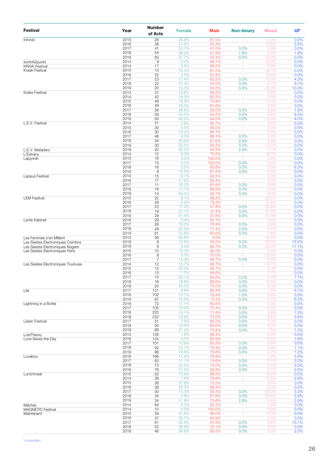| Festival                                                    | Year         | Number<br>of Acts   | <b>Female</b>  | <b>Male</b>    | <b>Non-binary</b>              | <b>Mixed</b>   | Ul*           |
|-------------------------------------------------------------|--------------|---------------------|----------------|----------------|--------------------------------|----------------|---------------|
| Intonal                                                     | 2015         | 26                  | 26.9%          | 61.5%          | ÷,                             | 11.5%          | 0.0%          |
|                                                             | 2016<br>2017 | 38<br>41            | 31.6%<br>53.7% | 55.3%<br>41.5% | ä,<br>0.0%                     | 10.5%<br>4.9%  | 2.6%<br>0.0%  |
|                                                             | 2018         | 54                  | 38.9%          | 51.9%          | 1.9%                           | 5.6%           | 1.9%          |
|                                                             | 2019         | 63                  | 31.7%          | 52.4%          | 0.0%                           | 15.9%          | 0.0%          |
| kontrA2punkt                                                | 2014<br>2014 | 9<br>17             | 0.0%           | 66.7%          | ä,                             | 33.3%          | 0.0%          |
| <b>KRAA! Festival</b><br>Kraak Festival                     | 2015         | 13                  | 5.9%<br>15.4%  | 88.2%<br>61.5% | ÷<br>ä,                        | 5.9%<br>23.1%  | 0.0%<br>0.0%  |
|                                                             | 2016         | 22                  | 4.5%           | 81.8%          | ä,                             | 13.6%          | 0.0%          |
|                                                             | 2017         | 23                  | 17.4%          | 65.2%          | 0.0%                           | 13.0%          | 4.3%          |
|                                                             | 2018<br>2019 | 22<br>20            | 27.3%<br>15.0% | 54.5%<br>55.0% | 0.0%<br>0.0%                   | 9.1%<br>20.0%  | 9.1%<br>10.0% |
| <b>Krake Festival</b>                                       | 2013         | 37                  | 10.8%          | 89.2%          | $\sim$                         | 0.0%           | 0.0%          |
|                                                             | 2014         | 42                  | 14.3%          | 83.3%          | ÷                              | 2.4%           | 0.0%          |
|                                                             | 2015         | 48                  | 18.8%          | 70.8%          | ä,                             | 10.4%          | 0.0%          |
|                                                             | 2016<br>2017 | 49<br>56            | 16.3%<br>26.8% | 81.6%<br>62.5% | ٠<br>0.0%                      | 2.0%<br>8.9%   | 0.0%<br>1.8%  |
|                                                             | 2018         | 59                  | 30.5%          | 54.2%          | 0.0%                           | 6.8%           | 8.5%          |
|                                                             | 2019         | 50                  | 42.0%          | 44.0%          | 0.0%                           | 10.0%          | 4.0%          |
| L.E.V. Festival                                             | 2014         | 21                  | 4.8%           | 85.7%          | ÷<br>ä,                        | 9.5%           | 0.0%          |
|                                                             | 2015<br>2016 | 20<br>30            | 5.0%<br>13.3%  | 95.0%<br>86.7% | ٠                              | 0.0%<br>0.0%   | 0.0%<br>0.0%  |
|                                                             | 2017         | 46                  | 4.3%           | 89.1%          | 0.0%                           | 6.5%           | 0.0%          |
|                                                             | 2018         | 34                  | 20.6%          | 67.6%          | 2.9%                           | 8.8%           | 0.0%          |
|                                                             | 2019         | 30                  | 23.3%          | 63.3%          | 0.0%                           | 13.3%          | 0.0%          |
| L.E.V. Matadero<br>L'Estrany                                | 2019<br>2014 | 42<br>12            | 26.2%<br>8.3%  | 64.3%<br>75.0% | 2.4%<br>÷                      | 7.1%<br>16.7%  | 0.0%<br>0.0%  |
| Labyrinth                                                   | 2015         | 16                  | 0.0%           | 100.0%         | $\sim$                         | 0.0%           | 0.0%          |
|                                                             | 2017         | 13                  | 0.0%           | 100.0%         | 0.0%                           | 0.0%           | 0.0%          |
|                                                             | 2018<br>2019 | 16                  | 0.0%           | 93.8%          | 0.0%                           | 0.0%           | 6.3%          |
| Lapsus Festival                                             | 2014         | 8<br>15             | 12.5%<br>6.7%  | 87.5%<br>93.3% | 0.0%<br>÷                      | 0.0%<br>0.0%   | 0.0%<br>0.0%  |
|                                                             | 2016         | 17                  | 17.6%          | 82.4%          | ä,                             | 0.0%           | 0.0%          |
|                                                             | 2017         | 11                  | 18.2%          | 81.8%          | 0.0%                           | 0.0%           | 0.0%          |
|                                                             | 2018         | 18<br>14            | 11.1%          | 88.9%          | 0.0%                           | 0.0%           | 0.0%          |
| <b>LEM Festival</b>                                         | 2019<br>2015 | 22                  | 64.3%<br>9.1%  | 35.7%<br>68.2% | 0.0%<br>$\sim$                 | 0.0%<br>22.7%  | 0.0%<br>0.0%  |
|                                                             | 2016         | 29                  | 6.9%           | 79.3%          | ÷,                             | 13.8%          | 0.0%          |
|                                                             | 2017         | 23                  | 17.4%          | 47.8%          | 0.0%                           | 34.8%          | 0.0%          |
|                                                             | 2018<br>2019 | 19<br>29            | 21.1%<br>41.4% | 47.4%<br>27.6% | 0.0%<br>0.0%                   | 31.6%<br>31.0% | 0.0%<br>0.0%  |
| Lente Kabinet                                               | 2016         | 29                  | 3.4%           | 93.1%          | ä,                             | 3.4%           | 0.0%          |
|                                                             | 2017         | 26                  | 19.2%          | 76.9%          | 0.0%                           | 3.8%           | 0.0%          |
|                                                             | 2018         | 49                  | 20.4%          | 71.4%          | 2.0%                           | 6.1%           | 0.0%          |
|                                                             | 2019<br>2013 | 61<br>26            | 32.8%<br>84.6% | 65.6%<br>0.0%  | 0.0%<br>$\sim$                 | 1.6%<br>15.4%  | 0.0%<br>0.0%  |
| Les Femmes s'en Mêlent<br>Les Siestes Electroniques Coimbra | 2019         | 8                   | 12.5%          | 50.0%          | 0.0%                           | 25.0%          | 12.5%         |
| Les Siestes Electroniques Nogent                            | 2019         | 9                   | 0.0%           | 66.7%          | 0.0%                           | 22.2%          | 11.1%         |
| Les Siestes Electroniques Paris                             | 2015         | 10                  | 10.0%          | 90.0%          | $\sim$                         | 0.0%           | 0.0%          |
|                                                             | 2016<br>2017 | 8<br>$\overline{7}$ | 0.0%<br>14.3%  | 75.0%<br>85.7% | ÷,<br>0.0%                     | 25.0%<br>0.0%  | 0.0%<br>0.0%  |
| Les Siestes Electroniques Toulouse                          | 2014         | 12                  | 16.7%          | 66.7%          | $\overline{\phantom{a}}$       | 16.7%          | 0.0%          |
|                                                             | 2015         | 12                  | 25.0%          | 66.7%          |                                | 8.3%           | 0.0%          |
|                                                             | 2016<br>2017 | 13<br>13            | 7.7%<br>23.1%  | 84.6%<br>69.2% | ä,<br>0.0%                     | 7.7%<br>0.0%   | 0.0%<br>7.7%  |
|                                                             | 2018         | 16                  | 18.8%          | 68.8%          | 0.0%                           | 12.5%          | 0.0%          |
|                                                             | 2019         | 20                  | 25.0%          | 70.0%          | 0.0%                           | 5.0%           | 0.0%          |
| Life                                                        | 2017         | 131                 | 9.9%           | 82.4%          | 0.0%                           | 1.5%           | 6.1%          |
|                                                             | 2018<br>2019 | 102<br>97           | 13.7%<br>16.5% | 79.4%<br>75.3% | 1.0%<br>0.0%                   | 2.0%<br>2.1%   | 3.9%<br>6.2%  |
| Lightning in a Bottle                                       | 2016         | 72                  | 11.1%          | 80.6%          | $\sim$                         | 8.3%           | 0.0%          |
|                                                             | 2017         | 105                 | 13.3%          | 72.4%          | 0.0%                           | 14.3%          | 0.0%          |
|                                                             | 2018         | 220                 | 14.1%          | 71.8%          | 0.0%                           | 6.8%           | 7.3%          |
| Listen Festival                                             | 2019<br>2017 | 232<br>51           | 12.9%<br>7.8%  | 72.0%<br>90.2% | 0.0%<br>0.0%                   | 9.5%<br>2.0%   | 5.6%<br>0.0%  |
|                                                             | 2018         | 50                  | 12.0%          | 84.0%          | 0.0%                           | 4.0%           | 0.0%          |
|                                                             | 2019         | 66                  | 21.2%          | 75.8%          | 0.0%                           | 1.5%           | 1.5%          |
| LostTheory<br>Love Saves the Day                            | 2013<br>2016 | 126<br>124          | 1.6%<br>4.0%   | 98.4%          | $\overline{\phantom{a}}$<br>ä, | 0.0%           | 0.0%<br>1.6%  |
|                                                             | 2017         | 101                 | 13.9%          | 83.9%<br>80.2% | 0.0%                           | 10.5%<br>5.9%  | 0.0%          |
|                                                             | 2018         | 92                  | 14.1%          | 79.3%          | 0.0%                           | 5.4%           | 1.1%          |
|                                                             | 2019         | 86                  | 18.6%          | 75.6%          | 0.0%                           | 4.7%           | 1.2%          |
| Lovebox                                                     | 2016<br>2017 | 166<br>63           | 11.4%<br>11.1% | 75.9%<br>74.6% | $\sim$<br>0.0%                 | 7.2%<br>11.1%  | 5.4%<br>3.2%  |
|                                                             | 2018         | 73                  | 20.5%          | 74.0%          | 0.0%                           | 5.5%           | 0.0%          |
|                                                             | 2019         | 79                  | 31.6%          | 60.8%          | 0.0%                           | 5.1%           | 2.5%          |
| Lunchmeat                                                   | 2012         | 22                  | 13.6%          | 68.2%          | $\overline{\phantom{a}}$       | 18.2%          | 0.0%          |
|                                                             | 2014<br>2015 | 38<br>36            | 7.9%<br>27.8%  | 78.9%<br>72.2% | $\overline{\phantom{a}}$<br>÷  | 10.5%<br>0.0%  | 2.6%<br>0.0%  |
|                                                             | 2016         | 38                  | 26.3%          | 68.4%          | $\blacksquare$                 | 5.3%           | 0.0%          |
|                                                             | 2017         | 30                  | 13.3%          | 63.3%          | 0.0%                           | 20.0%          | 3.3%          |
|                                                             | 2018         | 34                  | 5.9%           | 67.6%          | 0.0%                           | 23.5%          | 2.9%          |
| Máchác                                                      | 2019<br>2014 | 34<br>64            | 11.8%<br>6.3%  | 70.6%<br>92.2% | 2.9%                           | 11.8%<br>1.6%  | 2.9%<br>0.0%  |
| <b>MAGNETIC Festival</b>                                    | 2014         | 10                  | 0.0%           | 100.0%         | ÷                              | 0.0%           | 0.0%          |
| Maintenant                                                  | 2015         | 29                  | 31.0%          | 69.0%          | ÷,                             | 0.0%           | 0.0%          |
|                                                             | 2016<br>2017 | 37<br>61            | 29.7%<br>32.8% | 64.9%<br>47.5% | ä,<br>0.0%                     | 5.4%<br>6.6%   | 0.0%<br>13.1% |
|                                                             | 2018         | 52                  | 26.9%          | 73.1%          | 0.0%                           | 0.0%           | 0.0%          |
|                                                             | 2019         | 46                  | 34.8%          | 56.5%          | 0.0%                           | 6.5%           | 2.2%          |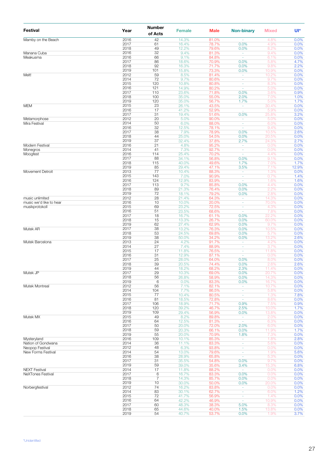| Festival                              | Year         | Number<br>of Acts | <b>Female</b>  | <b>Male</b>    | <b>Non-binary</b>        | <b>Mixed</b>   | Ul*          |
|---------------------------------------|--------------|-------------------|----------------|----------------|--------------------------|----------------|--------------|
| Mamby on the Beach                    | 2016         | 42                | 14.3%          | 81.0%          |                          | 4.8%           | 0.0%         |
|                                       | 2017<br>2018 | 61                | 16.4%          | 78.7%          | 0.0%                     | 4.9%           | 0.0%         |
| Manana Cuba                           | 2016         | 49<br>32          | 12.2%<br>9.4%  | 79.6%<br>81.3% | 0.0%<br>$\omega$         | 8.2%<br>9.4%   | 0.0%<br>0.0% |
| Meakusma                              | 2016         | 66                | 9.1%           | 84.8%          | ä,                       | 6.1%           | 0.0%         |
|                                       | 2017         | 86                | 18.6%          | 70.9%          | 0.0%                     | 5.8%           | 4.7%         |
|                                       | 2018<br>2019 | 92<br>101         | 16.3%          | 71.7%<br>73.3% | 0.0%                     | 9.8%           | 2.2%<br>0.0% |
| Melt!                                 | 2012         | 59                | 15.8%<br>8.5%  | 81.4%          | 0.0%                     | 10.9%<br>10.2% | 0.0%         |
|                                       | 2014         | 72                | 9.7%           | 80.6%          | $\sim$                   | 9.7%           | 0.0%         |
|                                       | 2015         | 120               | 10.8%          | 80.8%          | ٠                        | 8.3%           | 0.0%         |
|                                       | 2016         | 121               | 14.9%          | 80.2%          | ä,                       | 5.0%           | 0.0%         |
|                                       | 2017<br>2018 | 110<br>100        | 23.6%<br>35.0% | 71.8%<br>55.0% | 0.0%<br>2.0%             | 3.6%<br>7.0%   | 0.9%<br>1.0% |
|                                       | 2019         | 120               | 35.0%          | 56.7%          | 1.7%                     | 5.0%           | 1.7%         |
| <b>MEM</b>                            | 2015         | 23                | 26.1%          | 43.5%          | $\sim$                   | 30.4%          | 0.0%         |
|                                       | 2016         | 17                | 41.2%          | 52.9%          |                          | 5.9%           | 0.0%         |
| Metamorphose                          | 2017<br>2012 | 31<br>20          | 19.4%<br>5.0%  | 51.6%<br>90.0% | 0.0%<br>ä,               | 25.8%<br>5.0%  | 3.2%<br>0.0% |
| Mira Festival                         | 2014         | 50                | 6.0%           | 88.0%          | ÷                        | 6.0%           | 0.0%         |
|                                       | 2016         | 32                | 12.5%          | 78.1%          | ä,                       | 9.4%           | 0.0%         |
|                                       | 2017         | 38                | 7.9%           | 78.9%          | 0.0%                     | 10.5%          | 2.6%         |
|                                       | 2018<br>2019 | 44<br>37          | 25.0%<br>32.4% | 54.5%<br>37.8% | 0.0%<br>2.7%             | 20.5%<br>24.3% | 0.0%<br>2.7% |
| Modern Festival                       | 2016         | 21                | 4.8%           | 95.2%          | $\omega$                 | 0.0%           | 0.0%         |
| Monegros                              | 2014         | 41                | 7.3%           | 92.7%          | ÷,                       | 0.0%           | 0.0%         |
| Moogfest                              | 2016         | 114               | 25.4%          | 70.2%          | ä,                       | 4.4%           | 0.0%         |
|                                       | 2017<br>2018 | 88<br>115         | 34.1%<br>40.0% | 56.8%<br>49.6% | 0.0%<br>1.7%             | 9.1%<br>7.0%   | 0.0%<br>1.7% |
|                                       | 2019         | 85                | 29.4%          | 47.1%          | 3.5%                     | 7.1%           | 12.9%        |
| Movement Detroit                      | 2013         | 77                | 10.4%          | 88.3%          | $\omega$                 | 1.3%           | 0.0%         |
|                                       | 2015         | 143               | 7.0%           | 90.9%          | ÷                        | 0.7%           | 1.4%         |
|                                       | 2016         | 124               | 12.9%          | 83.9%          | ä,                       | 1.6%           | 1.6%         |
|                                       | 2017<br>2018 | 113<br>89         | 9.7%<br>21.3%  | 85.8%<br>76.4% | 0.0%<br>0.0%             | 4.4%<br>2.2%   | 0.0%<br>0.0% |
|                                       | 2019         | 72                | 18.1%          | 79.2%          | 0.0%                     | 2.8%           | 0.0%         |
| music unlimited                       | 2012         | 28                | 21.4%          | 64.3%          | ä,                       | 14.3%          | 0.0%         |
| music we'd like to hear               | 2016         | 10                | 10.0%          | 20.0%          | ÷,                       | 70.0%          | 0.0%         |
| musikprotokoll                        | 2015<br>2016 | 69<br>51          | 23.2%<br>23.5% | 72.5%<br>68.6% | ÷<br>$\sim$              | 4.3%<br>7.8%   | 0.0%<br>0.0% |
|                                       | 2017         | 18                | 16.7%          | 61.1%          | 0.0%                     | 22.2%          | 0.0%         |
|                                       | 2018         | 15                | 13.3%          | 26.7%          | 0.0%                     | 60.0%          | 0.0%         |
|                                       | 2019         | 62                | 27.4%          | 62.9%          | 0.0%                     | 9.7%           | 0.0%         |
| Mutek AR                              | 2017<br>2018 | 38<br>53          | 13.2%<br>24.5% | 76.3%<br>69.8% | 0.0%<br>0.0%             | 10.5%<br>5.7%  | 0.0%<br>0.0% |
|                                       | 2019         | 38                | 50.0%          | 34.2%          | 0.0%                     | 13.2%          | 2.6%         |
| Mutek Barcelona                       | 2013         | 24                | 4.2%           | 91.7%          | $\overline{\phantom{a}}$ | 4.2%           | 0.0%         |
|                                       | 2014         | 27                | 7.4%           | 88.9%          | ä,                       | 3.7%           | 0.0%         |
|                                       | 2015         | 17<br>31          | 11.8%          | 76.5%          | ÷                        | 11.8%          | 0.0%         |
|                                       | 2016<br>2017 | 25                | 12.9%<br>28.0% | 87.1%<br>64.0% | ÷<br>0.0%                | 0.0%<br>8.0%   | 0.0%<br>0.0% |
|                                       | 2018         | 39                | 20.5%          | 74.4%          | 0.0%                     | 2.6%           | 2.6%         |
|                                       | 2019         | 44                | 18.2%          | 68.2%          | 2.3%                     | 11.4%          | 0.0%         |
| Mutek JP                              | 2017         | 29                | 10.3%          | 69.0%          | 0.0%                     | 20.7%          | 0.0%         |
|                                       | 2018<br>2019 | 56<br>6           | 26.8%<br>0.0%  | 58.9%<br>83.3% | 0.0%<br>0.0%             | 14.3%<br>16.7% | 0.0%<br>0.0% |
| Mutek Montreal                        | 2012         | 56                | 7.1%           | 82.1%          |                          | 10.7%          | 0.0%         |
|                                       | 2014         | 104               | 7.7%           | 86.5%          | ÷                        | 5.8%           | 0.0%         |
|                                       | 2015         | 77                | 10.4%          | 80.5%          | ٠                        | 1.3%           | 7.8%         |
|                                       | 2016<br>2017 | 81<br>106         | 18.5%<br>18.9% | 72.8%<br>71.7% | ä,<br>0.9%               | 8.6%<br>7.5%   | 0.0%<br>0.9% |
|                                       | 2018         | 120               | 39.2%          | 46.7%          | 2.5%                     | 10.0%          | 1.7%         |
|                                       | 2019         | 109               | 29.4%          | 56.9%          | 0.0%                     | 13.8%          | 0.0%         |
| Mutek MX                              | 2015         | 49                | 8.2%           | 89.8%          | $\omega$                 | 2.0%           | 0.0%         |
|                                       | 2016         | 64                | 12.5%<br>20.0% | 81.3%          | $\sim$                   | 6.3%           | 0.0%         |
|                                       | 2017<br>2018 | 50<br>59          | 20.3%          | 72.0%<br>66.1% | 2.0%<br>0.0%             | 6.0%<br>11.9%  | 0.0%<br>1.7% |
|                                       | 2019         | 55                | 20.0%          | 70.9%          | 1.8%                     | 7.3%           | 0.0%         |
| Mysteryland                           | 2016         | 109               | 10.1%          | 85.3%          |                          | 1.8%           | 2.8%         |
| Nation of Gondwana                    | 2014         | 36                | 11.1%          | 83.3%          | ÷                        | 5.6%           | 0.0%         |
| Neopop Festival<br>New Forms Festival | 2012<br>2014 | 48<br>54          | 6.3%<br>13.0%  | 93.8%<br>79.6% | ٠<br>÷                   | 0.0%<br>1.9%   | 0.0%<br>5.6% |
|                                       | 2016         | 38                | 28.9%          | 65.8%          | $\sim$                   | 5.3%           | 0.0%         |
|                                       | 2017         | 31                | 35.5%          | 54.8%          | 0.0%                     | 9.7%           | 0.0%         |
|                                       | 2019         | 59                | 39.0%          | 35.6%          | 3.4%                     | 15.3%          | 6.8%         |
| <b>NEXT Festival</b>                  | 2014         | 17<br>6           | 11.8%          | 88.2%          | $\omega$                 | 0.0%           | 0.0%         |
| <b>NeXTones Festival</b>              | 2017<br>2018 | $\overline{7}$    | 16.7%<br>14.3% | 83.3%<br>85.7% | 0.0%<br>0.0%             | 0.0%<br>0.0%   | 0.0%<br>0.0% |
|                                       | 2019         | 10                | 30.0%          | 50.0%          | 0.0%                     | 20.0%          | 0.0%         |
| Norbergfestival                       | 2012         | 74                | 16.2%          | 83.8%          | $\omega$                 | 0.0%           | 0.0%         |
|                                       | 2014         | 83                | 30.1%          | 62.7%          | $\blacksquare$           | 6.0%           | 1.2%         |
|                                       | 2015<br>2016 | 72<br>64          | 41.7%          | 56.9%          | ÷                        | 1.4%           | 0.0%         |
|                                       | 2017         | 60                | 42.2%<br>48.3% | 46.9%<br>38.3% | ٠<br>5.0%                | 10.9%<br>8.3%  | 0.0%<br>0.0% |
|                                       | 2018         | 65                | 44.6%          | 40.0%          | 1.5%                     | 13.8%          | 0.0%         |
|                                       | 2019         | 54                | 40.7%          | 53.7%          | 0.0%                     | 1.9%           | 3.7%         |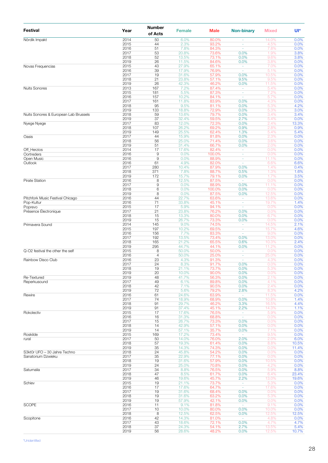| Festival                              | Year         | Number<br>of Acts    | <b>Female</b>  | <b>Male</b>     | <b>Non-binary</b>              | <b>Mixed</b>   | Ul*            |
|---------------------------------------|--------------|----------------------|----------------|-----------------|--------------------------------|----------------|----------------|
| Nördik Impakt                         | 2014         | 50                   | 6.0%           | 80.0%           |                                | 14.0%          | 0.0%           |
|                                       | 2015<br>2016 | 44<br>51             | 2.3%<br>7.8%   | 93.2%<br>84.3%  | ÷,<br>ä,                       | 4.5%<br>7.8%   | 0.0%<br>0.0%   |
|                                       | 2017         | 53                   | 20.8%          | 73.6%           | 0.0%                           | 1.9%           | 3.8%           |
|                                       | 2018         | 52                   | 13.5%          | 73.1%           | 0.0%                           | 9.6%           | 3.8%           |
|                                       | 2019         | 26                   | 11.5%          | 84.6%           | 0.0%                           | 3.8%           | 0.0%           |
| Novas Frequencias                     | 2015<br>2016 | 43<br>39             | 27.9%<br>17.9% | 65.1%<br>76.9%  | $\sim$<br>ä,                   | 7.0%<br>5.1%   | 0.0%<br>0.0%   |
|                                       | 2017         | 19                   | 31.6%          | 57.9%           | 0.0%                           | 10.5%          | 0.0%           |
|                                       | 2018         | 21                   | 23.8%          | 57.1%           | 9.5%                           | 9.5%           | 0.0%           |
| <b>Nuits Sonores</b>                  | 2019<br>2013 | 26<br>167            | 42.3%          | 46.2%           | 0.0%                           | 11.5%          | 0.0%<br>0.0%   |
|                                       | 2015         | 181                  | 7.2%<br>5.5%   | 87.4%<br>87.3%  | ÷.                             | 5.4%<br>7.2%   | 0.0%           |
|                                       | 2016         | 157                  | 10.2%          | 84.1%           | ä,                             | 5.7%           | 0.0%           |
|                                       | 2017         | 161                  | 11.8%          | 83.9%           | 0.0%                           | 4.3%           | 0.0%           |
|                                       | 2018<br>2019 | 95<br>133            | 9.5%<br>18.8%  | 81.1%<br>72.9%  | 0.0%<br>0.0%                   | 5.3%<br>5.3%   | 4.2%<br>3.0%   |
| Nuits Sonores & European Lab Brussels | 2018         | 59                   | 13.6%          | 79.7%           | 0.0%                           | 3.4%           | 3.4%           |
|                                       | 2019         | 37                   | 32.4%          | 59.5%           | 2.7%                           | 5.4%           | 0.0%           |
| Nyege Nyege                           | 2017         | 83                   | 12.0%          | 72.3%           | 0.0%                           | 2.4%           | 13.3%          |
|                                       | 2018<br>2019 | 107<br>149           | 26.2%<br>25.5% | 69.2%<br>62.4%  | 0.9%<br>1.3%                   | 2.8%<br>5.4%   | 0.9%<br>5.4%   |
| Oasis                                 | 2017         | 44                   | 15.9%          | 81.8%           | 0.0%                           | 2.3%           | 0.0%           |
|                                       | 2018         | 56                   | 25.0%          | 71.4%           | 0.0%                           | 3.6%           | 0.0%           |
|                                       | 2019         | 51                   | 31.4%          | 66.7%           | 0.0%                           | 2.0%           | 0.0%           |
| Off Herzios<br>Oortreders             | 2014<br>2016 | 17<br>$\overline{9}$ | 17.6%<br>0.0%  | 82.4%<br>100.0% | $\overline{\phantom{a}}$<br>÷, | 0.0%<br>0.0%   | 0.0%<br>0.0%   |
| Open Music                            | 2016         | $\mathsf 9$          | 0.0%           | 88.9%           | ÷                              | 11.1%          | 0.0%           |
| Outlook                               | 2016         | 61                   | 4.9%           | 82.0%           | ÷,                             | 6.6%           | 6.6%           |
|                                       | 2017<br>2018 | 280<br>371           | 10.4%<br>7.8%  | 87.9%<br>88.7%  | 0.0%<br>0.5%                   | 1.4%<br>1.3%   | 0.4%<br>1.6%   |
|                                       | 2019         | 172                  | 15.7%          | 79.1%           | 0.0%                           | 1.7%           | 3.5%           |
| Pirate Station                        | 2016         | 8                    | 12.5%          | 87.5%           |                                | 0.0%           | 0.0%           |
|                                       | 2017         | $\mathsf 9$          | 0.0%           | 88.9%           | 0.0%                           | 11.1%          | 0.0%           |
|                                       | 2018<br>2019 | 6<br>8               | 0.0%<br>0.0%   | 100.0%<br>87.5% | 0.0%<br>0.0%                   | 0.0%           | 0.0%<br>0.0%   |
| Pitchfork Music Festival Chicago      | 2016         | 44                   | 22.7%          | 63.6%           | ÷.                             | 12.5%<br>13.6% | 0.0%           |
| Pop-Kultur                            | 2016         | 71                   | 33.8%          | 45.1%           | ÷,                             | 19.7%          | 1.4%           |
| Poprevo                               | 2015         | 17                   | 5.9%           | 94.1%           | ä,                             | 0.0%           | 0.0%           |
| Présence Électronique                 | 2017<br>2018 | 21<br>15             | 23.8%<br>13.3% | 76.2%<br>80.0%  | 0.0%<br>0.0%                   | 0.0%<br>6.7%   | 0.0%<br>0.0%   |
|                                       | 2019         | 15                   | 26.7%          | 73.3%           | 0.0%                           | 0.0%           | 0.0%           |
| Primavera Sound                       | 2014         | 145                  | 9.0%           | 74.5%           | ÷.                             | 14.5%          | 2.1%           |
|                                       | 2015         | 197                  | 10.2%          | 69.5%           | ÷,                             | 15.7%          | 4.6%           |
|                                       | 2016<br>2017 | 156<br>192           | 7.7%<br>13.5%  | 83.3%<br>73.4%  | ä,<br>0.0%                     | 9.0%<br>13.0%  | 0.0%<br>0.0%   |
|                                       | 2018         | 165                  | 21.2%          | 65.5%           | 0.6%                           | 10.3%          | 2.4%           |
|                                       | 2019         | 295                  | 44.7%          | 44.1%           | 0.0%                           | 11.2%          | 0.0%           |
| Q-O2 festival the other the self      | 2015<br>2016 | 8<br>$\overline{4}$  | 50.0%<br>50.0% | 50.0%<br>25.0%  | $\sim$<br>÷                    | 0.0%<br>25.0%  | 0.0%<br>0.0%   |
| Rainbow Disco Club                    | 2016         | 23                   | 4.3%           | 91.3%           | ä,                             | 4.3%           | 0.0%           |
|                                       | 2017         | 24                   | 8.3%           | 91.7%           | 0.0%                           | 0.0%           | 0.0%           |
|                                       | 2018         | 19                   | 21.1%          | 73.7%           | 0.0%                           | 5.3%           | 0.0%           |
| Re-Textured                           | 2019<br>2019 | 20<br>48             | 10.0%<br>41.7% | 90.0%<br>56.3%  | 0.0%<br>0.0%                   | 0.0%<br>2.1%   | 0.0%<br>0.0%   |
| Reperkusound                          | 2017         | 49                   | 6.1%           | 89.8%           | 0.0%                           | 4.1%           | 0.0%           |
|                                       | 2018         | 42                   | 7.1%           | 90.5%           | 0.0%                           | 2.4%           | 0.0%           |
|                                       | 2019         | 72                   | 5.6%           | 79.2%           | 2.8%                           | 8.3%           | 4.2%           |
| Rewire                                | 2016<br>2017 | 61<br>74             | 24.6%<br>18.9% | 63.9%<br>68.9%  | ÷,<br>0.0%                     | 11.5%<br>10.8% | 0.0%<br>1.4%   |
|                                       | 2018         | 91                   | 29.7%          | 46.2%           | 3.3%                           | 16.5%          | 4.4%           |
|                                       | 2019         | 91                   | 37.4%          | 45.1%           | 2.2%                           | 14.3%          | 1.1%           |
| Rokolectiv                            | 2015<br>2016 | 17<br>16             | 17.6%<br>31.3% | 76.5%<br>68.8%  | ۰<br>÷.                        | 5.9%<br>0.0%   | 0.0%<br>0.0%   |
|                                       | 2017         | 15                   | 26.7%          | 73.3%           | 0.0%                           | 0.0%           | 0.0%           |
|                                       | 2018         | 14                   | 42.9%          | 57.1%           | 0.0%                           | 0.0%           | 0.0%           |
|                                       | 2019         | 14                   | 57.1%          | 35.7%           | 0.0%                           | 7.1%           | 0.0%           |
| Roskilde<br>rural                     | 2015<br>2017 | 169<br>50            | 17.2%<br>14.0% | 73.4%<br>76.0%  | ÷,<br>2.0%                     | 9.5%<br>2.0%   | 0.0%<br>6.0%   |
|                                       | 2018         | 57                   | 19.3%          | 61.4%           | 0.0%                           | 8.8%           | 10.5%          |
|                                       | 2019         | 35                   | 14.3%          | 74.3%           | 0.0%                           | 0.0%           | 11.4%          |
| S3kt0r UFO - 30 Jahre Techno          | 2018<br>2017 | 24<br>35             | 45.8%          | 54.2%<br>77.1%  | 0.0%<br>0.0%                   | 0.0%           | 0.0%<br>0.0%   |
| Sanatorium Dzwieku                    | 2018         | 19                   | 22.9%<br>31.6% | 57.9%           | 0.0%                           | 0.0%<br>10.5%  | 0.0%           |
|                                       | 2019         | 24                   | 25.0%          | 70.8%           | 0.0%                           | 4.2%           | 0.0%           |
| Saturnalia                            | 2017         | 34                   | 8.8%           | 76.5%           | 0.0%                           | 5.9%           | 8.8%           |
|                                       | 2018<br>2019 | 47<br>46             | 8.5%<br>19.6%  | 61.7%<br>45.7%  | 0.0%<br>2.2%                   | 6.4%<br>13.0%  | 23.4%<br>19.6% |
| Schiev                                | 2015         | 19                   | 21.1%          | 73.7%           | $\omega$                       | 5.3%           | 0.0%           |
|                                       | 2016         | 17                   | 17.6%          | 64.7%           | $\omega$                       | 17.6%          | 0.0%           |
|                                       | 2017         | 19                   | 31.6%          | 68.4%           | 0.0%                           | 0.0%           | 0.0%           |
|                                       | 2018<br>2019 | 19<br>19             | 31.6%<br>57.9% | 63.2%<br>42.1%  | 0.0%<br>0.0%                   | 5.3%<br>0.0%   | 0.0%<br>0.0%   |
| <b>SCOPE</b>                          | 2016         | 11                   | 9.1%           | 81.8%           |                                | 9.1%           | 0.0%           |
|                                       | 2017         | 10                   | 10.0%          | 80.0%           | 0.0%                           | 10.0%          | 0.0%           |
|                                       | 2018         | $\overline{8}$       | 12.5%          | 62.5%           | 0.0%                           | 12.5%          | 12.5%          |
| Scopitone                             | 2016<br>2017 | 42<br>43             | 14.3%<br>18.6% | 81.0%<br>72.1%  | 0.0%                           | 4.8%<br>4.7%   | 0.0%<br>4.7%   |
|                                       | 2018         | 37                   | 24.3%          | 54.1%           | 2.7%                           | 13.5%          | 5.4%           |
|                                       | 2019         | 56                   | 28.6%          | 48.2%           | 0.0%                           | 12.5%          | 10.7%          |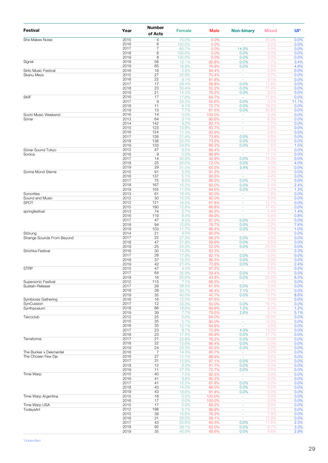| <b>Festival</b>            | Year         | <b>Number</b><br>of Acts | <b>Female</b>   | <b>Male</b>     | <b>Non-binary</b>                    | <b>Mixed</b>   | Ul*          |
|----------------------------|--------------|--------------------------|-----------------|-----------------|--------------------------------------|----------------|--------------|
| She Makes Noise            | 2015         | 4                        | 75.0%           | 0.0%            |                                      | 25.0%          | 0.0%         |
|                            | 2016<br>2017 | 6<br>7                   | 100.0%<br>85.7% | 0.0%<br>0.0%    | ÷,<br>14.3%                          | 0.0%<br>0.0%   | 0.0%<br>0.0% |
|                            | 2018         | 6                        | 100.0%          | 0.0%            | 0.0%                                 | 0.0%           | 0.0%         |
| Signal                     | 2019<br>2018 | 8<br>58                  | 100.0%<br>12.1% | 0.0%<br>82.8%   | 0.0%<br>0.0%                         | 0.0%<br>1.7%   | 0.0%<br>3.4% |
|                            | 2019         | 65                       | 16.9%           | 76.9%           | 0.0%                                 | 1.5%           | 4.6%         |
| Sirilo Music Festival      | 2016         | 18                       | 5.6%            | 94.4%           | $\omega$                             | 0.0%           | 0.0%         |
| Skanu Mezs                 | 2015<br>2016 | 27<br>22                 | 25.9%<br>9.1%   | 70.4%<br>81.8%  | ÷<br>$\omega$                        | 3.7%<br>9.1%   | 0.0%<br>0.0% |
|                            | 2017         | 17                       | 29.4%           | 58.8%           | 0.0%                                 | 11.8%          | 0.0%         |
|                            | 2018         | 23                       | 30.4%           | 52.2%           | 0.0%                                 | 17.4%          | 0.0%         |
| <b>SKIF</b>                | 2019<br>2016 | 21<br>17                 | 14.3%<br>17.6%  | 76.2%<br>64.7%  | 0.0%<br>$\omega$                     | 9.5%<br>17.6%  | 0.0%<br>0.0% |
|                            | 2017         | 9                        | 33.3%           | 55.6%           | 0.0%                                 | 0.0%           | 11.1%        |
|                            | 2018<br>2019 | 11<br>13                 | 9.1%<br>7.7%    | 72.7%<br>61.5%  | 0.0%<br>0.0%                         | 18.2%<br>30.8% | 0.0%<br>0.0% |
| Sochi Music Weekend        | 2016         | 14                       | 0.0%            | 100.0%          | $\sim$                               | 0.0%           | 0.0%         |
| Sónar                      | 2013         | 64                       | 3.1%            | 90.6%           | $\omega$                             | 6.3%           | 0.0%         |
|                            | 2014<br>2015 | 142<br>123               | 9.2%<br>13.8%   | 83.1%<br>83.7%  | ÷<br>÷                               | 7.7%<br>2.4%   | 0.0%<br>0.0% |
|                            | 2016         | 124                      | 11.3%           | 83.9%           | ä,                                   | 4.8%           | 0.0%         |
|                            | 2017         | 126                      | 21.4%           | 73.8%           | 0.0%                                 | 4.8%           | 0.0%         |
|                            | 2018<br>2019 | 138<br>133               | 20.3%<br>24.8%  | 73.2%<br>66.2%  | 0.0%<br>0.0%                         | 6.5%<br>7.5%   | 0.0%<br>1.5% |
| Sónar Sound Tokyo          | 2012         | 47                       | 8.5%            | 89.4%           | $\sim$                               | 2.1%           | 0.0%         |
| Sonica                     | 2016         | 9<br>14                  | 0.0%            | 88.9%           | ä,                                   | 11.1%          | 0.0%         |
|                            | 2017<br>2018 | 25                       | 42.9%<br>20.0%  | 42.9%<br>72.0%  | 0.0%<br>0.0%                         | 14.3%<br>4.0%  | 0.0%<br>4.0% |
|                            | 2019         | 29                       | 31.0%           | 65.5%           | 3.4%                                 | 0.0%           | 0.0%         |
| Sonne Mond Sterne          | 2015<br>2016 | 91<br>137                | 5.5%            | 91.2%           | $\omega$<br>$\omega$                 | 3.3%           | 0.0%         |
|                            | 2017         | 75                       | 5.1%<br>8.0%    | 90.5%<br>89.3%  | 0.0%                                 | 4.4%<br>2.7%   | 0.0%<br>0.0% |
|                            | 2018         | 167                      | 10.2%           | 82.0%           | 0.0%                                 | 5.4%           | 2.4%         |
| Sonorities                 | 2019<br>2013 | 155<br>61                | 11.0%<br>16.4%  | 84.5%<br>82.0%  | 0.0%                                 | 3.2%<br>1.6%   | 1.3%<br>0.0% |
| Sound and Music            | 2012         | 30                       | 10.0%           | 90.0%           | $\sim$<br>ä,                         | 0.0%           | 0.0%         |
| <b>SPOT</b>                | 2012         | 121                      | 16.5%           | 67.8%           | ÷                                    | 15.7%          | 0.0%         |
|                            | 2015<br>2013 | 190<br>74                | 15.8%<br>2.7%   | 66.8%<br>90.5%  | ÷<br>ä,                              | 17.4%<br>5.4%  | 0.0%<br>1.4% |
| springfestival             | 2016         | 119                      | 8.4%            | 89.9%           | $\sim$                               | 0.8%           | 0.8%         |
|                            | 2017         | 47                       | 8.5%            | 87.2%           | 0.0%                                 | 4.3%           | 0.0%         |
|                            | 2018<br>2019 | 94<br>103                | 10.6%<br>11.7%  | 78.7%<br>86.4%  | 0.0%<br>0.0%                         | 3.2%<br>1.0%   | 7.4%<br>1.0% |
| Störung                    | 2014         | 21                       | 9.5%            | 90.5%           | $\sim$                               | 0.0%           | 0.0%         |
| Strange Sounds From Beyond | 2017         | 22                       | 27.3%           | 68.2%           | 0.0%                                 | 4.5%           | 0.0%         |
|                            | 2018<br>2019 | 47<br>25                 | 31.9%<br>24.0%  | 59.6%<br>52.0%  | 0.0%<br>0.0%                         | 8.5%<br>24.0%  | 0.0%<br>0.0% |
| Strichka Festival          | 2016         | 30                       | 13.3%           | 83.3%           | $\omega$                             | 0.0%           | 3.3%         |
|                            | 2017         | 28                       | 17.9%           | 82.1%           | 0.0%                                 | 0.0%           | 0.0%         |
|                            | 2018<br>2019 | 37<br>42                 | 13.5%<br>21.4%  | 86.5%<br>73.8%  | 0.0%<br>0.0%                         | 0.0%<br>2.4%   | 0.0%<br>2.4% |
| <b>STRP</b>                | 2015         | 47                       | 4.3%            | 87.2%           |                                      | 8.5%           | 0.0%         |
|                            | 2017<br>2019 | 64<br>16                 | 35.9%<br>25.0%  | 59.4%<br>43.8%  | 0.0%<br>0.0%                         | 4.7%<br>25.0%  | 0.0%<br>6.3% |
| Supersonic Festival        | 2012         | 113                      | 7.1%            | 88.5%           | $\overline{\phantom{a}}$             | 4.4%           | 0.0%         |
| Sustain-Release            | 2017         | 26                       | 38.5%           | 61.5%           | 0.0%                                 | 0.0%           | 0.0%         |
|                            | 2018<br>2019 | 28<br>35                 | 35.7%<br>40.0%  | 46.4%<br>45.7%  | 7.1%<br>0.0%                         | 10.7%<br>5.7%  | 0.0%<br>8.6% |
| Symbiosis Gathering        | 2016         | 16                       | 12.5%           | 87.5%           | $\sim$                               | 0.0%           | 0.0%         |
| SynCussion                 | 2017         | 12                       | 33.3%           | 50.0%           | 0.0%                                 | 16.7%          | 0.0%         |
| Synthposium                | 2018<br>2019 | 86<br>39                 | 18.6%<br>7.7%   | 69.8%<br>79.5%  | 1.2%<br>2.6%                         | 9.3%<br>5.1%   | 1.2%<br>5.1% |
| Taicoclub                  | 2012         | 25                       | 0.0%            | 84.0%           | ÷                                    | 16.0%          | 0.0%         |
|                            | 2015<br>2016 | 35<br>33                 | 5.7%<br>12.1%   | 80.0%<br>84.8%  | ÷<br>÷,                              | 14.3%<br>3.0%  | 0.0%<br>0.0% |
|                            | 2017         | 23                       | 8.7%            | 73.9%           | 4.3%                                 | 13.0%          | 0.0%         |
|                            | 2018         | 23                       | 17.4%           | 60.9%           | 0.0%                                 | 21.7%          | 0.0%         |
| Terraforma                 | 2017<br>2018 | 21<br>22                 | 23.8%<br>13.6%  | 76.2%<br>86.4%  | 0.0%<br>0.0%                         | 0.0%<br>0.0%   | 0.0%<br>0.0% |
|                            | 2019         | 24                       | 33.3%           | 62.5%           | 0.0%                                 | 4.2%           | 0.0%         |
| The Bunker x Dekmantel     | 2016         | $\overline{7}$           | 14.3%           | 85.7%           | $\omega$                             | 0.0%           | 0.0%         |
| The Chosen Few Dis         | 2016<br>2017 | 27<br>31                 | 11.1%<br>12.9%  | 88.9%<br>87.1%  | ä,<br>0.0%                           | 0.0%<br>0.0%   | 0.0%<br>0.0% |
|                            | 2018         | 12                       | 8.3%            | 91.7%           | 0.0%                                 | 0.0%           | 0.0%         |
|                            | 2019         | 11                       | 27.3%           | 72.7%           | 0.0%                                 | 0.0%           | 0.0%         |
| Time Warp                  | 2015<br>2016 | 40<br>41                 | 7.5%<br>9.8%    | 92.5%<br>90.2%  | $\overline{\phantom{a}}$<br>$\omega$ | 0.0%<br>0.0%   | 0.0%<br>0.0% |
|                            | 2017         | 41                       | 12.2%           | 87.8%           | 0.0%                                 | 0.0%           | 0.0%         |
|                            | 2018         | 43                       | 14.0%           | 86.0%           | 0.0%                                 | 0.0%           | 0.0%         |
| Time Warp Argentina        | 2019<br>2015 | 43<br>16                 | 18.6%<br>0.0%   | 81.4%<br>100.0% | 0.0%<br>÷                            | 0.0%<br>0.0%   | 0.0%<br>0.0% |
|                            | 2016         | 17                       | 0.0%            | 100.0%          | ٠                                    | 0.0%           | 0.0%         |
| Time Warp USA              | 2015         | 17                       | 5.9%            | 88.2%           | ٠                                    | 5.9%           | 0.0%         |
| TodaysArt                  | 2012<br>2015 | 198<br>38                | 6.1%<br>15.8%   | 88.9%<br>76.3%  | ÷<br>÷                               | 5.1%<br>7.9%   | 0.0%<br>0.0% |
|                            | 2016         | 31                       | 29.0%           | 58.1%           | $\overline{\phantom{a}}$             | 12.9%          | 0.0%         |
|                            | 2017         | 43                       | 25.6%           | 60.5%           | 0.0%                                 | 11.6%          | 2.3%         |
|                            | 2018<br>2019 | 92<br>35                 | 26.1%<br>40.0%  | 62.0%<br>48.6%  | 0.0%<br>0.0%                         | 8.7%<br>8.6%   | 3.3%<br>2.9% |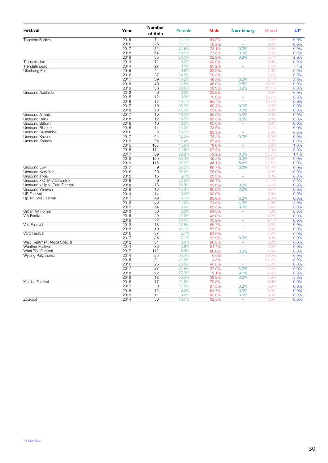| <b>Festival</b>                                                                                                                                                                                                                                                                                                                                                                                                                                                                                                                                                                                                                                                            | Year         | <b>Number</b><br>of Acts | <b>Female</b>  | <b>Male</b>    | <b>Non-binary</b>        | <b>Mixed</b> | $U^*$        |
|----------------------------------------------------------------------------------------------------------------------------------------------------------------------------------------------------------------------------------------------------------------------------------------------------------------------------------------------------------------------------------------------------------------------------------------------------------------------------------------------------------------------------------------------------------------------------------------------------------------------------------------------------------------------------|--------------|--------------------------|----------------|----------------|--------------------------|--------------|--------------|
|                                                                                                                                                                                                                                                                                                                                                                                                                                                                                                                                                                                                                                                                            | 2015         | 71                       | 14.1%          | 84.5%          | í,                       | 1.4%         | 0.0%         |
|                                                                                                                                                                                                                                                                                                                                                                                                                                                                                                                                                                                                                                                                            | 2016         | 26                       | 23.1%          | 76.9%          | ÷.                       | 0.0%         | 0.0%         |
|                                                                                                                                                                                                                                                                                                                                                                                                                                                                                                                                                                                                                                                                            | 2017         | 32                       | 21.9%          | 78.1%          | 0.0%                     | 0.0%         | 0.0%         |
| <b>Together Festival</b><br>Transmission<br>Trendelenburg<br><b>Ultrahang Fest</b><br>Unsound Adelaide<br><b>Unsound Almaty</b><br>Unsound Baku<br>Unsound Batumi<br><b>Unsound Bishkek</b><br>Unsound Dushanbe<br>Unsound Kazan<br>Unsound Krakow<br><b>Unsound Lviv</b><br><b>Unsound New York</b><br><b>Unsound Tbilisi</b><br>Unsound x CTM Vladivostok<br>Unsound x Up to Date Festival<br>Unsound Yerevan<br><b>UP Festival</b><br>Up To Date Festival<br>Urban Art Forms<br><b>VIA Festival</b><br><b>Volt Festival</b><br><b>Voltt Festival</b><br>Wax Treatment Africa Special<br><b>Weather Festival</b><br><b>What The Festival</b><br><b>Wysing Polyphonic</b> | 2018         | 54                       | 16.7%          | 77.8%          | 0.0%                     | 5.6%         | 0.0%         |
|                                                                                                                                                                                                                                                                                                                                                                                                                                                                                                                                                                                                                                                                            | 2019         | 35                       | 20.0%          | 62.9%          | 8.6%                     | 5.7%         | 2.9%         |
|                                                                                                                                                                                                                                                                                                                                                                                                                                                                                                                                                                                                                                                                            | 2014         | 11                       | 0.0%           | 100.0%         | ä,                       | 0.0%         | 0.0%         |
|                                                                                                                                                                                                                                                                                                                                                                                                                                                                                                                                                                                                                                                                            | 2014         | 27                       | 0.0%           | 85.2%          | à.                       | 7.4%         | 7.4%         |
|                                                                                                                                                                                                                                                                                                                                                                                                                                                                                                                                                                                                                                                                            | 2015         | 41                       | 9.8%           | 82.9%          | ä,                       | 7.3%         | 0.0%         |
|                                                                                                                                                                                                                                                                                                                                                                                                                                                                                                                                                                                                                                                                            | 2016         | 37                       | 24.3%          | 70.3%          | ä,                       | 5.4%         | 0.0%         |
|                                                                                                                                                                                                                                                                                                                                                                                                                                                                                                                                                                                                                                                                            | 2017         | 39                       | 46.2%          | 46.2%          | 0.0%                     | 5.1%         | 2.6%         |
|                                                                                                                                                                                                                                                                                                                                                                                                                                                                                                                                                                                                                                                                            | 2018         | 40                       | 42.5%          | 45.0%          | 2.5%                     | 10.0%        | 0.0%         |
|                                                                                                                                                                                                                                                                                                                                                                                                                                                                                                                                                                                                                                                                            | 2019         | 36                       | 30.6%          | 58.3%          | 0.0%                     | 11.1%        | 0.0%         |
|                                                                                                                                                                                                                                                                                                                                                                                                                                                                                                                                                                                                                                                                            | 2012         | 9<br>12                  | 0.0%           | 100.0%         | ä,                       | 0.0%         | 0.0%         |
|                                                                                                                                                                                                                                                                                                                                                                                                                                                                                                                                                                                                                                                                            | 2015         | 12                       | 8.3%           | 75.0%          | ä,                       | 16.7%        | 0.0%         |
|                                                                                                                                                                                                                                                                                                                                                                                                                                                                                                                                                                                                                                                                            | 2016<br>2017 | 19                       | 16.7%<br>26.3% | 66.7%          | $\overline{\phantom{a}}$ | 16.7%        | 0.0%         |
|                                                                                                                                                                                                                                                                                                                                                                                                                                                                                                                                                                                                                                                                            | 2018         | 20                       | 45.0%          | 68.4%<br>55.0% | 0.0%<br>0.0%             | 5.3%         | 0.0%<br>0.0% |
|                                                                                                                                                                                                                                                                                                                                                                                                                                                                                                                                                                                                                                                                            | 2017         | 10                       | 10.0%          | 90.0%          | 0.0%                     | 0.0%<br>0.0% | 0.0%         |
|                                                                                                                                                                                                                                                                                                                                                                                                                                                                                                                                                                                                                                                                            | 2018         | 12                       | 16.7%          | 83.3%          | 0.0%                     | 0.0%         | 0.0%         |
|                                                                                                                                                                                                                                                                                                                                                                                                                                                                                                                                                                                                                                                                            | 2016         | 10                       | 40.0%          | 60.0%          | ÷                        | 0.0%         | 0.0%         |
|                                                                                                                                                                                                                                                                                                                                                                                                                                                                                                                                                                                                                                                                            | 2016         | 14                       | 14.3%          | 78.6%          | ä,                       | 7.1%         | 0.0%         |
|                                                                                                                                                                                                                                                                                                                                                                                                                                                                                                                                                                                                                                                                            | 2016         | 6                        | 16.7%          | 83.3%          | ä,                       | 0.0%         | 0.0%         |
|                                                                                                                                                                                                                                                                                                                                                                                                                                                                                                                                                                                                                                                                            | 2017         | 24                       | 12.5%          | 79.2%          | 0.0%                     | 8.3%         | 0.0%         |
|                                                                                                                                                                                                                                                                                                                                                                                                                                                                                                                                                                                                                                                                            | 2012         | 95                       | 7.4%           | 87.4%          | ä,                       | 5.3%         | 0.0%         |
|                                                                                                                                                                                                                                                                                                                                                                                                                                                                                                                                                                                                                                                                            | 2015         | 103                      | 13.6%          | 78.6%          | ä,                       | 6.8%         | 1.0%         |
|                                                                                                                                                                                                                                                                                                                                                                                                                                                                                                                                                                                                                                                                            | 2016         | 114                      | 24.6%          | 67.5%          | ä,                       | 7.9%         | 0.0%         |
|                                                                                                                                                                                                                                                                                                                                                                                                                                                                                                                                                                                                                                                                            | 2017         | 89                       | 29.2%          | 53.9%          | 0.0%                     | 15.7%        | 1.1%         |
|                                                                                                                                                                                                                                                                                                                                                                                                                                                                                                                                                                                                                                                                            | 2018         | 120                      | 30.0%          | 49.2%          | 0.0%                     | 20.8%        | 0.0%         |
|                                                                                                                                                                                                                                                                                                                                                                                                                                                                                                                                                                                                                                                                            | 2019         | 115                      | 25.2%          | 46.1%          | 5.2%                     | 23.5%        | 0.0%         |
|                                                                                                                                                                                                                                                                                                                                                                                                                                                                                                                                                                                                                                                                            | 2017         | 9                        | 22.2%          | 66.7%          | 0.0%                     | 11.1%        | 0.0%         |
|                                                                                                                                                                                                                                                                                                                                                                                                                                                                                                                                                                                                                                                                            | 2016         | 20                       | 25.0%          | 75.0%          | ÷.                       | 0.0%         | 0.0%         |
|                                                                                                                                                                                                                                                                                                                                                                                                                                                                                                                                                                                                                                                                            | 2012         | 15                       | 6.7%           | 93.3%          | ä,                       | 0.0%         | 0.0%         |
|                                                                                                                                                                                                                                                                                                                                                                                                                                                                                                                                                                                                                                                                            | 2016         | 9                        | 22.2%          | 66.7%          | ä,                       | 11.1%        | 0.0%         |
|                                                                                                                                                                                                                                                                                                                                                                                                                                                                                                                                                                                                                                                                            | 2018         | 18                       | 38.9%          | 55.6%          | 0.0%                     | 5.6%         | 0.0%         |
|                                                                                                                                                                                                                                                                                                                                                                                                                                                                                                                                                                                                                                                                            | 2018         | 15                       | 13.3%          | 80.0%          | 0.0%                     | 6.7%         | 0.0%         |
|                                                                                                                                                                                                                                                                                                                                                                                                                                                                                                                                                                                                                                                                            | 2014         | 14                       | 0.0%           | 100.0%         |                          | 0.0%         | 0.0%         |
|                                                                                                                                                                                                                                                                                                                                                                                                                                                                                                                                                                                                                                                                            | 2017         | 49                       | 4.1%           | 93.9%          | 0.0%                     | 2.0%         | 0.0%         |
|                                                                                                                                                                                                                                                                                                                                                                                                                                                                                                                                                                                                                                                                            | 2018         | 50                       | 14.0%          | 74.0%          | 4.0%                     | 4.0%         | 4.0%         |
|                                                                                                                                                                                                                                                                                                                                                                                                                                                                                                                                                                                                                                                                            | 2019         | 54                       | 9.3%           | 83.3%          | 0.0%                     | 7.4%         | 0.0%         |
|                                                                                                                                                                                                                                                                                                                                                                                                                                                                                                                                                                                                                                                                            | 2013         | 50                       | 2.0%           | 94.0%          | ä,                       | 4.0%         | 0.0%         |
|                                                                                                                                                                                                                                                                                                                                                                                                                                                                                                                                                                                                                                                                            | 2015         | 49                       | 42.9%          | 49.0%          | ä,                       | 8.2%         | 0.0%         |
|                                                                                                                                                                                                                                                                                                                                                                                                                                                                                                                                                                                                                                                                            | 2016         | 22<br>18                 | 50.0%<br>27.8% | 40.9%          | ä,                       | 9.1%         | 0.0%         |
|                                                                                                                                                                                                                                                                                                                                                                                                                                                                                                                                                                                                                                                                            | 2012<br>2013 | 19                       | 42.1%          | 66.7%<br>57.9% | ÷,<br>÷                  | 5.6%<br>0.0% | 0.0%<br>0.0% |
|                                                                                                                                                                                                                                                                                                                                                                                                                                                                                                                                                                                                                                                                            | 2016         | 37                       | 2.7%           | 94.6%          | ä,                       | 2.7%         | 0.0%         |
|                                                                                                                                                                                                                                                                                                                                                                                                                                                                                                                                                                                                                                                                            | 2017         | 28                       | 7.1%           | 92.9%          | 0.0%                     | 0.0%         | 0.0%         |
|                                                                                                                                                                                                                                                                                                                                                                                                                                                                                                                                                                                                                                                                            | 2012         | 31                       | 0.0%           | 96.8%          |                          | 3.2%         | 0.0%         |
|                                                                                                                                                                                                                                                                                                                                                                                                                                                                                                                                                                                                                                                                            | 2014         | 36                       | 5.6%           | 94.4%          | ÷,                       | 0.0%         | 0.0%         |
|                                                                                                                                                                                                                                                                                                                                                                                                                                                                                                                                                                                                                                                                            | 2017         | 112                      | 8.9%           | 86.6%          | 0.0%                     | 4.5%         | 0.0%         |
|                                                                                                                                                                                                                                                                                                                                                                                                                                                                                                                                                                                                                                                                            | 2014         | 25                       | 80.0%          | 0.0%           | ä,                       | 20.0%        | 0.0%         |
|                                                                                                                                                                                                                                                                                                                                                                                                                                                                                                                                                                                                                                                                            | 2015         | 21                       | 42.9%          | 4.8%           | $\overline{\phantom{a}}$ | 52.4%        | 0.0%         |
|                                                                                                                                                                                                                                                                                                                                                                                                                                                                                                                                                                                                                                                                            | 2016         | 25                       | 20.0%          | 40.0%          | ÷.                       | 36.0%        | 0.0%         |
|                                                                                                                                                                                                                                                                                                                                                                                                                                                                                                                                                                                                                                                                            | 2017         | 27                       | 51.9%          | 37.0%          | 3.7%                     | 7.4%         | 0.0%         |
|                                                                                                                                                                                                                                                                                                                                                                                                                                                                                                                                                                                                                                                                            | 2018         | 22                       | 77.3%          | 9.1%           | 9.1%                     | 4.5%         | 0.0%         |
|                                                                                                                                                                                                                                                                                                                                                                                                                                                                                                                                                                                                                                                                            | 2019         | 18                       | 50.0%          | 38.9%          | 0.0%                     | 5.6%         | 5.6%         |
| Xibalba Festival                                                                                                                                                                                                                                                                                                                                                                                                                                                                                                                                                                                                                                                           | 2016         | 17                       | 23.5%          | 70.6%          |                          | 5.9%         | 0.0%         |
|                                                                                                                                                                                                                                                                                                                                                                                                                                                                                                                                                                                                                                                                            | 2017         | 8                        | 12.5%          | 87.5%          | 0.0%                     | 0.0%         | 0.0%         |
|                                                                                                                                                                                                                                                                                                                                                                                                                                                                                                                                                                                                                                                                            | 2018         | 12                       | 8.3%           | 91.7%          | 0.0%                     | 0.0%         | 0.0%         |
|                                                                                                                                                                                                                                                                                                                                                                                                                                                                                                                                                                                                                                                                            | 2019         | 11                       | 0.0%           | 100.0%         | 0.0%                     | 0.0%         | 0.0%         |
| Zoukout                                                                                                                                                                                                                                                                                                                                                                                                                                                                                                                                                                                                                                                                    | 2014         | 30                       | 16.7%          | 83.3%          | ä,                       | 0.0%         | 0.0%         |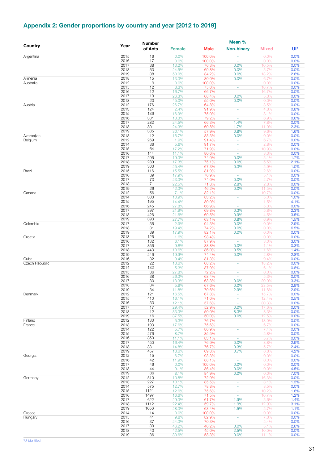## <span id="page-30-0"></span>**Appendix 2: Gender proportions by country and year [2012 to 2019]**

|                |              | <b>Number</b> |                |                | Mean %                             |                |              |
|----------------|--------------|---------------|----------------|----------------|------------------------------------|----------------|--------------|
| Country        | Year         | of Acts       | <b>Female</b>  | <b>Male</b>    | <b>Non-binary</b>                  | <b>Mixed</b>   | UI*          |
| Argentina      | 2015         | 16            | 0.0%           | 100.0%         | $\overline{\phantom{a}}$           | 0.0%           | 0.0%         |
|                | 2016         | 17            | 0.0%           | 100.0%         | ÷,                                 | 0.0%           | 0.0%         |
|                | 2017<br>2018 | 38<br>53      | 13.2%<br>24.5% | 76.3%<br>69.8% | 0.0%<br>0.0%                       | 10.5%<br>5.7%  | 0.0%<br>0.0% |
|                | 2019         | 38            | 50.0%          | 34.2%          | 0.0%                               | 13.2%          | 2.6%         |
| Armenia        | 2018         | 15            | 13.3%          | 80.0%          | 0.0%                               | 6.7%           | 0.0%         |
| Australia      | 2012         | 9             | 0.0%           | 100.0%         | $\sim$                             | 0.0%           | 0.0%         |
|                | 2015<br>2016 | 12<br>12      | 8.3%<br>16.7%  | 75.0%<br>66.7% | $\omega$<br>$\omega$               | 16.7%<br>16.7% | 0.0%<br>0.0% |
|                | 2017         | 19            | 26.3%          | 68.4%          | 0.0%                               | 5.3%           | 0.0%         |
|                | 2018         | 20            | 45.0%          | 55.0%          | 0.0%                               | 0.0%           | 0.0%         |
| Austria        | 2012         | 176           | 26.7%          | 64.8%          | $\omega$                           | 8.5%           | 0.0%         |
|                | 2013<br>2015 | 124<br>136    | 2.4%<br>16.9%  | 91.9%<br>75.0% | $\sim$<br>$\omega$                 | 4.8%<br>8.1%   | 0.8%<br>0.0% |
|                | 2016         | 331           | 13.3%          | 79.2%          | $\sim$                             | 6.9%           | 0.6%         |
|                | 2017         | 282           | 24.5%          | 66.3%          | 1.4%                               | 7.8%           | 0.0%         |
|                | 2018         | 301           | 24.3%          | 60.8%          | 1.7%                               | 11.0%          | 2.3%         |
| Azerbaijan     | 2019<br>2018 | 385<br>12     | 30.1%<br>16.7% | 57.9%<br>83.3% | 0.8%<br>0.0%                       | 9.6%<br>0.0%   | 1.6%<br>0.0% |
| Belgium        | 2012         | 269           | 1.9%           | 91.4%          | $\overline{\phantom{a}}$           | 6.7%           | 0.0%         |
|                | 2014         | 36            | 5.6%           | 91.7%          | $\sim$                             | 2.8%           | 0.0%         |
|                | 2015<br>2016 | 64<br>144     | 17.2%<br>11.1% | 71.9%<br>80.6% | $\sim$<br>$\omega$                 | 10.9%<br>8.3%  | 0.0%<br>0.0% |
|                | 2017         | 296           | 19.3%          | 74.0%          | 0.0%                               | 5.1%           | 1.7%         |
|                | 2018         | 289           | 17.3%          | 75.1%          | 0.0%                               | 5.5%           | 2.1%         |
|                | 2019         | 303           | 25.4%          | 67.3%          | 0.3%                               | 5.9%           | 1.0%         |
| Brazil         | 2015<br>2016 | 116<br>39     | 15.5%<br>17.9% | 81.9%<br>76.9% | $\omega$ .<br>$\sim$               | 2.6%<br>5.1%   | 0.0%<br>0.0% |
|                | 2017         | 73            | 23.3%          | 74.0%          | 0.0%                               | 2.7%           | 0.0%         |
|                | 2018         | 71            | 22.5%          | 71.8%          | 2.8%                               | 2.8%           | 0.0%         |
|                | 2019         | 26            | 42.3%          | 46.2%          | 0.0%                               | 11.5%          | 0.0%         |
| Canada         | 2012<br>2014 | 56<br>303     | 7.1%<br>10.9%  | 82.1%<br>83.2% | $\overline{\phantom{a}}$<br>$\sim$ | 10.7%<br>5.0%  | 0.0%<br>1.0% |
|                | 2015         | 195           | 14.4%          | 80.0%          | $\sim$                             | 1.5%           | 4.1%         |
|                | 2016         | 245           | 27.8%          | 66.9%          | ÷.                                 | 5.3%           | 0.0%         |
|                | 2017         | 397           | 21.9%          | 69.8%          | 0.3%                               | 5.8%           | 2.3%         |
|                | 2018<br>2019 | 426<br>393    | 21.6%<br>27.7% | 69.5%<br>63.1% | 0.9%<br>0.8%                       | 4.5%<br>6.9%   | 3.5%<br>1.5% |
| Colombia       | 2017         | 35            | 2.9%           | 94.3%          | 0.0%                               | 0.0%           | 2.9%         |
|                | 2018         | 31            | 19.4%          | 74.2%          | 0.0%                               | 0.0%           | 6.5%         |
|                | 2019         | 39            | 17.9%          | 82.1%          | 0.0%<br>$\omega$ .                 | 0.0%           | 0.0%         |
| Croatia        | 2013<br>2016 | 126<br>132    | 1.6%<br>6.1%   | 98.4%<br>87.9% | $\sim$                             | 0.0%<br>3.0%   | 0.0%<br>3.0% |
|                | 2017         | 356           | 9.8%           | 88.8%          | 0.0%                               | 1.1%           | 0.3%         |
|                | 2018         | 443           | 10.6%          | 86.0%          | 0.5%                               | 1.6%           | 1.4%         |
| Cuba           | 2019<br>2016 | 246<br>32     | 19.9%<br>9.4%  | 74.4%<br>81.3% | 0.0%<br>$\overline{\phantom{a}}$   | 2.8%<br>9.4%   | 2.8%<br>0.0% |
| Czech Republic | 2012         | 22            | 13.6%          | 68.2%          | $\sim$                             | 18.2%          | 0.0%         |
|                | 2014         | 132           | 5.3%           | 87.9%          | ٠                                  | 6.1%           | 0.8%         |
|                | 2015         | 36            | 27.8%          | 72.2%          | ÷                                  | 0.0%           | 0.0%         |
|                | 2016<br>2017 | 38<br>30      | 26.3%<br>13.3% | 68.4%<br>63.3% | $\sim$<br>0.0%                     | 5.3%<br>20.0%  | 0.0%<br>3.3% |
|                | 2018         | 34            | 5.9%           | 67.6%          | 0.0%                               | 23.5%          | 2.9%         |
|                | 2019         | 34            | 11.8%          | 70.6%          | 2.9%                               | 11.8%          | 2.9%         |
| Denmark        | 2012<br>2015 | 121<br>410    | 16.5%<br>16.1% | 67.8%<br>71.0% | $\omega_{\rm c}$                   | 15.7%<br>12.4% | 0.0%<br>0.5% |
|                | 2016         | 33            | 12.1%          | 57.6%          | $\sim$<br>$\sim$                   | 30.3%          | 0.0%         |
|                | 2017         | 17            | 29.4%          | 52.9%          | 0.0%                               | 17.6%          | 0.0%         |
|                | 2018         | 12            | 33.3%          | 50.0%          | 8.3%                               | 8.3%           | 0.0%         |
| Finland        | 2019<br>2012 | 16<br>133     | 37.5%<br>5.3%  | 50.0%<br>76.7% | 0.0%<br>$\sim$                     | 12.5%<br>18.0% | 0.0%<br>0.0% |
| France         | 2013         | 193           | 17.6%          | 75.6%          | ÷                                  | 6.7%           | 0.0%         |
|                | 2014         | 122           | 5.7%           | 86.9%          | ÷.                                 | 7.4%           | 0.0%         |
|                | 2015<br>2016 | 276<br>350    | 8.7%<br>11.1%  | 85.5%<br>83.1% | ×<br>$\sim$                        | 5.8%           | 0.0%<br>0.0% |
|                | 2017         | 450           | 16.4%          | 76.9%          | 0.0%                               | 5.7%<br>3.8%   | 2.9%         |
|                | 2018         | 331           | 14.8%          | 76.7%          | 0.3%                               | 5.7%           | 2.4%         |
|                | 2019         | 457           | 18.6%          | 69.8%          | 0.7%                               | 6.8%           | 4.2%         |
| Georgia        | 2012<br>2016 | 15<br>42      | 6.7%<br>11.9%  | 93.3%<br>88.1% | $\sim$<br>$\sim$                   | 0.0%<br>0.0%   | 0.0%<br>0.0% |
|                | 2017         | 46            | 0.0%           | 100.0%         | 0.0%                               | 0.0%           | 0.0%         |
|                | 2018         | 44            | 9.1%           | 86.4%          | 0.0%                               | 0.0%           | 4.5%         |
|                | 2019         | 86            | 8.1%           | 84.9%          | 0.0%                               | 0.0%           | 7.0%         |
| Germany        | 2012<br>2013 | 510<br>227    | 10.8%<br>10.1% | 72.9%<br>85.5% | ÷<br>$\omega$                      | 16.3%<br>3.1%  | 0.0%<br>1.3% |
|                | 2014         | 575           | 12.7%          | 78.8%          | ٠                                  | 8.5%           | 0.0%         |
|                | 2015         | 1121          | 12.6%          | 75.6%          | $\equiv$                           | 10.2%          | 1.6%         |
|                | 2016         | 1497          | 16.6%          | 71.5%          | $\omega$                           | 10.7%          | 1.2%         |
|                | 2017<br>2018 | 622<br>1112   | 29.3%<br>22.4% | 61.7%<br>59.7% | 1.9%<br>1.9%                       | 5.6%<br>12.9%  | 1.4%<br>3.1% |
|                | 2019         | 1056          | 28.3%          | 63.4%          | 1.5%                               | 5.7%           | 1.1%         |
| Greece         | 2014         | 14            | 0.0%           | 100.0%         | $\sim$                             | 0.0%           | 0.0%         |
| Hungary        | 2015         | 41            | 9.8%           | 82.9%          | ÷                                  | 7.3%           | 0.0%         |
|                | 2016<br>2017 | 37<br>39      | 24.3%<br>46.2% | 70.3%<br>46.2% | $\omega$<br>0.0%                   | 5.4%<br>5.1%   | 0.0%<br>2.6% |
|                | 2018         | 40            | 42.5%          | 45.0%          | 2.5%                               | 10.0%          | 0.0%         |
|                | 2019         | 36            | 30.6%          | 58.3%          | 0.0%                               | 11.1%          | 0.0%         |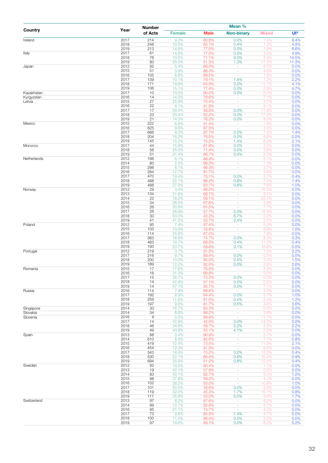|                          |              | <b>Number</b>     |                |                | Mean %                               |                |               |
|--------------------------|--------------|-------------------|----------------|----------------|--------------------------------------|----------------|---------------|
| Country                  | Year         | of Acts           | <b>Female</b>  | <b>Male</b>    | <b>Non-binary</b>                    | <b>Mixed</b>   | UI*           |
| Ireland                  | 2017         | 214               | 9.3%           | 80.8%          | 0.0%                                 | 1.4%           | 8.4%          |
|                          | 2018<br>2019 | 248<br>213        | 10.5%<br>14.6% | 83.1%<br>77.0% | 0.4%<br>0.0%                         | 1.2%<br>1.9%   | 4.8%<br>6.6%  |
| Italy                    | 2017         | 61                | 14.8%          | 77.0%          | 0.0%                                 | 3.3%           | 4.9%          |
|                          | 2018         | 76                | 10.5%          | 71.1%          | 0.0%                                 | 3.9%           | 14.5%         |
| Japan                    | 2019<br>2012 | 80<br>92          | 25.0%<br>5.4%  | 51.3%<br>88.0% | 1.3%<br>÷                            | 11.3%<br>6.5%  | 11.3%<br>0.0% |
|                          | 2015         | 51                | 3.9%           | 86.3%          | ÷,                                   | 9.8%           | 0.0%          |
|                          | 2016         | 105               | 8.6%           | 89.5%          | $\omega$                             | 1.9%<br>7.2%   | 0.0%          |
|                          | 2017<br>2018 | 139<br>171        | 10.1%<br>19.9% | 79.1%<br>64.9% | 1.4%<br>0.0%                         | 11.1%          | 2.2%<br>4.1%  |
|                          | 2019         | 106               | 15.1%          | 77.4%          | 0.0%                                 | 2.8%           | 4.7%          |
| Kazakhstan<br>Kyrgyzstan | 2017<br>2016 | 10<br>14          | 10.0%<br>14.3% | 90.0%<br>78.6% | 0.0%<br>÷                            | 0.0%<br>7.1%   | 0.0%<br>0.0%  |
| Latvia                   | 2015         | 27                | 25.9%          | 70.4%          | $\overline{\phantom{a}}$             | 3.7%           | 0.0%          |
|                          | 2016         | 22                | 9.1%           | 81.8%          | ÷,                                   | 9.1%           | 0.0%          |
|                          | 2017<br>2018 | 17<br>23          | 29.4%<br>30.4% | 58.8%<br>52.2% | 0.0%<br>0.0%                         | 11.8%<br>17.4% | 0.0%<br>0.0%  |
|                          | 2019         | 21                | 14.3%          | 76.2%          | 0.0%                                 | 9.5%           | 0.0%          |
| Mexico                   | 2015         | 222               | 6.8%           | 91.4%          | $\overline{\phantom{a}}$             | 1.8%           | 0.0%          |
|                          | 2016<br>2017 | 625<br>666        | 9.6%<br>9.3%   | 87.5%<br>87.7% | $\omega_{\rm c}$<br>0.2%             | 2.4%<br>1.5%   | 0.5%<br>1.4%  |
|                          | 2018         | 204               | 16.2%          | 76.5%          | 0.0%                                 | 6.9%           | 0.5%          |
|                          | 2019         | 145               | 15.2%          | 75.2%          | 1.4%                                 | 6.2%           | 2.1%          |
| Morocco                  | 2017<br>2018 | 44<br>56          | 15.9%<br>25.0% | 81.8%<br>71.4% | 0.0%<br>0.0%                         | 2.3%<br>3.6%   | 0.0%<br>0.0%  |
|                          | 2019         | 51                | 31.4%          | 66.7%          | 0.0%                                 | 2.0%           | 0.0%          |
| Netherlands              | 2012         | 198               | 6.1%           | 88.9%          | $\omega_{\rm c}$                     | 5.1%           | 0.0%          |
|                          | 2014<br>2015 | 80<br>298         | 2.5%<br>8.1%   | 96.3%<br>88.3% | $\omega$<br>$\overline{\phantom{a}}$ | 1.3%<br>3.7%   | 0.0%<br>0.0%  |
|                          | 2016         | 284               | 12.7%          | 81.7%          | $\overline{\phantom{a}}$             | 5.6%           | 0.0%          |
|                          | 2017<br>2018 | 470<br>488        | 19.4%<br>22.1% | 75.1%<br>68.2% | 0.0%<br>0.8%                         | 5.1%<br>7.4%   | 0.4%          |
|                          | 2019         | 488               | 27.0%          | 63.7%          | 0.6%                                 | 7.6%           | 1.4%<br>1.0%  |
| Norway                   | 2012         | 29                | 3.4%           | 86.2%          | ä,                                   | 10.3%          | 0.0%          |
|                          | 2013<br>2014 | 134<br>22         | 21.6%<br>18.2% | 68.7%<br>59.1% | $\overline{\phantom{a}}$<br>$\omega$ | 9.7%<br>22.7%  | 0.0%<br>0.0%  |
|                          | 2015         | 34                | 26.5%          | 67.6%          | $\omega$                             | 5.9%           | 0.0%          |
|                          | 2016         | 26                | 30.8%          | 61.5%          | $\omega$                             | 7.7%           | 0.0%          |
|                          | 2017<br>2018 | 26<br>30          | 26.9%<br>50.0% | 57.7%<br>43.3% | 0.0%<br>6.7%                         | 15.4%<br>0.0%  | 0.0%<br>0.0%  |
|                          | 2019         | 41                | 41.5%          | 53.7%          | 2.4%                                 | 2.4%           | 0.0%          |
| Poland                   | 2012         | 95                | 7.4%           | 87.4%          | ÷                                    | 5.3%           | 0.0%          |
|                          | 2015<br>2016 | 103<br>114        | 13.6%<br>24.6% | 78.6%<br>67.5% | $\omega$<br>$\sim$                   | 6.8%<br>7.9%   | 1.0%<br>0.0%  |
|                          | 2017         | 363               | 16.8%          | 74.7%          | 0.0%                                 | 8.3%           | 0.3%          |
|                          | 2018         | 463               | 19.7%          | 68.5%          | 0.4%                                 | 11.0%          | 0.4%          |
| Portugal                 | 2019<br>2012 | 193<br>219        | 20.7%<br>3.7%  | 59.6%<br>91.3% | 3.1%<br>$\overline{\phantom{a}}$     | 16.6%<br>1.8%  | 0.0%<br>3.2%  |
|                          | 2017         | 216               | 9.7%           | 89.4%          | 0.0%                                 | 0.5%           | 0.5%          |
|                          | 2018         | 200               | 10.0%          | 85.0%          | 0.5%                                 | 3.0%           | 1.5%          |
| Romania                  | 2019<br>2015 | 189<br>17         | 12.2%<br>17.6% | 82.5%<br>76.5% | 0.0%                                 | 2.6%<br>5.9%   | 2.6%<br>0.0%  |
|                          | 2016         | 16                | 31.3%          | 68.8%          | $\omega$                             | 0.0%           | 0.0%          |
|                          | 2017         | 15                | 26.7%          | 73.3%          | 0.0%                                 | 0.0%           | 0.0%          |
|                          | 2018<br>2019 | 14<br>14          | 42.9%<br>57.1% | 57.1%<br>35.7% | 0.0%<br>0.0%                         | 0.0%<br>7.1%   | 0.0%<br>0.0%  |
| Russia                   | 2016         | 114               | 7.9%           | 88.6%          | $\sim$                               | 3.5%           | 0.0%          |
|                          | 2017         | 192               | 8.9%           | 84.4%          | 0.0%                                 | 5.7%           | 1.0%          |
|                          | 2018<br>2019 | 259<br>197        | 11.6%<br>9.6%  | 81.5%<br>81.7% | 0.4%<br>0.5%                         | 5.4%<br>4.6%   | 1.2%<br>3.6%  |
| Singapore                | 2014         | 30                | 16.7%          | 83.3%          | ÷                                    | 0.0%           | 0.0%          |
| Slovakia<br>Slovenia     | 2014<br>2016 | 34<br>$\mathsf 9$ | 8.8%           | 88.2%<br>88.9% | $\omega$<br>$\omega$                 | 2.9%           | 0.0%          |
|                          | 2017         | 14                | 0.0%<br>42.9%  | 42.9%          | 0.0%                                 | 11.1%<br>14.3% | 0.0%<br>0.0%  |
|                          | 2018         | 46                | 34.8%          | 58.7%          | 2.2%                                 | 2.2%           | 2.2%          |
| Spain                    | 2019<br>2013 | 49<br>88          | 40.8%<br>3.4%  | 55.1%<br>90.9% | 4.1%<br>$\sim$                       | 0.0%<br>5.7%   | 0.0%<br>0.0%  |
|                          | 2014         | 610               | 8.9%           | 82.6%          | ÷.                                   | 7.7%           | 0.8%          |
|                          | 2015         | 419               | 12.4%          | 73.5%          | $\overline{\phantom{a}}$             | 11.9%          | 2.1%          |
|                          | 2016<br>2017 | 454<br>543        | 12.3%<br>16.9% | 81.5%<br>70.2% | ÷.<br>0.2%                           | 6.2%<br>12.3%  | 0.0%<br>0.4%  |
|                          | 2018         | 530               | 22.1%          | 66.0%          | 0.6%                                 | 10.4%          | 0.9%          |
|                          | 2019         | 694               | 35.6%          | 51.2%          | 0.6%                                 | 12.2%          | 0.4%          |
| Sweden                   | 2012<br>2013 | 92<br>19          | 18.5%<br>42.1% | 80.4%<br>57.9% | $\omega$ .<br>$\sim$                 | 1.1%<br>0.0%   | 0.0%<br>0.0%  |
|                          | 2014         | 83                | 30.1%          | 62.7%          | ÷                                    | 6.0%           | 1.2%          |
|                          | 2015         | 98                | 37.8%          | 58.2%          | $\sim$                               | 4.1%           | 0.0%          |
|                          | 2016<br>2017 | 102<br>101        | 38.2%<br>50.5% | 50.0%<br>39.6% | $\sim$<br>3.0%                       | 10.8%<br>6.9%  | 1.0%<br>0.0%  |
|                          | 2018         | 119               | 42.0%          | 45.4%          | 1.7%                                 | 10.1%          | 0.8%          |
|                          | 2019         | 117               | 35.9%          | 53.0%          | 0.0%                                 | 9.4%           | 1.7%          |
| Switzerland              | 2013<br>2014 | 97<br>99          | 6.2%<br>12.1%  | 87.6%<br>82.8% | $\equiv$<br>$\omega$                 | 6.2%<br>5.1%   | 0.0%<br>0.0%  |
|                          | 2016         | 95                | 21.1%          | 74.7%          | $\equiv$                             | 4.2%           | 0.0%          |
|                          | 2017         | 73                | 9.6%           | 84.9%          | 1.4%                                 | 4.1%           | 0.0%          |
|                          | 2018<br>2019 | 100<br>97         | 11.0%          | 86.0%          | 0.0%<br>0.0%                         | 3.0%<br>6.2%   | 0.0%          |
|                          |              |                   | 19.6%          | 69.1%          |                                      |                | 5.2%          |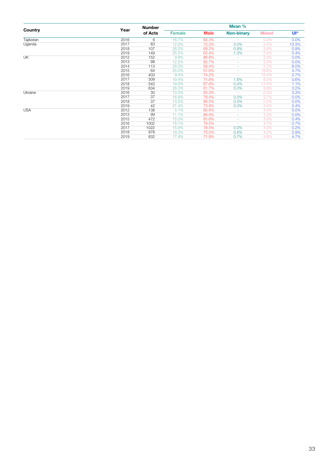|                                              |      | <b>Number</b> |               |             | Mean %            |              |        |
|----------------------------------------------|------|---------------|---------------|-------------|-------------------|--------------|--------|
| Country<br>Tajikistan<br>Uganda<br><b>UK</b> | Year | of Acts       | <b>Female</b> | <b>Male</b> | <b>Non-binary</b> | <b>Mixed</b> | $UI^*$ |
|                                              | 2016 | 6             | 16.7%         | 83.3%       |                   | 0.0%         | 0.0%   |
|                                              | 2017 | 83            | 12.0%         | 72.3%       | 0.0%              | 2.4%         | 13.3%  |
|                                              | 2018 | 107           | 26.2%         | 69.2%       | 0.9%              | 2.8%         | 0.9%   |
|                                              | 2019 | 149           | 25.5%         | 62.4%       | 1.3%              | 5.4%         | 5.4%   |
|                                              | 2012 | 152           | 9.9%          | 86.8%       | ٠                 | 3.3%         | 0.0%   |
|                                              | 2013 | 98            | 12.2%         | 85.7%       | ×.                | 2.0%         | 0.0%   |
|                                              | 2014 | 113           | 28.3%         | 58.4%       | ٠                 | 5.3%         | 8.0%   |
|                                              | 2015 | 64            | 25.0%         | 51.6%       | ٠                 | 18.8%        | 4.7%   |
|                                              | 2016 | 403           | 9.4%          | 74.2%       | ٠                 | 13.4%        | 2.7%   |
|                                              | 2017 | 309           | 19.4%         | 71.8%       | 1.6%              | 6.5%         | 0.6%   |
|                                              | 2018 | 543           | 19.5%         | 67.6%       | 0.4%              | 11.4%        | 1.1%   |
|                                              | 2019 | 634           | 26.3%         | 61.7%       | 0.0%              | 8.8%         | 3.2%   |
| Ukraine                                      | 2016 | 30            | 13.3%         | 83.3%       |                   | 0.0%         | 3.3%   |
|                                              | 2017 | 37            | 18.9%         | 78.4%       | 0.0%              | 2.7%         | 0.0%   |
|                                              | 2018 | 37            | 13.5%         | 86.5%       | 0.0%              | 0.0%         | 0.0%   |
|                                              | 2019 | 42            | 21.4%         | 73.8%       | 0.0%              | 2.4%         | 2.4%   |
| <b>USA</b>                                   | 2012 | 138           | 5.1%          | 90.6%       | ٠                 | 4.3%         | 0.0%   |
|                                              | 2013 | 99            | 11.1%         | 86.9%       | ٠                 | 2.0%         | 0.0%   |
|                                              | 2015 | 472           | 15.0%         | 81.6%       | ٠                 | 3.0%         | 0.4%   |
|                                              | 2016 | 1002          | 15.1%         | 79.5%       |                   | 4.7%         | 0.7%   |
|                                              | 2017 | 1022          | 15.9%         | 78.5%       | 0.0%              | 5.5%         | 0.2%   |
|                                              | 2018 | 978           | 19.3%         | 73.0%       | 0.6%              | 4.2%         | 2.9%   |
|                                              | 2019 | 832           | 17.9%         | 71.9%       | 0.7%              | 4.8%         | 4.7%   |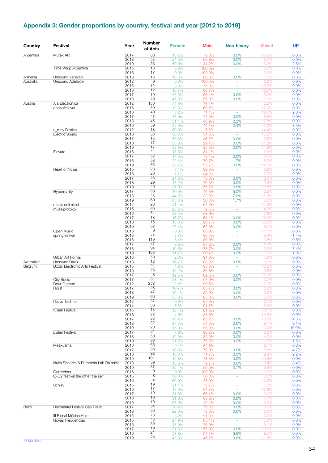## <span id="page-33-0"></span>**Appendix 3: Gender proportions by country, festival and year [2012 to 2019]**

| Country    | <b>Festival</b>                             | Year         | <b>Number</b><br>of Acts | <b>Female</b>  | <b>Male</b>     | <b>Non-binary</b>        | <b>Mixed</b>   | Ul*          |
|------------|---------------------------------------------|--------------|--------------------------|----------------|-----------------|--------------------------|----------------|--------------|
| Argentina  | Mutek AR                                    | 2017         | $\overline{38}$          | 13.2%          | 76.3%           | 0.0%                     | 10.5%          | 0.0%         |
|            |                                             | 2018         | 53                       | 24.5%          | 69.8%           | 0.0%                     | 5.7%           | 0.0%         |
|            | Time Warp Argentina                         | 2019<br>2015 | 38<br>16                 | 50.0%<br>0.0%  | 34.2%<br>100.0% | 0.0%<br>$\sim$           | 13.2%<br>0.0%  | 2.6%<br>0.0% |
|            |                                             | 2016         | 17                       | 0.0%           | 100.0%          | $\sim$                   | 0.0%           | 0.0%         |
| Armenia    | Unsound Yerevan                             | 2018         | 15                       | 13.3%          | 80.0%           | 0.0%                     | 6.7%           | 0.0%         |
| Australia  | Unsound Adelaide                            | 2012         | $\hbox{9}$               | 0.0%           | 100.0%          | $\sim$                   | 0.0%           | 0.0%         |
|            |                                             | 2015         | 12                       | 8.3%           | 75.0%           | $\omega$                 | 16.7%          | 0.0%         |
|            |                                             | 2016<br>2017 | 12<br>19                 | 16.7%<br>26.3% | 66.7%<br>68.4%  | ٠                        | 16.7%<br>5.3%  | 0.0%<br>0.0% |
|            |                                             | 2018         | 20                       | 45.0%          | 55.0%           | 0.0%<br>0.0%             | 0.0%           | 0.0%         |
| Austria    | Ars Electronica                             | 2012         | 130                      | 24.6%          | 73.1%           | $\overline{\phantom{a}}$ | 2.3%           | 0.0%         |
|            | donaufestival                               | 2015         | 39                       | 12.8%          | 69.2%           | $\omega$                 | 17.9%          | 0.0%         |
|            |                                             | 2016         | 49                       | 8.2%           | 71.4%           | $\omega$                 | 18.4%          | 2.0%         |
|            |                                             | 2017         | 47                       | 17.0%          | 74.5%           | 0.0%                     | 8.5%           | 0.0%         |
|            |                                             | 2018         | 45<br>59                 | 31.1%          | 48.9%           | 2.2%                     | 17.8%          | 0.0%         |
|            | e_may Festival                              | 2019<br>2012 | 18                       | 22.0%<br>50.0% | 44.1%<br>5.6%   | 3.4%<br>$\sim$           | 22.0%<br>44.4% | 8.5%<br>0.0% |
|            | <b>Electric Spring</b>                      | 2016         | 33                       | 30.3%          | 54.5%           | $\omega$                 | 15.2%          | 0.0%         |
|            |                                             | 2017         | 13                       | 53.8%          | 46.2%           | 0.0%                     | 0.0%           | 0.0%         |
|            |                                             | 2018         | 17                       | 58.8%          | 29.4%           | 0.0%                     | 11.8%          | 0.0%         |
|            |                                             | 2019         | 17                       | 52.9%          | 35.3%           | 0.0%                     | 11.8%          | 0.0%         |
|            | Elevate                                     | 2016         | 44<br>52                 | 13.6%          | 84.1%           | $\omega$                 | 2.3%           | 0.0%         |
|            |                                             | 2017<br>2018 | 58                       | 17.3%<br>22.4% | 73.1%<br>70.7%  | 0.0%<br>1.7%             | 9.6%<br>5.2%   | 0.0%<br>0.0% |
|            |                                             | 2019         | 55                       | 32.7%          | 52.7%           | 0.0%                     | 14.5%          | 0.0%         |
|            | Heart of Noise                              | 2015         | 28                       | 7.1%           | 89.3%           | $\sim$                   | 3.6%           | 0.0%         |
|            |                                             | 2016         | 26                       | 7.7%           | 84.6%           | $\omega$                 | 7.7%           | 0.0%         |
|            |                                             | 2017         | 25                       | 24.0%          | 76.0%           | 0.0%                     | 0.0%           | 0.0%         |
|            |                                             | 2018         | 29                       | 17.2%          | 79.3%           | 0.0%                     | 3.4%           | 0.0%         |
|            |                                             | 2019         | 29<br>80                 | 31.0%          | 55.2%           | 0.0%                     | 13.8%          | 0.0%         |
|            | Hyperreality                                | 2017<br>2018 | 43                       | 40.0%<br>44.2% | 46.3%<br>32.6%  | 5.0%<br>7.0%             | 8.8%<br>16.3%  | 0.0%<br>0.0% |
|            |                                             | 2019         | 60                       | 63.3%          | 30.0%           | 1.7%                     | 5.0%           | 0.0%         |
|            | music unlimited                             | 2012         | 28                       | 21.4%          | 64.3%           | $\omega$                 | 14.3%          | 0.0%         |
|            | musikprotokoll                              | 2015         | 69                       | 23.2%          | 72.5%           | ٠                        | 4.3%           | 0.0%         |
|            |                                             | 2016         | 51                       | 23.5%          | 68.6%           | $\omega$                 | 7.8%           | 0.0%         |
|            |                                             | 2017         | 18                       | 16.7%          | 61.1%           | 0.0%                     | 22.2%          | 0.0%         |
|            |                                             | 2018<br>2019 | 15<br>62                 | 13.3%<br>27.4% | 26.7%<br>62.9%  | 0.0%<br>0.0%             | 60.0%<br>9.7%  | 0.0%<br>0.0% |
|            | Open Music                                  | 2016         | $\mathsf g$              | 0.0%           | 88.9%           | $\omega$                 | 11.1%          | 0.0%         |
|            | springfestival                              | 2013         | 74                       | 2.7%           | 90.5%           | $\sim$                   | 5.4%           | 1.4%         |
|            |                                             | 2016         | 119                      | 8.4%           | 89.9%           | $\omega$                 | 0.8%           | 0.8%         |
|            |                                             | 2017         | 47                       | 8.5%           | 87.2%           | 0.0%                     | 4.3%           | 0.0%         |
|            |                                             | 2018         | 94                       | 10.6%          | 78.7%           | 0.0%                     | 3.2%           | 7.4%         |
|            | Urban Art Forms                             | 2019<br>2013 | 103<br>50                | 11.7%<br>2.0%  | 86.4%<br>94.0%  | 0.0%<br>$\omega$         | 1.0%<br>4.0%   | 1.0%<br>0.0% |
| Azerbaijan | Unsound Baku                                | 2018         | 12                       | 16.7%          | 83.3%           | 0.0%                     | 0.0%           | 0.0%         |
| Belgium    | Bozar Electronic Arts Festival              | 2015         | 24                       | 4.2%           | 83.3%           | $\sim$                   | 12.5%          | 0.0%         |
|            |                                             | 2016         | 26                       | 15.4%          | 80.8%           | $\omega$                 | 3.8%           | 0.0%         |
|            |                                             | 2017         | 8                        | 12.5%          | 62.5%           | 0.0%                     | 25.0%          | 0.0%         |
|            | City Sonic                                  | 2017         | 81<br>232                | 28.4%          | 67.9%           | 0.0%                     | 3.7%           | 0.0%         |
|            | Dour Festival<br>Horst                      | 2012<br>2017 | 28                       | 2.2%<br>10.7%  | 90.5%<br>85.7%  | ×.<br>0.0%               | 7.3%<br>3.6%   | 0.0%<br>0.0% |
|            |                                             | 2018         | 47                       | 19.1%          | 80.9%           | 0.0%                     | 0.0%           | 0.0%         |
|            |                                             | 2019         | 60                       | 35.0%          | 65.0%           | 0.0%                     | 0.0%           | 0.0%         |
|            | I Love Techno                               | 2012         | 37                       | 0.0%           | 97.3%           | $\sim$                   | 2.7%           | 0.0%         |
|            |                                             | 2014         | 36                       | 5.6%           | 91.7%           | ÷,                       | 2.8%           | 0.0%         |
|            | Kraak Festival                              | 2015         | 13<br>22                 | 15.4%          | 61.5%           | $\omega$                 | 23.1%          | 0.0%         |
|            |                                             | 2016         | 23                       | 4.5%           | 81.8%<br>65.2%  | $\sim$                   | 13.6%<br>13.0% | 0.0%         |
|            |                                             | 2017<br>2018 | 22                       | 17.4%<br>27.3% | 54.5%           | 0.0%<br>0.0%             | 9.1%           | 4.3%<br>9.1% |
|            |                                             | 2019         | 20                       | 15.0%          | 55.0%           | 0.0%                     | 20.0%          | 10.0%        |
|            | <b>Listen Festival</b>                      | 2017         | 51                       | 7.8%           | 90.2%           | 0.0%                     | 2.0%           | 0.0%         |
|            |                                             | 2018         | 50                       | 12.0%          | 84.0%           | 0.0%                     | 4.0%           | 0.0%         |
|            |                                             | 2019         | 66                       | 21.2%          | 75.8%           | 0.0%                     | 1.5%           | 1.5%         |
|            | Meakusma                                    | 2016         | 66<br>86                 | 9.1%           | 84.8%           | $\sim$                   | 6.1%           | 0.0%         |
|            |                                             | 2017<br>2018 | 92                       | 18.6%<br>16.3% | 70.9%<br>71.7%  | 0.0%<br>0.0%             | 5.8%<br>9.8%   | 4.7%<br>2.2% |
|            |                                             | 2019         | 101                      | 15.8%          | 73.3%           | 0.0%                     | 10.9%          | 0.0%         |
|            | Nuits Sonores & European Lab Brussels       | 2018         | 59                       | 13.6%          | 79.7%           | 0.0%                     | 3.4%           | 3.4%         |
|            |                                             | 2019         | 37                       | 32.4%          | 59.5%           | 2.7%                     | 5.4%           | 0.0%         |
|            | Oortreders                                  | 2016         | 9                        | 0.0%           | 100.0%          | $\sim$                   | 0.0%           | 0.0%         |
|            | Q-O2 festival the other the self            | 2015         | 8<br>4                   | 50.0%          | 50.0%           | $\omega$                 | 0.0%           | 0.0%         |
|            | Schiev                                      | 2016<br>2015 | 19                       | 50.0%<br>21.1% | 25.0%<br>73.7%  | ÷<br>$\sim$              | 25.0%<br>5.3%  | 0.0%<br>0.0% |
|            |                                             | 2016         | 17                       | 17.6%          | 64.7%           | ä,                       | 17.6%          | 0.0%         |
|            |                                             | 2017         | 19                       | 31.6%          | 68.4%           | 0.0%                     | 0.0%           | 0.0%         |
|            |                                             | 2018         | 19                       | 31.6%          | 63.2%           | 0.0%                     | 5.3%           | 0.0%         |
|            |                                             | 2019         | 19                       | 57.9%          | 42.1%           | 0.0%                     | 0.0%           | 0.0%         |
| Brazil     | Dekmantel Festival São Paulo                | 2017         | 54                       | 20.4%          | 79.6%           | 0.0%                     | 0.0%           | 0.0%         |
|            |                                             | 2018         | 50<br>73                 | 22.0%          | 78.0%           | 0.0%                     | 0.0%           | 0.0%         |
|            | III Bienal Música Hoje<br>Novas Frequencias | 2015<br>2015 | 43                       | 8.2%<br>27.9%  | 91.8%<br>65.1%  | ÷.<br>$\sim$             | 0.0%<br>7.0%   | 0.0%<br>0.0% |
|            |                                             | 2016         | 39                       | 17.9%          | 76.9%           | ÷                        | 5.1%           | 0.0%         |
|            |                                             | 2017         | 19                       | 31.6%          | 57.9%           | 0.0%                     | 10.5%          | 0.0%         |
|            |                                             | 2018         | 21                       | 23.8%          | 57.1%           | 9.5%                     | 9.5%           | 0.0%         |
|            |                                             | 2019         | 26                       | 42.3%          | 46.2%           | 0.0%                     | 11.5%          | 0.0%         |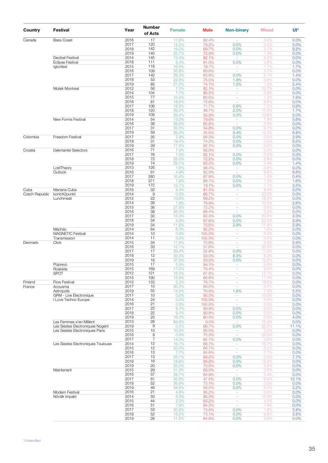| Country        | Festival                              | Year         | <b>Number</b><br>of Acts | <b>Female</b>  | <b>Male</b>    | <b>Non-binary</b>  | <b>Mixed</b>   | Ul*          |
|----------------|---------------------------------------|--------------|--------------------------|----------------|----------------|--------------------|----------------|--------------|
| Canada         | <b>Bass Coast</b>                     | 2016         | 17                       | 17.6%          | 82.4%          |                    | 0.0%           | 0.0%         |
|                |                                       | 2017         | 120                      | 12.5%          | 79.2%          | 0.0%               | 3.3%           | 5.0%         |
|                |                                       | 2018<br>2019 | 142<br>140               | 19.0%<br>25.7% | 69.7%<br>72.9% | 0.0%<br>0.0%       | 2.1%<br>1.4%   | 9.2%<br>0.0% |
|                | <b>Decibel Festival</b>               | 2014         | 145                      | 12.4%          | 82.1%          | $\sim$             | 5.5%           | 0.0%         |
|                | <b>Eclipse Festival</b>               | 2018         | 111                      | 5.4%           | 91.0%          | 0.0%               | 3.6%           | 0.0%         |
|                | Igloofest                             | 2015         | 118                      | 16.9%          | 79.7%          | ÷.                 | 1.7%           | 1.7%         |
|                |                                       | 2016<br>2017 | 109<br>140               | 35.8%<br>29.3% | 60.6%<br>63.6% | $\sim$<br>0.0%     | 3.7%<br>5.7%   | 0.0%<br>1.4% |
|                |                                       | 2018         | 53                       | 22.6%          | 75.5%          | 1.9%               | 0.0%           | 0.0%         |
|                |                                       | 2019         | 85                       | 21.2%          | 74.1%          | 1.2%               | 1.2%           | 2.4%         |
|                | Mutek Montreal                        | 2012         | 56                       | 7.1%           | 82.1%          | $\omega$           | 10.7%          | 0.0%         |
|                |                                       | 2014<br>2015 | 104<br>77                | 7.7%<br>10.4%  | 86.5%<br>80.5% | $\omega$<br>÷      | 5.8%<br>1.3%   | 0.0%<br>7.8% |
|                |                                       | 2016         | 81                       | 18.5%          | 72.8%          | ä,                 | 8.6%           | 0.0%         |
|                |                                       | 2017         | 106                      | 18.9%          | 71.7%          | 0.9%               | 7.5%           | 0.9%         |
|                |                                       | 2018         | 120                      | 39.2%          | 46.7%          | 2.5%               | 10.0%          | 1.7%         |
|                |                                       | 2019         | 109                      | 29.4%          | 56.9%          | 0.0%               | 13.8%          | 0.0%         |
|                | New Forms Festival                    | 2014<br>2016 | 54<br>38                 | 13.0%<br>28.9% | 79.6%<br>65.8% | $\sim$<br>$\sim$   | 1.9%<br>5.3%   | 5.6%<br>0.0% |
|                |                                       | 2017         | 31                       | 35.5%          | 54.8%          | 0.0%               | 9.7%           | 0.0%         |
|                |                                       | 2019         | 59                       | 39.0%          | 35.6%          | 3.4%               | 15.3%          | 6.8%         |
| Colombia       | Freedom Festival                      | 2017         | 35                       | 2.9%           | 94.3%          | 0.0%               | 0.0%           | 2.9%         |
|                |                                       | 2018<br>2019 | 31<br>39                 | 19.4%<br>17.9% | 74.2%<br>82.1% | 0.0%<br>0.0%       | 0.0%<br>0.0%   | 6.5%<br>0.0% |
| Croatia        | <b>Dekmantel Selectors</b>            | 2016         | 71                       | 7.0%           | 93.0%          | $\sim$             | 0.0%           | 0.0%         |
|                |                                       | 2017         | 76                       | 7.9%           | 92.1%          | 0.0%               | 0.0%           | 0.0%         |
|                |                                       | 2018         | 72                       | 25.0%          | 72.2%          | 0.0%               | 2.8%           | 0.0%         |
|                |                                       | 2019         | 74                       | 29.7%          | 63.5%          | 0.0%               | 5.4%           | 1.4%         |
|                | LostTheory<br>Outlook                 | 2013<br>2016 | 126<br>61                | 1.6%<br>4.9%   | 98.4%<br>82.0% | $\sim$<br>$\sim$   | 0.0%<br>6.6%   | 0.0%<br>6.6% |
|                |                                       | 2017         | 280                      | 10.4%          | 87.9%          | 0.0%               | 1.4%           | 0.4%         |
|                |                                       | 2018         | 371                      | 7.8%           | 88.7%          | 0.5%               | 1.3%           | 1.6%         |
|                |                                       | 2019         | 172                      | 15.7%          | 79.1%          | 0.0%               | 1.7%           | 3.5%         |
| Cuba           | Manana Cuba                           | 2016         | 32                       | 9.4%           | 81.3%          | ÷                  | 9.4%           | 0.0%         |
| Czech Republic | kontrA2punkt<br>Lunchmeat             | 2014<br>2012 | $\overline{9}$<br>22     | 0.0%<br>13.6%  | 66.7%<br>68.2% | ä,<br>÷            | 33.3%<br>18.2% | 0.0%<br>0.0% |
|                |                                       | 2014         | 38                       | 7.9%           | 78.9%          | ÷                  | 10.5%          | 2.6%         |
|                |                                       | 2015         | 36                       | 27.8%          | 72.2%          | ä,                 | 0.0%           | 0.0%         |
|                |                                       | 2016         | 38                       | 26.3%          | 68.4%          | $\omega$           | 5.3%           | 0.0%         |
|                |                                       | 2017<br>2018 | 30<br>34                 | 13.3%<br>5.9%  | 63.3%<br>67.6% | 0.0%<br>0.0%       | 20.0%<br>23.5% | 3.3%<br>2.9% |
|                |                                       | 2019         | 34                       | 11.8%          | 70.6%          | 2.9%               | 11.8%          | 2.9%         |
|                | Máchác                                | 2014         | 64                       | 6.3%           | 92.2%          | ÷.                 | 1.6%           | 0.0%         |
|                | <b>MAGNETIC Festival</b>              | 2014         | 10                       | 0.0%           | 100.0%         | ÷                  | 0.0%           | 0.0%         |
|                | Transmission                          | 2014         | 11                       | 0.0%           | 100.0%         | ä,                 | 0.0%           | 0.0%         |
| Denmark        | Click                                 | 2015<br>2016 | 34<br>33                 | 17.6%<br>12.1% | 70.6%<br>57.6% | $\sim$<br>ä,       | 5.9%<br>30.3%  | 5.9%<br>0.0% |
|                |                                       | 2017         | 17                       | 29.4%          | 52.9%          | 0.0%               | 17.6%          | 0.0%         |
|                |                                       | 2018         | 12                       | 33.3%          | 50.0%          | 8.3%               | 8.3%           | 0.0%         |
|                |                                       | 2019         | 16                       | 37.5%          | 50.0%          | 0.0%               | 12.5%          | 0.0%         |
|                | Poprevo                               | 2015         | 17                       | 5.9%           | 94.1%          | ÷                  | 0.0%<br>9.5%   | 0.0%         |
|                | Roskilde<br>SPOT                      | 2015<br>2012 | 169<br>121               | 17.2%<br>16.5% | 73.4%<br>67.8% | ä,                 | 15.7%          | 0.0%<br>0.0% |
|                |                                       | 2015         | 190                      | 15.8%          | 66.8%          | ÷                  | 17.4%          | 0.0%         |
| Finland        | <b>Flow Festival</b>                  | 2012         | 133                      | 5.3%           | 76.7%          | ÷                  | 18.0%          | 0.0%         |
| France         | Acousma                               | 2017         | 10                       | 20.0%          | 80.0%          | $\sim$             | 0.0%           | 0.0%         |
|                | Astropolis<br>GRM - Live Électronique | 2019<br>2017 | 55<br>10                 | 14.5%<br>0.0%  | 70.9%<br>90.0% | 1.8%<br>÷          | 7.3%<br>10.0%  | 5.5%<br>0.0% |
|                | I Love Techno Europe                  | 2014         | 24                       | 0.0%           | 100.0%         | $\sim$             | 0.0%           | 0.0%         |
|                |                                       | 2016         | 21                       | 0.0%           | 100.0%         | $\omega$           | 0.0%           | 0.0%         |
|                |                                       | 2017         | 22                       | 9.1%           | 90.9%          | 0.0%               | 0.0%           | 0.0%         |
|                |                                       | 2018<br>2019 | 22<br>25                 | 9.1%<br>16.0%  | 90.9%<br>80.0% | 0.0%<br>0.0%       | 0.0%<br>0.0%   | 0.0%<br>4.0% |
|                | Les Femmes s'en Mêlent                | 2013         | 26                       | 84.6%          | 0.0%           | $\omega$           | 15.4%          | 0.0%         |
|                | Les Siestes Electroniques Nogent      | 2019         | 9                        | 0.0%           | 66.7%          | 0.0%               | 22.2%          | 11.1%        |
|                | Les Siestes Electroniques Paris       | 2015         | 10                       | 10.0%          | 90.0%          | ÷                  | 0.0%           | 0.0%         |
|                |                                       | 2016         | 8                        | 0.0%           | 75.0%          | $\sim$             | 25.0%          | 0.0%         |
|                | Les Siestes Electroniques Toulouse    | 2017<br>2014 | $\overline{7}$<br>12     | 14.3%<br>16.7% | 85.7%<br>66.7% | 0.0%<br>÷          | 0.0%<br>16.7%  | 0.0%<br>0.0% |
|                |                                       | 2015         | 12                       | 25.0%          | 66.7%          | $\sim$             | 8.3%           | 0.0%         |
|                |                                       | 2016         | 13                       | 7.7%           | 84.6%          | $\sim$             | 7.7%           | 0.0%         |
|                |                                       | 2017         | 13                       | 23.1%          | 69.2%          | 0.0%               | 0.0%           | 7.7%         |
|                |                                       | 2018<br>2019 | 16<br>20                 | 18.8%<br>25.0% | 68.8%<br>70.0% | 0.0%<br>0.0%       | 12.5%<br>5.0%  | 0.0%<br>0.0% |
|                | Maintenant                            | 2015         | 29                       | 31.0%          | 69.0%          | ÷                  | 0.0%           | 0.0%         |
|                |                                       | 2016         | 37                       | 29.7%          | 64.9%          | $\sim$             | 5.4%           | 0.0%         |
|                |                                       | 2017         | 61                       | 32.8%          | 47.5%          | 0.0%               | 6.6%           | 13.1%        |
|                |                                       | 2018         | 52                       | 26.9%          | 73.1%          | 0.0%               | 0.0%           | 0.0%         |
|                | Modern Festival                       | 2019<br>2016 | 46<br>21                 | 34.8%<br>4.8%  | 56.5%<br>95.2% | 0.0%<br>$\omega$ . | 6.5%<br>0.0%   | 2.2%<br>0.0% |
|                | Nördik Impakt                         | 2014         | 50                       | 6.0%           | 80.0%          | ÷,                 | 14.0%          | 0.0%         |
|                |                                       | 2015         | 44                       | 2.3%           | 93.2%          | $\sim$             | 4.5%           | 0.0%         |
|                |                                       | 2016         | 51                       | 7.8%           | 84.3%          | $\sim$             | 7.8%           | 0.0%         |
|                |                                       | 2017         | 53<br>52                 | 20.8%          | 73.6%          | 0.0%               | 1.9%           | 3.8%         |
|                |                                       | 2018<br>2019 | 26                       | 13.5%<br>11.5% | 73.1%<br>84.6% | 0.0%<br>0.0%       | 9.6%<br>3.8%   | 3.8%<br>0.0% |
|                |                                       |              |                          |                |                |                    |                |              |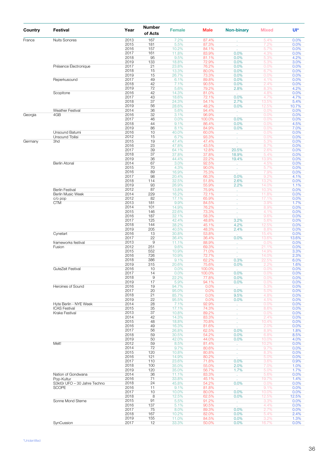| Country | Festival                         | Year         | <b>Number</b><br>of Acts | <b>Female</b>  | <b>Male</b>    | <b>Non-binary</b>            | <b>Mixed</b>   | Ul*           |
|---------|----------------------------------|--------------|--------------------------|----------------|----------------|------------------------------|----------------|---------------|
| France  | <b>Nuits Sonores</b>             | 2013         | 167                      | 7.2%           | 87.4%          |                              | 5.4%           | 0.0%          |
|         |                                  | 2015         | 181                      | 5.5%           | 87.3%          | ¥.                           | 7.2%           | 0.0%          |
|         |                                  | 2016         | 157                      | 10.2%          | 84.1%          |                              | 5.7%           | 0.0%          |
|         |                                  | 2017         | 161                      | 11.8%          | 83.9%          | 0.0%                         | 4.3%           | 0.0%          |
|         |                                  | 2018<br>2019 | 95<br>133                | 9.5%<br>18.8%  | 81.1%<br>72.9% | 0.0%<br>0.0%                 | 5.3%<br>5.3%   | 4.2%<br>3.0%  |
|         | Présence Électronique            | 2017         | 21                       | 23.8%          | 76.2%          | 0.0%                         | 0.0%           | 0.0%          |
|         |                                  | 2018         | 15                       | 13.3%          | 80.0%          | 0.0%                         | 6.7%           | 0.0%          |
|         |                                  | 2019         | 15                       | 26.7%          | 73.3%          | 0.0%                         | 0.0%           | 0.0%          |
|         | Reperkusound                     | 2017         | 49                       | 6.1%           | 89.8%          | 0.0%                         | 4.1%           | 0.0%          |
|         |                                  | 2018         | 42                       | 7.1%           | 90.5%          | 0.0%                         | 2.4%           | 0.0%          |
|         |                                  | 2019         | 72                       | 5.6%           | 79.2%          | 2.8%                         | 8.3%           | 4.2%          |
|         | Scopitone                        | 2016         | 42                       | 14.3%          | 81.0%          | $\mathcal{L}^{\mathcal{L}}$  | 4.8%           | 0.0%          |
|         |                                  | 2017         | 43                       | 18.6%          | 72.1%          | 0.0%                         | 4.7%           | 4.7%          |
|         |                                  | 2018<br>2019 | 37<br>56                 | 24.3%<br>28.6% | 54.1%<br>48.2% | 2.7%<br>0.0%                 | 13.5%<br>12.5% | 5.4%<br>10.7% |
|         | <b>Weather Festival</b>          | 2014         | 36                       | 5.6%           | 94.4%          | $\mathcal{L}^{\text{max}}$   | 0.0%           | 0.0%          |
| Georgia | 4GB                              | 2016         | 32                       | 3.1%           | 96.9%          |                              | 0.0%           | 0.0%          |
|         |                                  | 2017         | 46                       | 0.0%           | 100.0%         | 0.0%                         | 0.0%           | 0.0%          |
|         |                                  | 2018         | 44                       | 9.1%           | 86.4%          | 0.0%                         | 0.0%           | 4.5%          |
|         |                                  | 2019         | 86                       | 8.1%           | 84.9%          | 0.0%                         | 0.0%           | 7.0%          |
|         | Unsound Batumi                   | 2016         | 10                       | 40.0%          | 60.0%          | $\mathcal{L}^{\mathcal{A}}$  | 0.0%           | 0.0%          |
|         | Unsound Tbilisi                  | 2012         | 15                       | 6.7%           | 93.3%          | ¥.                           | 0.0%           | 0.0%          |
| Germany | 3hd                              | 2015<br>2016 | 19<br>23                 | 47.4%<br>47.8% | 47.4%<br>43.5% | ¥.                           | 5.3%<br>8.7%   | 0.0%<br>0.0%  |
|         |                                  | 2017         | 39                       | 64.1%          | 12.8%          | ¥.<br>20.5%                  | 2.6%           | 0.0%          |
|         |                                  | 2018         | 37                       | 37.8%          | 37.8%          | 18.9%                        | 5.4%           | 0.0%          |
|         |                                  | 2019         | 36                       | 44.4%          | 22.2%          | 19.4%                        | 13.9%          | 0.0%          |
|         | <b>Berlin Atonal</b>             | 2014         | 67                       | 3.0%           | 92.5%          | $\mathcal{L}^{\pm}$          | 4.5%           | 0.0%          |
|         |                                  | 2015         | 70                       | 4.3%           | 90.0%          | ¥.                           | 5.7%           | 0.0%          |
|         |                                  | 2016         | 89                       | 16.9%          | 75.3%          |                              | 7.9%           | 0.0%          |
|         |                                  | 2017         | 98                       | 20.4%          | 66.3%          | 0.0%                         | 9.2%           | 4.1%          |
|         |                                  | 2018<br>2019 | 114<br>93                | 32.5%<br>26.9% | 51.8%<br>55.9% | 2.6%<br>2.2%                 | 13.2%<br>14.0% | 0.0%<br>1.1%  |
|         | <b>Berlin Festival</b>           | 2012         | 87                       | 13.8%          | 75.9%          | $\mathcal{L}^{(1)}$          | 10.3%          | 0.0%          |
|         | <b>Berlin Music Week</b>         | 2014         | 229                      | 16.2%          | 72.1%          | $\mathcal{L}^{\pm}$          | 11.8%          | 0.0%          |
|         | $C/O$ pop                        | 2012         | 82                       | 17.1%          | 65.9%          | ¥.                           | 17.1%          | 0.0%          |
|         | <b>CTM</b>                       | 2013         | 181                      | 9.9%           | 84.5%          | ¥.                           | 3.9%           | 1.7%          |
|         |                                  | 2014         | 101                      | 14.9%          | 76.2%          | ¥.                           | 8.9%           | 0.0%          |
|         |                                  | 2015         | 146                      | 22.6%          | 73.3%          | ¥.                           | 4.1%           | 0.0%          |
|         |                                  | 2016         | 187                      | 32.1%          | 58.3%          |                              | 9.6%           | 0.0%          |
|         |                                  | 2017<br>2018 | 125<br>144               | 42.4%<br>38.2% | 48.8%<br>45.1% | 3.2%<br>4.2%                 | 5.6%<br>12.5%  | 0.0%<br>0.0%  |
|         |                                  | 2019         | 205                      | 40.5%          | 48.3%          | 2.4%                         | 8.8%           | 0.0%          |
|         | Cynetart                         | 2016         | 13                       | 30.8%          | 53.8%          |                              | 15.4%          | 0.0%          |
|         |                                  | 2017         | 22                       | 36.4%          | 36.4%          | 0.0%                         | 13.6%          | 13.6%         |
|         | frameworks festival              | 2013         | $\mathsf g$              | 11.1%          | 88.9%          | V.                           | 0.0%           | 0.0%          |
|         | Fusion                           | 2012         | 251                      | 9.6%           | 69.3%          | ¥.                           | 21.1%          | 0.0%          |
|         |                                  | 2015         | 552                      | 10.9%          | 71.0%          | ä,                           | 14.9%          | 3.3%          |
|         |                                  | 2016<br>2018 | 726<br>386               | 10.9%<br>9.1%  | 72.7%<br>62.2% | 0.3%                         | 14.0%<br>22.5% | 2.3%          |
|         |                                  | 2019         | 315                      | 20.6%          | 75.6%          | 0.0%                         | 2.2%           | 6.0%<br>1.6%  |
|         | GuteZeit Festival                | 2016         | 10                       | $0.0\%$        | 100.0%         |                              | $0.0\%$        | $0.0\%$       |
|         |                                  | 2017         | 14                       | 0.0%           | 100.0%         | 0.0%                         | 0.0%           | 0.0%          |
|         |                                  | 2018         | 9                        | 22.2%          | 77.8%          | 0.0%                         | 0.0%           | 0.0%          |
|         |                                  | 2019         | 17                       | 5.9%           | 94.1%          | 0.0%                         | 0.0%           | 0.0%          |
|         | Heroines of Sound                | 2016         | 19                       | 94.7%          | 0.0%           | $\Delta \phi$                | 5.3%           | 0.0%          |
|         |                                  | 2017         | 20                       | 95.0%          | 0.0%           | 0.0%                         | 5.0%           | 0.0%          |
|         |                                  | 2018         | 21                       | 85.7%          | 0.0%           | 9.5%                         | 4.8%           | 0.0%          |
|         | Hyte Berlin - NYE Week           | 2019<br>2014 | 22<br>28                 | 95.5%<br>7.1%  | 0.0%<br>92.9%  | 0.0%                         | 4.5%<br>0.0%   | 0.0%<br>0.0%  |
|         | <b>ICAS Festival</b>             | 2015         | 35                       | 17.1%          | 74.3%          | ¥.<br>¥.                     | 8.6%           | 0.0%          |
|         | Krake Festival                   | 2013         | 37                       | 10.8%          | 89.2%          | ¥.                           | 0.0%           | 0.0%          |
|         |                                  | 2014         | 42                       | 14.3%          | 83.3%          | ä,                           | 2.4%           | 0.0%          |
|         |                                  | 2015         | 48                       | 18.8%          | 70.8%          | ¥.                           | 10.4%          | 0.0%          |
|         |                                  | 2016         | 49                       | 16.3%          | 81.6%          |                              | 2.0%           | 0.0%          |
|         |                                  | 2017         | 56                       | 26.8%          | 62.5%          | 0.0%                         | 8.9%           | 1.8%          |
|         |                                  | 2018<br>2019 | 59                       | 30.5%          | 54.2%          | 0.0%                         | 6.8%           | 8.5%          |
|         | Melt!                            | 2012         | 50<br>59                 | 42.0%<br>8.5%  | 44.0%<br>81.4% | 0.0%<br>¥.                   | 10.0%<br>10.2% | 4.0%<br>0.0%  |
|         |                                  | 2014         | 72                       | 9.7%           | 80.6%          | $\mathcal{L}^{\pm}$          | 9.7%           | 0.0%          |
|         |                                  | 2015         | 120                      | 10.8%          | 80.8%          | $\mathcal{L}_{\mathcal{A}}$  | 8.3%           | 0.0%          |
|         |                                  | 2016         | 121                      | 14.9%          | 80.2%          | ¥.                           | 5.0%           | 0.0%          |
|         |                                  | 2017         | 110                      | 23.6%          | 71.8%          | 0.0%                         | 3.6%           | 0.9%          |
|         |                                  | 2018         | 100                      | 35.0%          | 55.0%          | 2.0%                         | 7.0%           | 1.0%          |
|         |                                  | 2019         | 120                      | 35.0%          | 56.7%          | 1.7%                         | 5.0%           | 1.7%          |
|         | Nation of Gondwana<br>Pop-Kultur | 2014<br>2016 | 36<br>71                 | 11.1%          | 83.3%          | $\mathcal{L}_{\mathrm{eff}}$ | 5.6%<br>19.7%  | 0.0%          |
|         | S3kt0r UFO - 30 Jahre Techno     | 2018         | 24                       | 33.8%<br>45.8% | 45.1%<br>54.2% | 0.0%                         | 0.0%           | 1.4%<br>0.0%  |
|         | <b>SCOPE</b>                     | 2016         | 11                       | 9.1%           | 81.8%          |                              | 9.1%           | 0.0%          |
|         |                                  | 2017         | 10                       | 10.0%          | 80.0%          | 0.0%                         | 10.0%          | 0.0%          |
|         |                                  | 2018         | 8                        | 12.5%          | 62.5%          | 0.0%                         | 12.5%          | 12.5%         |
|         | Sonne Mond Sterne                | 2015         | 91                       | 5.5%           | 91.2%          | $\mathcal{L}^{\pm}$          | 3.3%           | 0.0%          |
|         |                                  | 2016         | 137                      | 5.1%           | 90.5%          |                              | 4.4%           | 0.0%          |
|         |                                  | 2017         | 75                       | 8.0%           | 89.3%          | 0.0%                         | 2.7%           | 0.0%          |
|         |                                  | 2018<br>2019 | 167<br>155               | 10.2%<br>11.0% | 82.0%<br>84.5% | 0.0%<br>0.0%                 | 5.4%<br>3.2%   | 2.4%<br>1.3%  |
|         | SynCussion                       | 2017         | 12                       | 33.3%          | 50.0%          | 0.0%                         | 16.7%          | 0.0%          |
|         |                                  |              |                          |                |                |                              |                |               |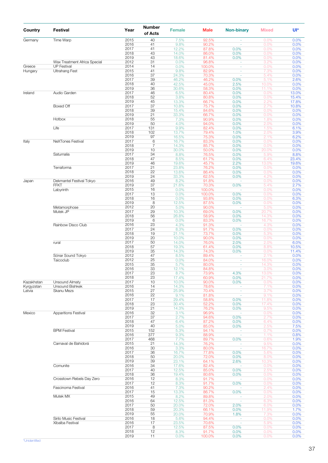| Country    | <b>Festival</b>              | Year         | <b>Number</b><br>of Acts | <b>Female</b>  | <b>Male</b>     | <b>Non-binary</b>                | <b>Mixed</b>                                                                                                                                                                                                                                                                              | Ul*            |
|------------|------------------------------|--------------|--------------------------|----------------|-----------------|----------------------------------|-------------------------------------------------------------------------------------------------------------------------------------------------------------------------------------------------------------------------------------------------------------------------------------------|----------------|
| Germany    | Time Warp                    | 2015         | 40                       | 7.5%           | 92.5%           |                                  | 0.0%                                                                                                                                                                                                                                                                                      | 0.0%           |
|            |                              | 2016         | 41                       | 9.8%           | 90.2%           |                                  | 0.0%                                                                                                                                                                                                                                                                                      | 0.0%           |
|            |                              | 2017<br>2018 | 41<br>43                 | 12.2%<br>14.0% | 87.8%<br>86.0%  | 0.0%<br>0.0%                     | 0.0%<br>0.0%                                                                                                                                                                                                                                                                              | 0.0%<br>0.0%   |
|            |                              | 2019         | 43                       | 18.6%          | 81.4%           | 0.0%                             | 0.0%                                                                                                                                                                                                                                                                                      | 0.0%           |
|            | Wax Treatment Africa Special | 2012         | 31                       | 0.0%           | 96.8%           |                                  | 3.2%                                                                                                                                                                                                                                                                                      | 0.0%           |
| Greece     | <b>UP Festival</b>           | 2014         | 14                       | 0.0%           | 100.0%          | $\omega$                         | 0.0%                                                                                                                                                                                                                                                                                      | 0.0%           |
| Hungary    | <b>Ultrahang Fest</b>        | 2015         | 41                       | 9.8%           | 82.9%           | $\overline{\phantom{a}}$         | 7.3%                                                                                                                                                                                                                                                                                      | 0.0%           |
|            |                              | 2016<br>2017 | 37<br>39                 | 24.3%<br>46.2% | 70.3%<br>46.2%  | $\overline{\phantom{a}}$         | 5.4%<br>5.1%                                                                                                                                                                                                                                                                              | 0.0%<br>2.6%   |
|            |                              | 2018         | 40                       | 42.5%          | 45.0%           | 0.0%<br>2.5%                     | 10.0%                                                                                                                                                                                                                                                                                     | 0.0%           |
|            |                              | 2019         | 36                       | 30.6%          | 58.3%           | 0.0%                             | 11.1%                                                                                                                                                                                                                                                                                     | 0.0%           |
| Ireland    | Audio Garden                 | 2017         | 46                       | 6.5%           | 80.4%           | 0.0%                             | 0.0%                                                                                                                                                                                                                                                                                      | 13.0%          |
|            |                              | 2018         | 52                       | 3.8%           | 80.8%           | 0.0%                             | 0.0%                                                                                                                                                                                                                                                                                      | 15.4%          |
|            |                              | 2019         | 45<br>37                 | 13.3%          | 66.7%           | 0.0%                             | 2.2%                                                                                                                                                                                                                                                                                      | 17.8%          |
|            | Boxed Off                    | 2017<br>2018 | 39                       | 10.8%<br>15.4% | 75.7%<br>84.6%  | 0.0%<br>0.0%                     | 2.7%<br>0.0%                                                                                                                                                                                                                                                                              | 10.8%<br>0.0%  |
|            |                              | 2019         | 21                       | 33.3%          | 66.7%           | 0.0%                             | 0.0%                                                                                                                                                                                                                                                                                      | 0.0%           |
|            | Hotbox                       | 2018         | 55                       | 7.3%           | 90.9%           | 0.0%                             | 1.8%                                                                                                                                                                                                                                                                                      | 0.0%           |
|            |                              | 2019         | 50                       | 4.0%           | 94.0%           | 0.0%                             | 2.0%                                                                                                                                                                                                                                                                                      | 0.0%           |
|            | Life                         | 2017         | 131                      | 9.9%           | 82.4%           | 0.0%                             | 1.5%                                                                                                                                                                                                                                                                                      | 6.1%           |
|            |                              | 2018<br>2019 | 102<br>97                | 13.7%<br>16.5% | 79.4%<br>75.3%  | 1.0%<br>0.0%                     | 2.0%<br>2.1%                                                                                                                                                                                                                                                                              | 3.9%<br>6.2%   |
| Italy      | NeXTones Festival            | 2017         | 6                        | 16.7%          | 83.3%           | 0.0%                             |                                                                                                                                                                                                                                                                                           | 0.0%           |
|            |                              | 2018         | $\overline{7}$           | 14.3%          | 85.7%           | 0.0%                             | 0.0%                                                                                                                                                                                                                                                                                      | 0.0%           |
|            |                              | 2019         | 10                       | 30.0%          | 50.0%           | 0.0%                             | 20.0%                                                                                                                                                                                                                                                                                     | 0.0%           |
|            | Saturnalia                   | 2017         | 34                       | 8.8%           | 76.5%           | 0.0%                             |                                                                                                                                                                                                                                                                                           | 8.8%           |
|            |                              | 2018<br>2019 | 47<br>46                 | 8.5%<br>19.6%  | 61.7%<br>45.7%  | 0.0%<br>2.2%                     |                                                                                                                                                                                                                                                                                           | 23.4%<br>19.6% |
|            | Terraforma                   | 2017         | 21                       | 23.8%          | 76.2%           | 0.0%                             |                                                                                                                                                                                                                                                                                           | 0.0%           |
|            |                              | 2018         | 22                       | 13.6%          | 86.4%           | 0.0%                             | 0.0%                                                                                                                                                                                                                                                                                      | 0.0%           |
|            |                              | 2019         | 24                       | 33.3%          | 62.5%           | 0.0%                             | 4.2%                                                                                                                                                                                                                                                                                      | 0.0%           |
| Japan      | Dekmantel Festival Tokyo     | 2016         | 49                       | 8.2%           | 91.8%           |                                  |                                                                                                                                                                                                                                                                                           | 0.0%           |
|            | <b>FFKT</b>                  | 2019<br>2015 | 37<br>16                 | 21.6%<br>0.0%  | 70.3%<br>100.0% | 0.0%                             |                                                                                                                                                                                                                                                                                           | 2.7%<br>0.0%   |
|            | Labyrinth                    | 2017         | 13                       | 0.0%           | 100.0%          | 0.0%                             |                                                                                                                                                                                                                                                                                           | 0.0%           |
|            |                              | 2018         | 16                       | 0.0%           | 93.8%           | 0.0%                             |                                                                                                                                                                                                                                                                                           | 6.3%           |
|            |                              | 2019         | 8                        | 12.5%          | 87.5%           | 0.0%                             | 0.0%                                                                                                                                                                                                                                                                                      | 0.0%           |
|            | Metamorphose                 | 2012         | 20                       | 5.0%           | 90.0%           |                                  |                                                                                                                                                                                                                                                                                           | 0.0%           |
|            | Mutek JP                     | 2017         | 29                       | 10.3%          | 69.0%           | 0.0%                             |                                                                                                                                                                                                                                                                                           | 0.0%           |
|            |                              | 2018<br>2019 | 56<br>6                  | 26.8%<br>0.0%  | 58.9%<br>83.3%  | 0.0%<br>0.0%                     |                                                                                                                                                                                                                                                                                           | 0.0%<br>0.0%   |
|            | Rainbow Disco Club           | 2016         | 23                       | 4.3%           | 91.3%           |                                  |                                                                                                                                                                                                                                                                                           | 0.0%           |
|            |                              | 2017         | 24                       | 8.3%           | 91.7%           | 0.0%                             | 0.0%                                                                                                                                                                                                                                                                                      | 0.0%           |
|            |                              | 2018         | 19                       | 21.1%          | 73.7%           | 0.0%                             | 0.0%<br>5.9%<br>6.4%<br>13.0%<br>0.0%<br>0.0%<br>5.4%<br>0.0%<br>0.0%<br>0.0%<br>5.0%<br>20.7%<br>14.3%<br>16.7%<br>4.3%<br>5.3%<br>0.0%<br>2.0%<br>8.8%<br>0.0%<br>2.1%<br>16.0%<br>14.3%<br>$3.0\%$<br>13.0%<br>21.7%<br>0.0%<br>7.1%<br>3.7%<br>9.1%<br>11.8%<br>17.4%<br>9.5%<br>0.0% | 0.0%           |
|            |                              | 2019         | 20                       | 10.0%          | 90.0%           | 0.0%                             |                                                                                                                                                                                                                                                                                           | 0.0%           |
|            | rural                        | 2017<br>2018 | 50<br>57                 | 14.0%<br>19.3% | 76.0%<br>61.4%  | 2.0%<br>0.0%                     |                                                                                                                                                                                                                                                                                           | 6.0%<br>10.5%  |
|            |                              | 2019         | 35                       | 14.3%          | 74.3%           | 0.0%                             |                                                                                                                                                                                                                                                                                           | 11.4%          |
|            | Sónar Sound Tokyo            | 2012         | 47                       | 8.5%           | 89.4%           | ÷                                |                                                                                                                                                                                                                                                                                           | 0.0%           |
|            | Taicoclub                    | 2012         | 25                       | 0.0%           | 84.0%           | ÷                                |                                                                                                                                                                                                                                                                                           | 0.0%           |
|            |                              | 2015         | 35<br>33                 | 5.7%           | 80.0%           | $\overline{\phantom{a}}$         |                                                                                                                                                                                                                                                                                           | 0.0%           |
|            |                              | 2016<br>2017 | 23                       | 12.1%<br>8.7%  | 84.8%<br>73.9%  | 4.3%                             |                                                                                                                                                                                                                                                                                           | 0.0%<br>0.0%   |
|            |                              | 2018         | 23                       | 17.4%          | 60.9%           | 0.0%                             |                                                                                                                                                                                                                                                                                           | 0.0%           |
| Kazakhstan | Unsound Almaty               | 2017         | 10                       | 10.0%          | 90.0%           | 0.0%                             |                                                                                                                                                                                                                                                                                           | 0.0%           |
| Kyrgyzstan | Unsound Bishkek              | 2016         | 14                       | 14.3%          | 78.6%           | ÷                                |                                                                                                                                                                                                                                                                                           | 0.0%           |
| Latvia     | Skanu Mezs                   | 2015         | 27                       | 25.9%          | 70.4%           | ä,                               |                                                                                                                                                                                                                                                                                           | 0.0%           |
|            |                              | 2016<br>2017 | 22<br>17                 | 9.1%<br>29.4%  | 81.8%<br>58.8%  | $\sim$<br>0.0%                   |                                                                                                                                                                                                                                                                                           | 0.0%<br>0.0%   |
|            |                              | 2018         | 23                       | 30.4%          | 52.2%           | 0.0%                             |                                                                                                                                                                                                                                                                                           | 0.0%           |
|            |                              | 2019         | 21                       | 14.3%          | 76.2%           | 0.0%                             |                                                                                                                                                                                                                                                                                           | 0.0%           |
| Mexico     | <b>Apparitions Festival</b>  | 2016         | 32                       | 3.1%           | 96.9%           |                                  |                                                                                                                                                                                                                                                                                           | 0.0%           |
|            |                              | 2017         | 37<br>47                 | 2.7%           | 94.6%           | 0.0%                             | 2.7%                                                                                                                                                                                                                                                                                      | 0.0%           |
|            |                              | 2018<br>2019 | 40                       | 6.4%<br>5.0%   | 87.2%<br>85.0%  | 0.0%<br>0.0%                     | 6.4%<br>2.5%                                                                                                                                                                                                                                                                              | 0.0%<br>7.5%   |
|            | <b>BPM Festival</b>          | 2015         | 152                      | 5.3%           | 94.1%           | ä,                               | 0.7%                                                                                                                                                                                                                                                                                      | 0.0%           |
|            |                              | 2016         | 377                      | 9.3%           | 88.9%           | $\overline{\phantom{a}}$         | 1.1%                                                                                                                                                                                                                                                                                      | 0.8%           |
|            |                              | 2017         | 468                      | 7.7%           | 89.7%           | 0.0%                             | 0.6%                                                                                                                                                                                                                                                                                      | 1.9%           |
|            | Carnaval de Bahidorá         | 2015         | 21                       | 14.3%          | 76.2%           | ÷.                               | 9.5%                                                                                                                                                                                                                                                                                      | 0.0%           |
|            |                              | 2016<br>2017 | 30<br>36                 | 3.3%<br>16.7%  | 80.0%<br>77.8%  | $\overline{\phantom{a}}$<br>0.0% | 16.7%<br>5.6%                                                                                                                                                                                                                                                                             | 0.0%<br>0.0%   |
|            |                              | 2018         | 50                       | 20.0%          | 72.0%           | 0.0%                             | 8.0%                                                                                                                                                                                                                                                                                      | 0.0%           |
|            |                              | 2019         | 39                       | 23.1%          | 64.1%           | 2.6%                             | 10.3%                                                                                                                                                                                                                                                                                     | 0.0%           |
|            | Comunite                     | 2016         | 34                       | 17.6%          | 82.4%           |                                  | 0.0%                                                                                                                                                                                                                                                                                      | 0.0%           |
|            |                              | 2017         | 40                       | 12.5%          | 85.0%           | 0.0%                             | 2.5%                                                                                                                                                                                                                                                                                      | 0.0%           |
|            | Crosstown Rebels Day Zero    | 2018<br>2016 | 36<br>12                 | 19.4%<br>8.3%  | 80.6%<br>91.7%  | 0.0%<br>ä,                       | 0.0%<br>0.0%                                                                                                                                                                                                                                                                              | 0.0%<br>0.0%   |
|            |                              | 2017         | 12                       | 8.3%           | 91.7%           | 0.0%                             | 0.0%                                                                                                                                                                                                                                                                                      | 0.0%           |
|            | Fascinoma Festival           | 2016         | 41                       | 7.3%           | 90.2%           |                                  | 2.4%                                                                                                                                                                                                                                                                                      | 0.0%           |
|            |                              | 2017         | 15                       | 13.3%          | 86.7%           | 0.0%                             | 0.0%                                                                                                                                                                                                                                                                                      | 0.0%           |
|            | Mutek MX                     | 2015<br>2016 | 49<br>64                 | 8.2%           | 89.8%           | ÷                                | 2.0%                                                                                                                                                                                                                                                                                      | 0.0%           |
|            |                              | 2017         | 50                       | 12.5%<br>20.0% | 81.3%<br>72.0%  | 2.0%                             | 6.3%<br>6.0%                                                                                                                                                                                                                                                                              | 0.0%<br>0.0%   |
|            |                              | 2018         | 59                       | 20.3%          | 66.1%           | 0.0%                             | 11.9%                                                                                                                                                                                                                                                                                     | 1.7%           |
|            |                              | 2019         | 55                       | 20.0%          | 70.9%           | 1.8%                             | 7.3%                                                                                                                                                                                                                                                                                      | 0.0%           |
|            | Sirilo Music Festival        | 2016         | 18                       | 5.6%           | 94.4%           | $\sim$                           | 0.0%                                                                                                                                                                                                                                                                                      | 0.0%           |
|            | Xibalba Festival             | 2016<br>2017 | 17<br>8                  | 23.5%          | 70.6%           | $\bar{z}$                        | 5.9%                                                                                                                                                                                                                                                                                      | 0.0%           |
|            |                              | 2018         | 12                       | 12.5%<br>8.3%  | 87.5%<br>91.7%  | 0.0%<br>0.0%                     | 0.0%<br>0.0%                                                                                                                                                                                                                                                                              | 0.0%<br>0.0%   |
|            |                              | 2019         | 11                       | 0.0%           | 100.0%          | 0.0%                             | 0.0%                                                                                                                                                                                                                                                                                      | 0.0%           |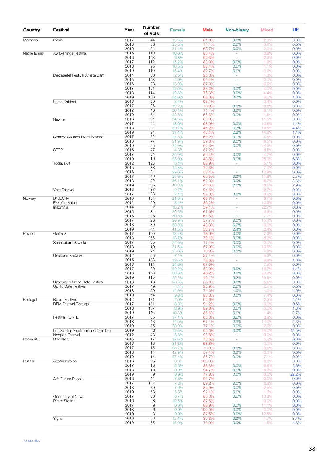| Country     | Festival                                 | Year         | <b>Number</b><br>of Acts | <b>Female</b>  | <b>Male</b>     | <b>Non-binary</b>                    | <b>Mixed</b>   | Ul*           |
|-------------|------------------------------------------|--------------|--------------------------|----------------|-----------------|--------------------------------------|----------------|---------------|
| Morocco     | Oasis                                    | 2017<br>2018 | 44<br>56                 | 15.9%<br>25.0% | 81.8%<br>71.4%  | 0.0%<br>0.0%                         | 2.3%<br>3.6%   | 0.0%<br>0.0%  |
|             |                                          | 2019         | 51                       | 31.4%          | 66.7%           | 0.0%                                 | 2.0%           | 0.0%          |
| Netherlands | Awakenings Festival                      | 2015         | 110                      | 10.0%          | 86.4%           | ÷.                                   | 3.6%           | 0.0%          |
|             |                                          | 2016<br>2017 | 103<br>112               | 6.8%<br>15.2%  | 90.3%<br>83.0%  | $\omega$<br>0.0%                     | 2.9%<br>1.8%   | 0.0%<br>0.0%  |
|             |                                          | 2018         | 95                       | 10.5%          | 88.4%           | 0.0%                                 | 1.1%           | 0.0%          |
|             |                                          | 2019         | 110                      | 16.4%          | 82.7%           | 0.0%                                 | 0.9%           | 0.0%          |
|             | Dekmantel Festival Amsterdam             | 2014<br>2015 | 80<br>103                | 2.5%<br>4.9%   | 96.3%<br>95.1%  | $\sim$<br>$\omega$                   | 1.3%<br>0.0%   | 0.0%<br>0.0%  |
|             |                                          | 2016         | 23                       | 13.0%          | 87.0%           | $\overline{\phantom{a}}$             | 0.0%           | 0.0%          |
|             |                                          | 2017         | 101                      | 12.9%          | 83.2%           | 0.0%                                 | 4.0%           | 0.0%          |
|             |                                          | 2018<br>2019 | 114<br>150               | 19.3%<br>24.0% | 76.3%<br>68.0%  | 0.0%<br>0.7%                         | 4.4%<br>6.0%   | 0.0%<br>1.3%  |
|             | Lente Kabinet                            | 2016         | 29                       | 3.4%           | 93.1%           |                                      | 3.4%           | 0.0%          |
|             |                                          | 2017         | 26                       | 19.2%          | 76.9%           | 0.0%                                 | 3.8%           | 0.0%          |
|             |                                          | 2018<br>2019 | 49<br>61                 | 20.4%<br>32.8% | 71.4%<br>65.6%  | 2.0%<br>0.0%                         | 6.1%<br>1.6%   | 0.0%<br>0.0%  |
|             | Rewire                                   | 2016         | 61                       | 24.6%          | 63.9%           | $\omega$                             | 11.5%          | 0.0%          |
|             |                                          | 2017         | 74                       | 18.9%          | 68.9%           | 0.0%                                 | 10.8%          | 1.4%          |
|             |                                          | 2018         | 91                       | 29.7%          | 46.2%<br>45.1%  | 3.3%<br>2.2%                         | 16.5%<br>14.3% | 4.4%          |
|             | Strange Sounds From Beyond               | 2019<br>2017 | 91<br>22                 | 37.4%<br>27.3% | 68.2%           | 0.0%                                 | 4.5%           | 1.1%<br>0.0%  |
|             |                                          | 2018         | 47                       | 31.9%          | 59.6%           | 0.0%                                 | 8.5%           | 0.0%          |
|             | <b>STRP</b>                              | 2019<br>2015 | 25<br>47                 | 24.0%          | 52.0%           | 0.0%                                 | 24.0%          | 0.0%          |
|             |                                          | 2017         | 64                       | 4.3%<br>35.9%  | 87.2%<br>59.4%  | $\bar{\phantom{a}}$<br>0.0%          | 8.5%<br>4.7%   | 0.0%<br>0.0%  |
|             |                                          | 2019         | 16                       | 25.0%          | 43.8%           | 0.0%                                 | 25.0%          | 6.3%          |
|             | TodaysArt                                | 2012         | 198                      | 6.1%           | 88.9%           | $\sim$                               | 5.1%           | 0.0%          |
|             |                                          | 2015<br>2016 | 38<br>31                 | 15.8%<br>29.0% | 76.3%<br>58.1%  | $\omega$<br>÷,                       | 7.9%<br>12.9%  | 0.0%<br>0.0%  |
|             |                                          | 2017         | 43                       | 25.6%          | 60.5%           | 0.0%                                 | 11.6%          | 2.3%          |
|             |                                          | 2018         | 92                       | 26.1%          | 62.0%           | 0.0%                                 | 8.7%           | 3.3%          |
|             | Voltt Festival                           | 2019<br>2016 | 35<br>37                 | 40.0%<br>2.7%  | 48.6%<br>94.6%  | 0.0%<br>$\overline{\phantom{a}}$     | 8.6%<br>2.7%   | 2.9%<br>0.0%  |
|             |                                          | 2017         | 28                       | 7.1%           | 92.9%           | 0.0%                                 | 0.0%           | 0.0%          |
| Norway      | BY:LARM                                  | 2013         | 134                      | 21.6%          | 68.7%           | $\omega$                             | 9.7%           | 0.0%          |
|             | Ekkofestivalen<br>Insomnia               | 2012<br>2014 | 29<br>22                 | 3.4%<br>18.2%  | 86.2%<br>59.1%  | $\sim$<br>$\overline{\phantom{a}}$   | 10.3%<br>22.7% | 0.0%<br>0.0%  |
|             |                                          | 2015         | 34                       | 26.5%          | 67.6%           | ä,                                   | 5.9%           | 0.0%          |
|             |                                          | 2016         | 26                       | 30.8%          | 61.5%           | $\sim$                               | 7.7%           | 0.0%          |
|             |                                          | 2017<br>2018 | 26<br>30                 | 26.9%<br>50.0% | 57.7%<br>43.3%  | 0.0%<br>6.7%                         | 15.4%<br>0.0%  | 0.0%<br>0.0%  |
|             |                                          | 2019         | 41                       | 41.5%          | 53.7%           | 2.4%                                 | 2.4%           | 0.0%          |
| Poland      | Garbicz                                  | 2017         | 190                      | 13.2%          | 78.9%           | 0.0%                                 | 7.9%           | 0.0%          |
|             | Sanatorium Dzwieku                       | 2018<br>2017 | 256<br>35                | 13.7%<br>22.9% | 78.1%<br>77.1%  | 0.0%<br>0.0%                         | 8.2%<br>0.0%   | 0.0%<br>0.0%  |
|             |                                          | 2018         | 19                       | 31.6%          | 57.9%           | 0.0%                                 | 10.5%          | 0.0%          |
|             |                                          | 2019         | 24                       | 25.0%          | 70.8%           | 0.0%                                 | 4.2%           | 0.0%          |
|             | Unsound Krakow                           | 2012<br>2015 | 95<br>103                | 7.4%<br>13.6%  | 87.4%<br>78.6%  | $\overline{\phantom{a}}$<br>$\omega$ | 5.3%<br>6.8%   | 0.0%<br>1.0%  |
|             |                                          | 2016         | 114                      | 24.6%          | 67.5%           | $\omega$                             | 7.9%           | 0.0%          |
|             |                                          | 2017         | 89                       | 29.2%          | 53.9%           | 0.0%                                 | 15.7%          | 1.1%          |
|             |                                          | 2018<br>2019 | 120<br>115               | 30.0%<br>25.2% | 49.2%<br>46.1%  | 0.0%<br>5.2%                         | 20.8%<br>23.5% | 0.0%<br>0.0%  |
|             | Unsound x Up to Date Festival            | 2018         | 18                       | 38.9%          | 55.6%           | 0.0%                                 | 5.6%           | 0.0%          |
|             | Up To Date Festival                      | 2017         | 49                       | 4.1%           | 93.9%           | 0.0%                                 | 2.0%           | 0.0%          |
|             |                                          | 2018<br>2019 | 50<br>54                 | 14.0%<br>9.3%  | 74.0%<br>83.3%  | 4.0%<br>0.0%                         | 4.0%<br>7.4%   | 4.0%<br>0.0%  |
| Portugal    | Boom Festival                            | 2012         | 171                      | 2.9%           | 90.6%           | ÷                                    | 2.3%           | 4.1%          |
|             | <b>BPM Festival Portugal</b>             | 2017         | 181                      | 8.3%           | 91.2%           | 0.0%                                 | 0.0%           | 0.6%          |
|             |                                          | 2018<br>2019 | 157<br>146               | 8.9%<br>10.3%  | 89.8%<br>85.6%  | 0.0%<br>0.0%                         | 0.0%<br>1.4%   | 1.3%<br>2.7%  |
|             | Festival FORTE                           | 2017         | 35                       | 17.1%          | 80.0%           | 0.0%                                 | 2.9%           | 0.0%          |
|             |                                          | 2018         | 43                       | 14.0%          | 67.4%           | 2.3%                                 | 14.0%          | 2.3%          |
|             | Les Siestes Electroniques Coimbra        | 2019<br>2019 | 35<br>8                  | 20.0%<br>12.5% | 77.1%<br>50.0%  | 0.0%<br>0.0%                         | 2.9%<br>25.0%  | 0.0%<br>12.5% |
|             | Neopop Festival                          | 2012         | 48                       | 6.3%           | 93.8%           | $\overline{\phantom{a}}$             | 0.0%           | 0.0%          |
| Romania     | Rokolectiv                               | 2015         | 17                       | 17.6%          | 76.5%           | $\omega$                             | 5.9%           | 0.0%          |
|             |                                          | 2016<br>2017 | 16<br>15                 | 31.3%<br>26.7% | 68.8%<br>73.3%  | ÷,<br>0.0%                           | 0.0%<br>0.0%   | 0.0%<br>0.0%  |
|             |                                          | 2018         | 14                       | 42.9%          | 57.1%           | 0.0%                                 | 0.0%           | 0.0%          |
|             |                                          | 2019         | 14                       | 57.1%          | 35.7%           | 0.0%<br>÷                            | 7.1%           | 0.0%          |
| Russia      | Abstrasension                            | 2016<br>2017 | 25<br>18                 | 0.0%<br>5.6%   | 100.0%<br>83.3% | 0.0%                                 | 0.0%<br>5.6%   | 0.0%<br>5.6%  |
|             |                                          | 2018         | 19                       | 0.0%           | 94.7%           | 0.0%                                 | 5.3%           | 0.0%          |
|             |                                          | 2019         | $\mathsf 9$              | 0.0%           | 77.8%           | 0.0%                                 | 0.0%           | 22.2%         |
|             | Alfa Future People                       | 2016<br>2017 | 41<br>102                | 7.3%<br>7.8%   | 92.7%<br>89.2%  | $\sim$<br>0.0%                       | 0.0%<br>2.9%   | 0.0%<br>0.0%  |
|             |                                          | 2018         | 79                       | 7.6%           | 89.9%           | 0.0%                                 | 2.5%           | 0.0%          |
|             |                                          | 2019         | 63<br>30                 | 6.3%           | 92.1%           | 0.0%                                 | 1.6%<br>13.3%  | 0.0%          |
|             | Geometry of Now<br><b>Pirate Station</b> | 2017<br>2016 | 8                        | 6.7%<br>12.5%  | 80.0%<br>87.5%  | 0.0%<br>÷                            | 0.0%           | 0.0%<br>0.0%  |
|             |                                          | 2017         | $\hbox{9}$               | 0.0%           | 88.9%           | 0.0%                                 | 11.1%          | 0.0%          |
|             |                                          | 2018<br>2019 | 6<br>8                   | 0.0%<br>0.0%   | 100.0%<br>87.5% | 0.0%<br>0.0%                         | 0.0%<br>12.5%  | 0.0%<br>0.0%  |
|             | Signal                                   | 2018         | 58                       | 12.1%          | 82.8%           | 0.0%                                 | 1.7%           | 3.4%          |
|             |                                          | 2019         | 65                       | 16.9%          | 76.9%           | 0.0%                                 | 1.5%           | 4.6%          |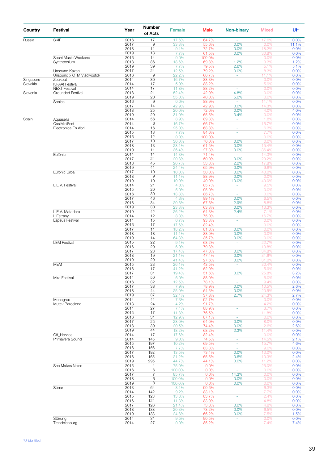| Country   | Festival                                   | Year         | Number<br>of Acts    | <b>Female</b>    | <b>Male</b>     | <b>Non-binary</b>        | <b>Mixed</b>   | Ul*          |
|-----------|--------------------------------------------|--------------|----------------------|------------------|-----------------|--------------------------|----------------|--------------|
| Russia    | <b>SKIF</b>                                | 2016         | 17                   | 17.6%            | 64.7%           |                          | 17.6%          | 0.0%         |
|           |                                            | 2017<br>2018 | $\hbox{9}$<br>11     | 33.3%<br>9.1%    | 55.6%<br>72.7%  | 0.0%<br>0.0%             | 0.0%           | 11.1%        |
|           |                                            | 2019         | 13                   | 7.7%             | 61.5%           | 0.0%                     | 18.2%<br>30.8% | 0.0%<br>0.0% |
|           | Sochi Music Weekend                        | 2016         | 14                   | 0.0%             | 100.0%          | $\sim$                   | 0.0%           | 0.0%         |
|           | Synthposium                                | 2018         | 86                   | 18.6%            | 69.8%           | 1.2%                     | 9.3%           | 1.2%         |
|           |                                            | 2019         | 39                   | 7.7%             | 79.5%           | 2.6%                     | 5.1%           | 5.1%         |
|           | Unsound Kazan<br>Unsound x CTM Vladivostok | 2017<br>2016 | 24<br>$\overline{9}$ | 12.5%<br>22.2%   | 79.2%<br>66.7%  | 0.0%                     | 8.3%<br>11.1%  | 0.0%<br>0.0% |
| Singapore | Zoukout                                    | 2014         | 30                   | 16.7%            | 83.3%           | $\sim$<br>$\omega$       | 0.0%           | 0.0%         |
| Slovakia  | <b>KRAA! Festival</b>                      | 2014         | 17                   | 5.9%             | 88.2%           | $\omega$                 | 5.9%           | 0.0%         |
|           | <b>NEXT Festival</b>                       | 2014         | 17                   | 11.8%            | 88.2%           | $\omega$                 | 0.0%           | 0.0%         |
| Slovenia  | Grounded Festival                          | 2018         | 21                   | 52.4%            | 42.9%           | 4.8%                     | 0.0%           | 0.0%         |
|           |                                            | 2019         | 20                   | 55.0%            | 40.0%           | 5.0%                     | 0.0%           | 0.0%         |
|           | Sonica                                     | 2016<br>2017 | $\overline{9}$<br>14 | 0.0%<br>42.9%    | 88.9%<br>42.9%  | $\sim$<br>0.0%           | 11.1%          | 0.0%<br>0.0% |
|           |                                            | 2018         | 25                   | 20.0%            | 72.0%           | 0.0%                     | 14.3%<br>4.0%  | 4.0%         |
|           |                                            | 2019         | 29                   | 31.0%            | 65.5%           | 3.4%                     | 0.0%           | 0.0%         |
| Spain     | Aquasella                                  | 2014         | 56                   | 8.9%             | 89.3%           | $\overline{\phantom{a}}$ | 1.8%           | 0.0%         |
|           | CasiMiniFest                               | 2014         | $6\phantom{1}6$      | 16.7%            | 66.7%           | $\omega$                 | 16.7%          | 0.0%         |
|           | Electronica En Abril                       | 2014         | 16                   | 25.0%            | 68.8%           | $\sim$                   | 6.3%           | 0.0%         |
|           |                                            | 2015<br>2016 | 13<br>12             | 7.7%<br>0.0%     | 84.6%           | $\omega$<br>$\omega$     | 7.7%           | 0.0%         |
|           |                                            | 2017         | 10                   | 30.0%            | 100.0%<br>70.0% | 0.0%                     | 0.0%<br>0.0%   | 0.0%<br>0.0% |
|           |                                            | 2018         | 13                   | 23.1%            | 61.5%           | 0.0%                     | 15.4%          | 0.0%         |
|           |                                            | 2019         | 11                   | 36.4%            | 27.3%           | 0.0%                     | 36.4%          | 0.0%         |
|           | Eufònic                                    | 2014         | 14                   | 14.3%            | 71.4%           | $\overline{\phantom{a}}$ | 14.3%          | 0.0%         |
|           |                                            | 2017         | 24                   | 20.8%            | 50.0%           | 0.0%                     | 29.2%          | 0.0%         |
|           |                                            | 2018<br>2019 | 45<br>41             | 26.7%<br>24.4%   | 53.3%<br>65.9%  | 2.2%<br>0.0%             | 17.8%<br>9.8%  | 0.0%         |
|           | Eufònic Urbà                               | 2017         | 10                   | 10.0%            | 50.0%           | 0.0%                     | 40.0%          | 0.0%<br>0.0% |
|           |                                            | 2018         | $\overline{9}$       | 11.1%            | 88.9%           | 0.0%                     | 0.0%           | 0.0%         |
|           |                                            | 2019         | 10                   | 10.0%            | 40.0%           | 10.0%                    | 40.0%          | 0.0%         |
|           | L.E.V. Festival                            | 2014         | 21                   | 4.8%             | 85.7%           | $\overline{\phantom{a}}$ | 9.5%           | 0.0%         |
|           |                                            | 2015         | 20                   | 5.0%             | 95.0%           | $\omega$                 | 0.0%           | 0.0%         |
|           |                                            | 2016<br>2017 | 30<br>46             | 13.3%<br>4.3%    | 86.7%<br>89.1%  | ä,<br>0.0%               | 0.0%<br>6.5%   | 0.0%<br>0.0% |
|           |                                            | 2018         | 34                   | 20.6%            | 67.6%           | 2.9%                     | 8.8%           | 0.0%         |
|           |                                            | 2019         | 30                   | 23.3%            | 63.3%           | 0.0%                     | 13.3%          | 0.0%         |
|           | L.E.V. Matadero                            | 2019         | 42                   | 26.2%            | 64.3%           | 2.4%                     | 7.1%           | 0.0%         |
|           | L'Estrany                                  | 2014         | 12                   | 8.3%             | 75.0%           | $\sim$                   | 16.7%          | 0.0%         |
|           | Lapsus Festival                            | 2014         | 15                   | 6.7%             | 93.3%           | $\sim$                   | 0.0%           | 0.0%         |
|           |                                            | 2016<br>2017 | 17<br>11             | 17.6%<br>18.2%   | 82.4%<br>81.8%  | $\omega$<br>0.0%         | 0.0%<br>0.0%   | 0.0%<br>0.0% |
|           |                                            | 2018         | 18                   | 11.1%            | 88.9%           | 0.0%                     | 0.0%           | 0.0%         |
|           |                                            | 2019         | 14                   | 64.3%            | 35.7%           | 0.0%                     | 0.0%           | 0.0%         |
|           | <b>LEM Festival</b>                        | 2015         | 22                   | 9.1%             | 68.2%           | $\omega$ .               | 22.7%          | 0.0%         |
|           |                                            | 2016         | 29                   | 6.9%             | 79.3%           | $\omega$                 | 13.8%          | 0.0%         |
|           |                                            | 2017         | 23                   | 17.4%            | 47.8%           | 0.0%                     | 34.8%          | 0.0%         |
|           |                                            | 2018<br>2019 | 19<br>29             | 21.1%<br>41.4%   | 47.4%<br>27.6%  | 0.0%<br>0.0%             | 31.6%<br>31.0% | 0.0%<br>0.0% |
|           | <b>MEM</b>                                 | 2015         | 23                   | 26.1%            | 43.5%           |                          | 30.4%          | 0.0%         |
|           |                                            | 2016         | 17                   | 41.2%            | 52.9%           | $\sim$                   | 5.9%           | $0.0\%$      |
|           |                                            | 2017         | 31                   | 19.4%            | 51.6%           | 0.0%                     | 25.8%          | 3.2%         |
|           | Mira Festival                              | 2014         | 50                   | 6.0%             | 88.0%           | $\sim$                   | 6.0%           | 0.0%         |
|           |                                            | 2016         | 32                   | 12.5%            | 78.1%           | $\omega_{\rm{eff}}$      | 9.4%           | 0.0%         |
|           |                                            | 2017<br>2018 | 38<br>44             | 7.9%<br>25.0%    | 78.9%<br>54.5%  | 0.0%<br>0.0%             | 10.5%<br>20.5% | 2.6%<br>0.0% |
|           |                                            | 2019         | 37                   | 32.4%            | 37.8%           | 2.7%                     | 24.3%          | 2.7%         |
|           | Monegros                                   | 2014         | 41                   | 7.3%             | 92.7%           | ÷.                       | 0.0%           | 0.0%         |
|           | Mutek Barcelona                            | 2013         | 24                   | 4.2%             | 91.7%           | $\sim$                   | 4.2%           | 0.0%         |
|           |                                            | 2014         | 27                   | 7.4%             | 88.9%           | $\omega$                 | 3.7%           | 0.0%         |
|           |                                            | 2015         | 17                   | 11.8%            | 76.5%           | $\sim$                   | 11.8%          | 0.0%         |
|           |                                            | 2016<br>2017 | 31<br>25             | 12.9%<br>28.0%   | 87.1%<br>64.0%  | $\omega$<br>0.0%         | 0.0%<br>8.0%   | 0.0%<br>0.0% |
|           |                                            | 2018         | 39                   | 20.5%            | 74.4%           | 0.0%                     | 2.6%           | 2.6%         |
|           |                                            | 2019         | 44                   | 18.2%            | 68.2%           | 2.3%                     | 11.4%          | 0.0%         |
|           | Off_Herzios                                | 2014         | 17                   | 17.6%            | 82.4%           | $\sim$                   | 0.0%           | 0.0%         |
|           | Primavera Sound                            | 2014         | 145                  | 9.0%             | 74.5%           | $\omega$                 | 14.5%          | 2.1%         |
|           |                                            | 2015         | 197                  | 10.2%            | 69.5%           | $\sim$                   | 15.7%          | 4.6%         |
|           |                                            | 2016<br>2017 | 156<br>192           | 7.7%<br>13.5%    | 83.3%<br>73.4%  | $\sim$<br>0.0%           | 9.0%<br>13.0%  | 0.0%<br>0.0% |
|           |                                            | 2018         | 165                  | 21.2%            | 65.5%           | 0.6%                     | 10.3%          | 2.4%         |
|           |                                            | 2019         | 295                  | 44.7%            | 44.1%           | 0.0%                     | 11.2%          | 0.0%         |
|           | She Makes Noise                            | 2015         | 4                    | 75.0%            | 0.0%            | $\sim$                   | 25.0%          | 0.0%         |
|           |                                            | 2016         | 6                    | 100.0%           | 0.0%            | $\omega$                 | 0.0%           | 0.0%         |
|           |                                            | 2017         | $\overline{7}$       | 85.7%            | 0.0%            | 14.3%                    | 0.0%           | 0.0%         |
|           |                                            | 2018<br>2019 | 6<br>8               | 100.0%<br>100.0% | 0.0%<br>0.0%    | 0.0%<br>0.0%             | 0.0%<br>0.0%   | 0.0%<br>0.0% |
|           | Sónar                                      | 2013         | 64                   | 3.1%             | 90.6%           | $\sim$                   | 6.3%           | 0.0%         |
|           |                                            | 2014         | 142                  | 9.2%             | 83.1%           | $\omega$                 | 7.7%           | 0.0%         |
|           |                                            | 2015         | 123                  | 13.8%            | 83.7%           | $\sim$                   | 2.4%           | 0.0%         |
|           |                                            | 2016         | 124                  | 11.3%            | 83.9%           | $\sim$                   | 4.8%           | 0.0%         |
|           |                                            | 2017         | 126                  | 21.4%            | 73.8%           | 0.0%                     | 4.8%           | 0.0%         |
|           |                                            | 2018         | 138                  | 20.3%            | 73.2%           | 0.0%                     | 6.5%           | 0.0%         |
|           | Störung                                    | 2019<br>2014 | 133<br>21            | 24.8%<br>9.5%    | 66.2%<br>90.5%  | 0.0%<br>$\omega_{\rm c}$ | 7.5%<br>0.0%   | 1.5%         |
|           | Trendelenburg                              | 2014         | 27                   | 0.0%             | 85.2%           | $\sim$                   | 7.4%           | 0.0%<br>7.4% |
|           |                                            |              |                      |                  |                 |                          |                |              |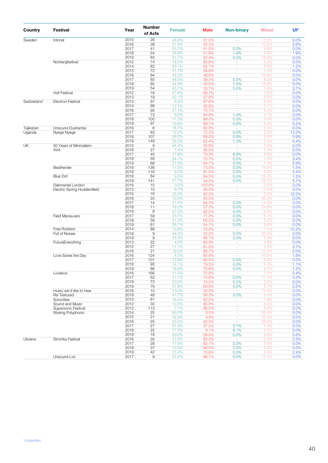| Country     | <b>Festival</b>                     | Year         | <b>Number</b><br>of Acts   | <b>Female</b>  | Male           | <b>Non-binary</b>        | <b>Mixed</b>  | Ul*           |
|-------------|-------------------------------------|--------------|----------------------------|----------------|----------------|--------------------------|---------------|---------------|
| Sweden      | Intonal                             | 2015         | 26                         | 26.9%          | 61.5%          | ÷.                       | 11.5%         | 0.0%          |
|             |                                     | 2016         | 38                         | 31.6%          | 55.3%          | $\sim$                   | 10.5%         | 2.6%          |
|             |                                     | 2017         | 41                         | 53.7%          | 41.5%          | 0.0%                     | 4.9%          | 0.0%          |
|             |                                     | 2018<br>2019 | 54<br>63                   | 38.9%<br>31.7% | 51.9%<br>52.4% | 1.9%<br>0.0%             | 5.6%<br>15.9% | 1.9%<br>0.0%  |
|             | Norbergfestival                     | 2012         | 74                         | 16.2%          | 83.8%          | $\omega$                 | 0.0%          | 0.0%          |
|             |                                     | 2014         | 83                         | 30.1%          | 62.7%          | $\omega$                 | 6.0%          | 1.2%          |
|             |                                     | 2015         | 72                         | 41.7%          | 56.9%          | $\overline{\phantom{a}}$ | 1.4%          | 0.0%          |
|             |                                     | 2016         | 64                         | 42.2%          | 46.9%          | $\omega$                 | 10.9%         | 0.0%          |
|             |                                     | 2017         | 60                         | 48.3%          | 38.3%          | 5.0%                     | 8.3%          | 0.0%          |
|             |                                     | 2018         | 65                         | 44.6%          | 40.0%          | 1.5%                     | 13.8%         | 0.0%          |
|             |                                     | 2019         | 54                         | 40.7%          | 53.7%          | 0.0%                     | 1.9%          | 3.7%          |
|             | <b>Volt Festival</b>                | 2012<br>2013 | 18<br>19                   | 27.8%<br>42.1% | 66.7%<br>57.9% | $\omega$<br>$\sim$       | 5.6%<br>0.0%  | 0.0%<br>0.0%  |
| Switzerland | <b>Electron Festival</b>            | 2013         | 97                         | 6.2%           | 87.6%          | $\blacksquare$           | 6.2%          | 0.0%          |
|             |                                     | 2014         | 99                         | 12.1%          | 82.8%          | $\omega$                 | 5.1%          | 0.0%          |
|             |                                     | 2016         | 95                         | 21.1%          | 74.7%          | $\sim$                   | 4.2%          | 0.0%          |
|             |                                     | 2017         | 73                         | 9.6%           | 84.9%          | 1.4%                     | 4.1%          | 0.0%          |
|             |                                     | 2018         | 100                        | 11.0%          | 86.0%          | 0.0%                     | 3.0%          | 0.0%          |
|             |                                     | 2019         | 97                         | 19.6%          | 69.1%          | 0.0%                     | 6.2%          | 5.2%          |
| Tajikistan  | Unsound Dushanbe                    | 2016         | $6\,$                      | 16.7%          | 83.3%          | $\omega$                 | 0.0%          | 0.0%          |
| Uganda      | Nyege Nyege                         | 2017         | 83                         | 12.0%          | 72.3%          | 0.0%                     | 2.4%          | 13.3%         |
|             |                                     | 2018         | 107                        | 26.2%          | 69.2%          | 0.9%                     | 2.8%          | 0.9%          |
| UK          | 50 Years of Minimalism              | 2019<br>2012 | 149<br>9                   | 25.5%<br>44.4% | 62.4%<br>55.6% | 1.3%<br>$\omega$         | 5.4%<br>0.0%  | 5.4%<br>0.0%  |
|             | <b>AVA</b>                          | 2016         | 27                         | 7.4%           | 85.2%          | $\sim$                   | 7.4%          | 0.0%          |
|             |                                     | 2017         | 45                         | 17.8%          | 73.3%          | 8.9%                     | 0.0%          | 0.0%          |
|             |                                     | 2018         | 58                         | 24.1%          | 70.7%          | 0.0%                     | 1.7%          | 3.4%          |
|             |                                     | 2019         | 68                         | 27.9%          | 64.7%          | 0.0%                     | 1.5%          | 5.9%          |
|             | Beatherder                          | 2018         | 136                        | 11.0%          | 73.5%          | 0.0%                     | 14.0%         | 1.5%          |
|             |                                     | 2019         | 116                        | 9.5%           | 81.0%          | 0.0%                     | 6.0%          | 3.4%          |
|             | <b>Blue Dot</b>                     | 2018         | 84                         | 9.5%           | 64.3%          | 0.0%                     | 25.0%         | 1.2%          |
|             |                                     | 2019         | 141                        | 27.7%          | 44.0%          | 0.0%                     | 22.7%         | 5.7%          |
|             | Dekmantel London                    | 2016         | 10                         | 0.0%           | 100.0%         | $\sim$                   | 0.0%          | 0.0%          |
|             | <b>Electric Spring Huddersfield</b> | 2013<br>2015 | 15<br>16                   | 6.7%<br>25.0%  | 93.3%<br>62.5% | $\sim$<br>$\blacksquare$ | 0.0%<br>0.0%  | 0.0%<br>12.5% |
|             |                                     | 2016         | 20                         | 10.0%          | 50.0%          | $\omega$                 | 40.0%         | 0.0%          |
|             |                                     | 2017         | 14                         | 21.4%          | 64.3%          | 0.0%                     | 14.3%         | 0.0%          |
|             |                                     | 2018         | 11                         | 18.2%          | 27.3%          | 0.0%                     | 54.5%         | 0.0%          |
|             |                                     | 2019         | 8                          | 37.5%          | 62.5%          | 0.0%                     | 0.0%          | 0.0%          |
|             | <b>Field Maneuvers</b>              | 2017         | 59                         | 23.7%          | 71.2%          | 0.0%                     | 5.1%          | 0.0%          |
|             |                                     | 2018         | 58                         | 31.0%          | 65.5%          | 0.0%                     | 3.4%          | 0.0%          |
|             |                                     | 2019         | 61                         | 36.1%          | 54.1%          | 0.0%                     | 9.8%          | 0.0%          |
|             | Free Rotation                       | 2014         | 88                         | 13.6%          | 75.0%          | $\sim$                   | 1.1%          | 10.2%         |
|             | Full of Noises                      | 2018<br>2019 | $\mathsf g$<br>$\mathsf 9$ | 44.4%<br>33.3% | 22.2%<br>66.7% | 0.0%<br>0.0%             | 33.3%<br>0.0% | 0.0%<br>0.0%  |
|             | FutureEverything                    | 2013         | 22                         | 4.5%           | 90.9%          | $\omega$                 | 4.5%          | 0.0%          |
|             |                                     | 2015         | 27                         | 11.1%          | 81.5%          | $\blacksquare$           | 3.7%          | 3.7%          |
|             |                                     | 2016         | 21                         | 19.0%          | 66.7%          | $\omega$                 | 14.3%         | 0.0%          |
|             | Love Saves the Day                  | 2016         | 124                        | 4.0%           | 83.9%          | $\sim$                   | 10.5%         | 1.6%          |
|             |                                     | 2017         | 101                        | 13.9%          | 80.2%          | 0.0%                     | 5.9%          | 0.0%          |
|             |                                     | 2018         | 92                         | 14.1%          | 79.3%          | 0.0%                     | 5.4%          | 1.1%          |
|             |                                     | 2019         | 86                         | 18.6%          | 75.6%          | 0.0%                     | 4 7%          | 1.2%          |
|             | Lovebox                             | 2016         | 166                        | 11.4%          | 75.9%          | $\sim$                   | 7.2%          | 5.4%          |
|             |                                     | 2017<br>2018 | 63<br>73                   | 11.1%<br>20.5% | 74.6%<br>74.0% | 0.0%<br>0.0%             | 11.1%<br>5.5% | 3.2%<br>0.0%  |
|             |                                     | 2019         | 79                         | 31.6%          | 60.8%          | 0.0%                     | 5.1%          | 2.5%          |
|             | music we'd like to hear             | 2016         | 10                         | 10.0%          | 20.0%          | $\omega$                 | 70.0%         | 0.0%          |
|             | Re-Textured                         | 2019         | 48                         | 41.7%          | 56.3%          | 0.0%                     | 2.1%          | 0.0%          |
|             | Sonorities                          | 2013         | 61                         | 16.4%          | 82.0%          | $\omega$                 | 1.6%          | 0.0%          |
|             | Sound and Music                     | 2012         | 30                         | 10.0%          | 90.0%          | ÷.                       | 0.0%          | 0.0%          |
|             | Supersonic Festival                 | 2012         | 113                        | 7.1%           | 88.5%          | $\sim$                   | 4.4%          | 0.0%          |
|             | <b>Wysing Polyphonic</b>            | 2014         | 25                         | 80.0%          | 0.0%           | $\omega$                 | 20.0%         | 0.0%          |
|             |                                     | 2015         | 21                         | 42.9%          | 4.8%           | ÷                        | 52.4%         | 0.0%          |
|             |                                     | 2016<br>2017 | 25<br>27                   | 20.0%          | 40.0%<br>37.0% | $\omega$<br>3.7%         | 36.0%<br>7.4% | 0.0%<br>0.0%  |
|             |                                     | 2018         | 22                         | 51.9%<br>77.3% | 9.1%           | 9.1%                     | 4.5%          | 0.0%          |
|             |                                     | 2019         | 18                         | 50.0%          | 38.9%          | 0.0%                     | 5.6%          | 5.6%          |
| Ukraine     | Strichka Festival                   | 2016         | 30                         | 13.3%          | 83.3%          | $\sim$                   | 0.0%          | 3.3%          |
|             |                                     | 2017         | 28                         | 17.9%          | 82.1%          | 0.0%                     | 0.0%          | 0.0%          |
|             |                                     | 2018         | 37                         | 13.5%          | 86.5%          | 0.0%                     | 0.0%          | 0.0%          |
|             |                                     | 2019         | 42                         | 21.4%          | 73.8%          | 0.0%                     | 2.4%          | 2.4%          |
|             | Unsound Lviv                        | 2017         | 9                          | 22.2%          | 66.7%          | 0.0%                     | 11.1%         | 0.0%          |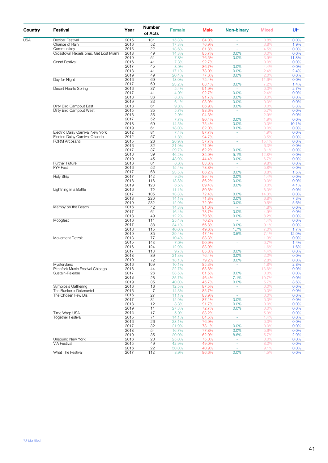| Country    | Festival                              | Year         | <b>Number</b><br>of Acts | <b>Female</b>  | <b>Male</b>    | <b>Non-binary</b>        | <b>Mixed</b>  | Ul*          |
|------------|---------------------------------------|--------------|--------------------------|----------------|----------------|--------------------------|---------------|--------------|
| <b>USA</b> | Decibel Festival                      | 2015         | 131                      | 15.3%          | 84.0%          |                          | 0.8%          | 0.0%         |
|            | Chance of Rain                        | 2016         | 52                       | 17.3%          | 76.9%          | $\blacksquare$           | 3.8%          | 1.9%         |
|            | Communikey                            | 2013         | 22                       | 13.6%          | 81.8%          | $\overline{\phantom{a}}$ | 4.5%          | 0.0%         |
|            | Crosstown Rebels pres. Get Lost Miami | 2018         | 49                       | 14.3%          | 85.7%          | 0.0%                     | 0.0%          | 0.0%         |
|            |                                       | 2019         | 51                       | 7.8%           | 76.5%          | 0.0%                     | 3.9%          | 11.8%        |
|            | <b>Crssd Festival</b>                 | 2016         | 41                       | 7.3%           | 92.7%          | $\overline{\phantom{a}}$ | 0.0%          | 0.0%         |
|            |                                       | 2017         | 45                       | 8.9%           | 86.7%          | 0.0%                     | 4.4%          | 0.0%         |
|            |                                       | 2018         | 41                       | 17.1%          | 78.0%          | 0.0%                     | 2.4%          | 2.4%         |
|            | Day for Night                         | 2019<br>2016 | 49<br>69                 | 20.4%<br>13.0% | 77.6%<br>75.4% | 0.0%<br>٠                | 2.0%<br>11.6% | 0.0%<br>0.0% |
|            |                                       | 2017         | 69                       | 23.2%          | 68.1%          | 0.0%                     | 7.2%          | 1.4%         |
|            | Desert Hearts Spring                  | 2016         | 37                       | 5.4%           | 91.9%          | ÷                        | 0.0%          | 2.7%         |
|            |                                       | 2017         | 41                       | 4.9%           | 92.7%          | 0.0%                     | 2.4%          | 0.0%         |
|            |                                       | 2018         | 36                       | 8.3%           | 91.7%          | 0.0%                     | 0.0%          | 0.0%         |
|            |                                       | 2019         | 33                       | 6.1%           | 93.9%          | 0.0%                     | 0.0%          | 0.0%         |
|            | Dirty Bird Campout East               | 2018         | 61                       | 9.8%           | 86.9%          | 0.0%                     | 0.0%          | 3.3%         |
|            | Dirty Bird Campout West               | 2015         | 35                       | 5.7%           | 88.6%          | $\omega$                 | 5.7%          | 0.0%         |
|            |                                       | 2016         | 35                       | 2.9%           | 94.3%          | $\sim$                   | 2.9%          | 0.0%         |
|            |                                       | 2017         | 52                       | 7.7%           | 90.4%          | 0.0%                     | 1.9%          | 0.0%         |
|            |                                       | 2018         | 69                       | 14.5%          | 75.4%          | 0.0%                     | 0.0%          | 10.1%        |
|            |                                       | 2019         | 61                       | 18.0%          | 82.0%          | 0.0%                     | 0.0%          | 0.0%         |
|            | Electric Daisy Carnival New York      | 2012         | 81                       | 7.4%           | 87.7%          | $\omega$                 | 4.9%          | 0.0%         |
|            | Electric Daisy Carnival Orlando       | 2012         | 57<br>26                 | 1.8%           | 94.7%          | ÷.                       | 3.5%          | 0.0%         |
|            | <b>FORM Arcosanti</b>                 | 2015<br>2016 | 32                       | 26.9%<br>21.9% | 57.7%<br>71.9% | $\sim$<br>÷,             | 15.4%<br>6.3% | 0.0%<br>0.0% |
|            |                                       | 2017         | 37                       | 29.7%          | 62.2%          | 0.0%                     | 8.1%          | 0.0%         |
|            |                                       | 2018         | 39                       | 46.2%          | 35.9%          | 5.1%                     | 12.8%         | 0.0%         |
|            |                                       | 2019         | 45                       | 48.9%          | 44.4%          | 0.0%                     | 6.7%          | 0.0%         |
|            | Further Future                        | 2016         | 61                       | 6.6%           | 83.6%          | $\omega$                 | 9.8%          | 0.0%         |
|            | <b>FYF Fest</b>                       | 2016         | 52                       | 15.4%          | 78.8%          | $\sim$                   | 5.8%          | 0.0%         |
|            |                                       | 2017         | 68                       | 23.5%          | 66.2%          | 0.0%                     | 8.8%          | 1.5%         |
|            | <b>Holy Ship</b>                      | 2017         | 142                      | 9.2%           | 89.4%          | 0.0%                     | 1.4%          | 0.0%         |
|            |                                       | 2018         | 116                      | 13.8%          | 86.2%          | 0.0%                     | 0.0%          | 0.0%         |
|            |                                       | 2019         | 123                      | 6.5%           | 89.4%          | 0.0%                     | 0.0%          | 4.1%         |
|            | Lightning in a Bottle                 | 2016         | 72                       | 11.1%          | 80.6%          | $\sim$                   | 8.3%          | 0.0%         |
|            |                                       | 2017         | 105                      | 13.3%          | 72.4%          | 0.0%                     | 14.3%         | 0.0%         |
|            |                                       | 2018<br>2019 | 220<br>232               | 14.1%<br>12.9% | 71.8%<br>72.0% | 0.0%<br>0.0%             | 6.8%<br>9.5%  | 7.3%         |
|            | Mamby on the Beach                    | 2016         | 42                       | 14.3%          | 81.0%          | $\overline{\phantom{a}}$ | 4.8%          | 5.6%<br>0.0% |
|            |                                       | 2017         | 61                       | 16.4%          | 78.7%          | 0.0%                     | 4.9%          | 0.0%         |
|            |                                       | 2018         | 49                       | 12.2%          | 79.6%          | 0.0%                     | 8.2%          | 0.0%         |
|            | Moogfest                              | 2016         | 114                      | 25.4%          | 70.2%          | $\overline{\phantom{a}}$ | 4.4%          | 0.0%         |
|            |                                       | 2017         | 88                       | 34.1%          | 56.8%          | 0.0%                     | 9.1%          | 0.0%         |
|            |                                       | 2018         | 115                      | 40.0%          | 49.6%          | 1.7%                     | 7.0%          | 1.7%         |
|            |                                       | 2019         | 85                       | 29.4%          | 47.1%          | 3.5%                     | 7.1%          | 12.9%        |
|            | Movement Detroit                      | 2013         | 77                       | 10.4%          | 88.3%          | $\omega$                 | 1.3%          | 0.0%         |
|            |                                       | 2015         | 143                      | 7.0%           | 90.9%          | ä,                       | 0.7%          | 1.4%         |
|            |                                       | 2016         | 124                      | 12.9%          | 83.9%          | $\sim$                   | 1.6%          | 1.6%         |
|            |                                       | 2017         | 113                      | 9.7%           | 85.8%          | 0.0%                     | 4.4%          | 0.0%         |
|            |                                       | 2018         | 89<br>72                 | 21.3%          | 76.4%          | 0.0%                     | 2.2%          | 0.0%         |
|            | Mysteryland                           | 2019<br>2016 | 109                      | 18.1%<br>10.1% | 79.2%<br>85.3% | 0.0%<br>$\sim$           | 2.8%<br>1.8%  | 0.0%<br>2.8% |
|            | Pitchfork Music Festival Chicago      | 2016         | 44                       | 22.7%          | 63.6%          | $\omega_{\rm c}$         | 13.6%         | 0.0%         |
|            | Sustain-Release                       | 2017         | 26                       | 38.5%          | 61.5%          | 0.0%                     | 0.0%          | 0.0%         |
|            |                                       | 2018         | 28                       | 35.7%          | 46.4%          | 7.1%                     | 10.7%         | 0.0%         |
|            |                                       | 2019         | 35                       | 40.0%          | 45.7%          | 0.0%                     | 5.7%          | 8.6%         |
|            | Symbiosis Gathering                   | 2016         | 16                       | 12.5%          | 87.5%          | $\omega$                 | 0.0%          | 0.0%         |
|            | The Bunker x Dekmantel                | 2016         | $\overline{7}$           | 14.3%          | 85.7%          | ÷.                       | 0.0%          | 0.0%         |
|            | The Chosen Few Dis                    | 2016         | 27                       | 11.1%          | 88.9%          | ÷.                       | 0.0%          | 0.0%         |
|            |                                       | 2017         | 31                       | 12.9%          | 87.1%          | 0.0%                     | 0.0%          | 0.0%         |
|            |                                       | 2018         | 12                       | 8.3%           | 91.7%          | 0.0%                     | 0.0%          | 0.0%         |
|            |                                       | 2019         | 11                       | 27.3%          | 72.7%          | 0.0%                     | 0.0%          | 0.0%         |
|            | Time Warp USA                         | 2015         | 17                       | 5.9%           | 88.2%          | $\omega$                 | 5.9%<br>1.4%  | 0.0%         |
|            | <b>Together Festival</b>              | 2015<br>2016 | 71<br>26                 | 14.1%<br>23.1% | 84.5%<br>76.9% | ÷<br>÷.                  | 0.0%          | 0.0%<br>0.0% |
|            |                                       | 2017         | 32                       | 21.9%          | 78.1%          | 0.0%                     | 0.0%          | 0.0%         |
|            |                                       | 2018         | 54                       | 16.7%          | 77.8%          | 0.0%                     | 5.6%          | 0.0%         |
|            |                                       | 2019         | 35                       | 20.0%          | 62.9%          | 8.6%                     | 5.7%          | 2.9%         |
|            | Unsound New York                      | 2016         | 20                       | 25.0%          | 75.0%          | $\omega$                 | 0.0%          | 0.0%         |
|            | <b>VIA Festival</b>                   | 2015         | 49                       | 42.9%          | 49.0%          | ÷                        | 8.2%          | 0.0%         |
|            |                                       | 2016         | 22                       | 50.0%          | 40.9%          | $\omega$                 | 9.1%          | 0.0%         |
|            | What The Festival                     | 2017         | 112                      | 8.9%           | 86.6%          | 0.0%                     | 4.5%          | 0.0%         |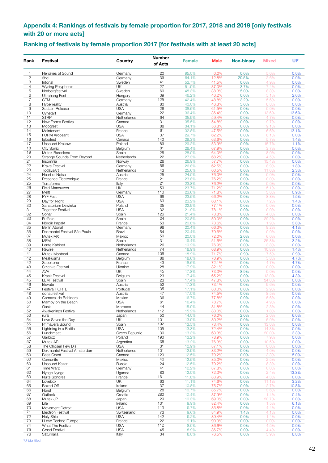### <span id="page-41-0"></span>**Appendix 4: Rankings of festivals by female proportion for 2017, 2018 and 2019 [only festivals with 20 or more acts]**

### **Ranking of festivals by female proportion 2017 [for festivals with at least 20 acts]**

| Rank           | <b>Festival</b>                                    | Country                   | <b>Number</b><br>of Acts | <b>Female</b>  | <b>Male</b>    | <b>Non-binary</b> | <b>Mixed</b>  | Ul*          |
|----------------|----------------------------------------------------|---------------------------|--------------------------|----------------|----------------|-------------------|---------------|--------------|
| 1              | Heroines of Sound                                  | Germany                   | 20                       | 95.0%          | 0.0%           | 0.0%              | 5.0%          | 0.0%         |
| $\overline{c}$ | 3hd                                                | Germany                   | 39                       | 64.1%          | 12.8%          | 20.5%             | 2.6%          | 0.0%         |
| 3              | Intonal                                            | Sweden                    | 41                       | 53.7%          | 41.5%          | 0.0%              | 4.9%          | 0.0%         |
| 4              | Wysing Polyphonic                                  | UK.                       | 27                       | 51.9%          | 37.0%          | 3.7%              | 7.4%          | 0.0%         |
| 5<br>6         | Norbergfestival<br>Ultrahang Fest                  | Sweden<br>Hungary         | 60<br>39                 | 48.3%<br>46.2% | 38.3%<br>46.2% | 5.0%<br>0.0%      | 8.3%<br>5.1%  | 0.0%<br>2.6% |
| $\overline{7}$ | <b>CTM</b>                                         | Germany                   | 125                      | 42.4%          | 48.8%          | 3.2%              | 5.6%          | 0.0%         |
| 8              | Hyperreality                                       | Austria                   | 80                       | 40.0%          | 46.3%          | 5.0%              | 8.8%          | 0.0%         |
| 9              | Sustain-Release                                    | <b>USA</b>                | 26                       | 38.5%          | 61.5%          | 0.0%              | 0.0%          | 0.0%         |
| 10             | Cvnetart                                           | Germany                   | 22                       | 36.4%          | 36.4%          | 0.0%              | 13.6%         | 13.6%        |
| 11<br>12       | <b>STRP</b><br>New Forms Festival                  | Netherlands<br>Canada     | 64<br>31                 | 35.9%<br>35.5% | 59.4%<br>54.8% | 0.0%<br>0.0%      | 4.7%<br>9.7%  | 0.0%<br>0.0% |
| 13             | Moogfest                                           | <b>USA</b>                | 88                       | 34.1%          | 56.8%          | 0.0%              | 9.1%          | 0.0%         |
| 14             | Maintenant                                         | France                    | 61                       | 32.8%          | 47.5%          | 0.0%              | 6.6%          | 13.1%        |
| 15             | FORM Arcosanti                                     | <b>USA</b>                | 37                       | 29.7%          | 62.2%          | 0.0%              | 8.1%          | 0.0%         |
| 16             | Igloofest                                          | Canada                    | 140                      | 29.3%          | 63.6%          | 0.0%              | 5.7%          | 1.4%         |
| 17             | Unsound Krakow                                     | Poland                    | 89                       | 29.2%          | 53.9%          | 0.0%              | 15.7%         | 1.1%         |
| 18<br>19       | City Sonic<br>Mutek Barcelona                      | Belgium<br>Spain          | 81<br>25                 | 28.4%<br>28.0% | 67.9%<br>64.0% | 0.0%<br>0.0%      | 3.7%<br>8.0%  | 0.0%<br>0.0% |
| 20             | Strange Sounds From Beyond                         | Netherlands               | 22                       | 27.3%          | 68.2%          | 0.0%              | 4.5%          | 0.0%         |
| 21             | Insomnia                                           | Norway                    | 26                       | 26.9%          | 57.7%          | 0.0%              | 15.4%         | 0.0%         |
| 22             | Krake Festival                                     | Germany                   | 56                       | 26.8%          | 62.5%          | 0.0%              | 8.9%          | 1.8%         |
| 23             | TodaysArt                                          | Netherlands               | 43                       | 25.6%          | 60.5%          | 0.0%              | 11.6%         | 2.3%         |
| 24             | Heart of Noise                                     | Austria                   | 25                       | 24.0%          | 76.0%          | 0.0%              | 0.0%          | 0.0%         |
| 25             | Présence Électronique                              | France                    | 21                       | 23.8%          | 76.2%          | 0.0%              | 0.0%          | 0.0%         |
| 25<br>26       | Terraforma<br><b>Field Maneuvers</b>               | Italy<br><b>UK</b>        | 21<br>59                 | 23.8%<br>23.7% | 76.2%<br>71.2% | 0.0%<br>0.0%      | 0.0%<br>5.1%  | 0.0%<br>0.0% |
| 27             | Melt!                                              | Germany                   | 110                      | 23.6%          | 71.8%          | 0.0%              | 3.6%          | 0.9%         |
| 28             | <b>FYF Fest</b>                                    | <b>USA</b>                | 68                       | 23.5%          | 66.2%          | 0.0%              | 8.8%          | 1.5%         |
| 29             | Day for Night                                      | <b>USA</b>                | 69                       | 23.2%          | 68.1%          | 0.0%              | 7.2%          | 1.4%         |
| 30             | Sanatorium Dzwieku                                 | Poland                    | 35                       | 22.9%          | 77.1%          | 0.0%              | 0.0%          | 0.0%         |
| 31             | <b>Together Festival</b>                           | <b>USA</b>                | 32                       | 21.9%          | 78.1%          | 0.0%              | 0.0%          | 0.0%         |
| 32<br>33       | Sónar<br>Eufònic                                   | Spain                     | 126<br>24                | 21.4%<br>20.8% | 73.8%<br>50.0% | 0.0%<br>0.0%      | 4.8%<br>29.2% | 0.0%<br>0.0% |
| 34             | Nördik Impakt                                      | Spain<br>France           | 53                       | 20.8%          | 73.6%          | 0.0%              | 1.9%          | 3.8%         |
| 35             | <b>Berlin Atonal</b>                               | Germany                   | 98                       | 20.4%          | 66.3%          | 0.0%              | 9.2%          | 4.1%         |
| 36             | Dekmantel Festival São Paulo                       | Brazil                    | 54                       | 20.4%          | 79.6%          | 0.0%              | 0.0%          | 0.0%         |
| 37             | Mutek MX                                           | Mexico                    | 50                       | 20.0%          | 72.0%          | 2.0%              | 6.0%          | 0.0%         |
| 38             | <b>MEM</b>                                         | Spain                     | 31                       | 19.4%          | 51.6%          | 0.0%              | 25.8%         | 3.2%         |
| 39             | Lente Kabinet                                      | Netherlands               | 26                       | 19.2%          | 76.9%          | 0.0%              | 3.8%          | 0.0%         |
| 40<br>41       | Rewire<br>Mutek Montreal                           | Netherlands<br>Canada     | 74<br>106                | 18.9%<br>18.9% | 68.9%<br>71.7% | 0.0%<br>0.9%      | 10.8%<br>7.5% | 1.4%<br>0.9% |
| 42             | Meakusma                                           | Belgium                   | 86                       | 18.6%          | 70.9%          | 0.0%              | 5.8%          | 4.7%         |
| 42             | Scopitone                                          | France                    | 43                       | 18.6%          | 72.1%          | 0.0%              | 4.7%          | 4.7%         |
| 43             | Strichka Festival                                  | Ukraine                   | 28                       | 17.9%          | 82.1%          | 0.0%              | 0.0%          | 0.0%         |
| 44             | <b>AVA</b>                                         | UK                        | 45                       | 17.8%          | 73.3%          | 8.9%              | 0.0%          | 0.0%         |
| 45             | Kraak Festival                                     | Belgium                   | 23                       | 17.4%          | 65.2%          | 0.0%              | 13.0%         | 4.3%         |
| 45<br>46       | <b>LEM Festival</b><br>Elevate                     | Spain<br>Austria          | 23<br>52                 | 17.4%<br>17.3% | 47.8%<br>73.1% | 0.0%<br>0.0%      | 34.8%<br>9.6% | 0.0%<br>0.0% |
| 47             | <b>Festival FORTE</b>                              | Portugal                  | 35                       | 17.1%          | 80.0%          | 0.0%              | 2.9%          | 0.0%         |
| 48             | donaufestival                                      | Austria                   | 47                       | 17.0%          | 74.5%          | 0.0%              | 8.5%          | 0.0%         |
| 49             | Carnaval de Bahidorá                               | Mexico                    | 36                       | 16.7%          | 77.8%          | 0.0%              | 5.6%          | 0.0%         |
| 50             | Mamby on the Beach                                 | <b>USA</b>                | 61                       | 16.4%          | 18.1%          | $0.0\%$           | 4.9%          | $0.0\%$      |
| 51             | Oasis                                              | Morocco                   | 44                       | 15.9%          | 81.8%          | 0.0%              | 2.3%          | 0.0%         |
| 52             | Awakenings Festival                                | Netherlands               | 112                      | 15.2%          | 83.0%          | 0.0%              | 1.8%          | 0.0%         |
| 53<br>54       | rural<br>Love Saves the Day                        | Japan<br>UK               | 50<br>101                | 14.0%<br>13.9% | 76.0%<br>80.2% | 2.0%<br>0.0%      | 2.0%<br>5.9%  | 6.0%<br>0.0% |
| 55             | Primavera Sound                                    | Spain                     | 192                      | 13.5%          | 73.4%          | 0.0%              | 13.0%         | 0.0%         |
| 56             | Lightning in a Bottle                              | <b>USA</b>                | 105                      | 13.3%          | 72.4%          | 0.0%              | 14.3%         | 0.0%         |
| 56             | Lunchmeat                                          | Czech Republic            | 30                       | 13.3%          | 63.3%          | 0.0%              | 20.0%         | 3.3%         |
| 57             | Garbicz                                            | Poland                    | 190                      | 13.2%          | 78.9%          | 0.0%              | 7.9%          | 0.0%         |
| 57<br>58       | Mutek AR                                           | Argentina<br><b>USA</b>   | 38<br>31                 | 13.2%          | 76.3%          | 0.0%              | 10.5%         | 0.0%         |
| 59             | The Chosen Few Dis<br>Dekmantel Festival Amsterdam | Netherlands               | 101                      | 12.9%<br>12.9% | 87.1%<br>83.2% | 0.0%<br>0.0%      | 0.0%<br>4.0%  | 0.0%<br>0.0% |
| 60             | <b>Bass Coast</b>                                  | Canada                    | 120                      | 12.5%          | 79.2%          | 0.0%              | 3.3%          | 5.0%         |
| 60             | Comunite                                           | Mexico                    | 40                       | 12.5%          | 85.0%          | 0.0%              | 2.5%          | 0.0%         |
| 60             | Unsound Kazan                                      | Russia                    | 24                       | 12.5%          | 79.2%          | 0.0%              | 8.3%          | 0.0%         |
| 61             | Time Warp                                          | Germany                   | 41                       | 12.2%          | 87.8%          | 0.0%              | 0.0%          | 0.0%         |
| 62             | Nyege Nyege                                        | Uganda                    | 83                       | 12.0%          | 72.3%          | 0.0%              | 2.4%          | 13.3%        |
| 63<br>64       | <b>Nuits Sonores</b><br>Lovebox                    | France<br>UK              | 161<br>63                | 11.8%<br>11.1% | 83.9%<br>74.6% | 0.0%<br>0.0%      | 4.3%<br>11.1% | 0.0%<br>3.2% |
| 65             | Boxed Off                                          | Ireland                   | 37                       | 10.8%          | 75.7%          | 0.0%              | 2.7%          | 10.8%        |
| 66             | Horst                                              | Belgium                   | 28                       | 10.7%          | 85.7%          | 0.0%              | 3.6%          | 0.0%         |
| 67             | Outlook                                            | Croatia                   | 280                      | 10.4%          | 87.9%          | 0.0%              | 1.4%          | 0.4%         |
| 68             | Mutek JP                                           | Japan                     | 29                       | 10.3%          | 69.0%          | 0.0%              | 20.7%         | 0.0%         |
| 69             | Life                                               | Ireland                   | 131                      | 9.9%           | 82.4%          | 0.0%              | 1.5%          | 6.1%         |
| 70<br>71       | Movement Detroit                                   | <b>USA</b>                | 113<br>73                | 9.7%           | 85.8%          | 0.0%              | 4.4%          | 0.0%         |
| 72             | Electron Festival<br><b>Holy Ship</b>              | Switzerland<br><b>USA</b> | 142                      | 9.6%<br>9.2%   | 84.9%<br>89.4% | 1.4%<br>0.0%      | 4.1%<br>1.4%  | 0.0%<br>0.0% |
| 73             | I Love Techno Europe                               | France                    | 22                       | 9.1%           | 90.9%          | 0.0%              | 0.0%          | 0.0%         |
| 74             | What The Festival                                  | <b>USA</b>                | 112                      | 8.9%           | 86.6%          | 0.0%              | 4.5%          | 0.0%         |
| 75             | <b>Crssd Festival</b>                              | <b>USA</b>                | 45                       | 8.9%           | 86.7%          | 0.0%              | 4.4%          | 0.0%         |
| 76             | Saturnalia                                         | Italy                     | 34                       | 8.8%           | 76.5%          | 0.0%              | 5.9%          | 8.8%         |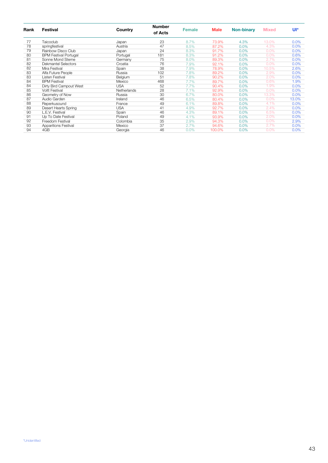| Rank | Festival                     | Country     | <b>Number</b><br>of Acts | <b>Female</b> | <b>Male</b> | <b>Non-binary</b> | <b>Mixed</b> | Ul*   |
|------|------------------------------|-------------|--------------------------|---------------|-------------|-------------------|--------------|-------|
| 77   | Taicoclub                    | Japan       | 23                       | 8.7%          | 73.9%       | 4.3%              | 13.0%        | 0.0%  |
| 78   | springfestival               | Austria     | 47                       | 8.5%          | 87.2%       | $0.0\%$           | 4.3%         | 0.0%  |
| 79   | Rainbow Disco Club           | Japan       | 24                       | 8.3%          | 91.7%       | 0.0%              | 0.0%         | 0.0%  |
| 80   | <b>BPM Festival Portugal</b> | Portugal    | 181                      | 8.3%          | 91.2%       | $0.0\%$           | 0.0%         | 0.6%  |
| 81   | Sonne Mond Sterne            | Germany     | 75                       | 8.0%          | 89.3%       | $0.0\%$           | 2.7%         | 0.0%  |
| 82   | <b>Dekmantel Selectors</b>   | Croatia     | 76                       | 7.9%          | 92.1%       | $0.0\%$           | 0.0%         | 0.0%  |
| 82   | Mira Festival                | Spain       | 38                       | 7.9%          | 78.9%       | $0.0\%$           | 10.5%        | 2.6%  |
| 83   | Alfa Future People           | Russia      | 102                      | 7.8%          | 89.2%       | 0.0%              | 2.9%         | 0.0%  |
| 83   | Listen Festival              | Belgium     | 51                       | 7.8%          | 90.2%       | $0.0\%$           | 2.0%         | 0.0%  |
| 84   | <b>BPM Festival</b>          | Mexico      | 468                      | 7.7%          | 89.7%       | $0.0\%$           | 0.6%         | 1.9%  |
| 84   | Dirty Bird Campout West      | <b>USA</b>  | 52                       | 7.7%          | 90.4%       | $0.0\%$           | 1.9%         | 0.0%  |
| 85   | <b>Voltt Festival</b>        | Netherlands | 28                       | 7.1%          | 92.9%       | $0.0\%$           | 0.0%         | 0.0%  |
| 86   | Geometry of Now              | Russia      | 30                       | 6.7%          | 80.0%       | 0.0%              | 13.3%        | 0.0%  |
| 87   | Audio Garden                 | Ireland     | 46                       | 6.5%          | 80.4%       | 0.0%              | 0.0%         | 13.0% |
| 88   | Reperkusound                 | France      | 49                       | 6.1%          | 89.8%       | 0.0%              | 4.1%         | 0.0%  |
| 89   | Desert Hearts Spring         | <b>USA</b>  | 41                       | 4.9%          | 92.7%       | $0.0\%$           | 2.4%         | 0.0%  |
| 90   | L.E.V. Festival              | Spain       | 46                       | 4.3%          | 89.1%       | 0.0%              | 6.5%         | 0.0%  |
| 91   | Up To Date Festival          | Poland      | 49                       | 4.1%          | 93.9%       | $0.0\%$           | 2.0%         | 0.0%  |
| 92   | Freedom Festival             | Colombia    | 35                       | 2.9%          | 94.3%       | 0.0%              | 0.0%         | 2.9%  |
| 93   | Apparitions Festival         | Mexico      | 37                       | 2.7%          | 94.6%       | $0.0\%$           | 2.7%         | 0.0%  |
| 94   | 4GB                          | Georgia     | 46                       | 0.0%          | 100.0%      | 0.0%              | 0.0%         | 0.0%  |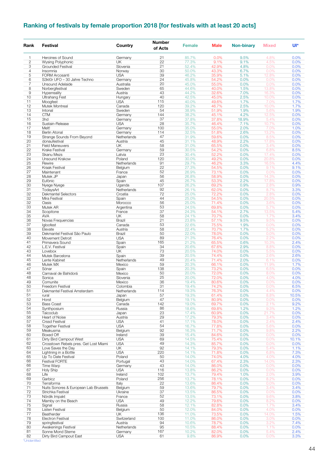## **Ranking of festivals by female proportion 2018 [for festivals with at least 20 acts]**

| Rank           | <b>Festival</b>                             | Country                | <b>Number</b><br>of Acts | <b>Female</b>  | <b>Male</b>    | <b>Non-binary</b> | <b>Mixed</b>  | Ul*           |
|----------------|---------------------------------------------|------------------------|--------------------------|----------------|----------------|-------------------|---------------|---------------|
| 1              | Heroines of Sound                           | Germany                | 21                       | 85.7%          | 0.0%           | 9.5%              | 4.8%          | 0.0%          |
| $\overline{c}$ | Wysing Polyphonic                           | UK                     | 22                       | 77.3%          | 9.1%           | 9.1%              | 4.5%          | 0.0%          |
| 3              | <b>Grounded Festival</b>                    | Slovenia               | 21                       | 52.4%          | 42.9%          | 4.8%              | 0.0%          | 0.0%          |
| $\overline{4}$ | Insomnia                                    | Norway                 | 30                       | 50.0%          | 43.3%          | 6.7%              | 0.0%          | 0.0%          |
| 5              | <b>FORM Arcosanti</b>                       | <b>USA</b>             | 39                       | 46.2%          | 35.9%          | 5.1%              | 12.8%         | 0.0%          |
| 6<br>7         | S3kt0r UFO - 30 Jahre Techno                | Germany                | 24<br>20                 | 45.8%          | 54.2%          | 0.0%              | 0.0%          | 0.0%          |
| 8              | Unsound Adelaide<br>Norbergfestival         | Australia<br>Sweden    | 65                       | 45.0%<br>44.6% | 55.0%<br>40.0% | 0.0%<br>1.5%      | 0.0%<br>13.8% | 0.0%<br>0.0%  |
| 9              | Hyperreality                                | Austria                | 43                       | 44.2%          | 32.6%          | 7.0%              | 16.3%         | 0.0%          |
| 10             | <b>Ultrahang Fest</b>                       | Hungary                | 40                       | 42.5%          | 45.0%          | 2.5%              | 10.0%         | 0.0%          |
| 11             | Moogfest                                    | <b>USA</b>             | 115                      | 40.0%          | 49.6%          | 1.7%              | 7.0%          | 1.7%          |
| 12             | Mutek Montreal                              | Canada                 | 120                      | 39.2%          | 46.7%          | 2.5%              | 10.0%         | 1.7%          |
| 13             | Intonal                                     | Sweden                 | 54                       | 38.9%          | 51.9%          | 1.9%              | 5.6%          | 1.9%          |
| 14             | <b>CTM</b>                                  | Germany                | 144                      | 38.2%          | 45.1%          | 4.2%              | 12.5%         | 0.0%          |
| 15             | 3hd                                         | Germany                | 37                       | 37.8%          | 37.8%          | 18.9%             | 5.4%          | 0.0%          |
| 16             | Sustain-Release                             | <b>USA</b>             | 28                       | 35.7%          | 46.4%          | 7.1%              | 10.7%         | 0.0%          |
| 17<br>18       | Melt!<br><b>Berlin Atonal</b>               | Germany<br>Germany     | 100<br>114               | 35.0%<br>32.5% | 55.0%<br>51.8% | 2.0%<br>2.6%      | 7.0%<br>13.2% | 1.0%<br>0.0%  |
| 19             | Strange Sounds From Beyond                  | Netherlands            | 47                       | 31.9%          | 59.6%          | 0.0%              | 8.5%          | 0.0%          |
| 20             | donaufestival                               | Austria                | 45                       | 31.1%          | 48.9%          | 2.2%              | 17.8%         | 0.0%          |
| 21             | <b>Field Maneuvers</b>                      | <b>UK</b>              | 58                       | 31.0%          | 65.5%          | 0.0%              | 3.4%          | 0.0%          |
| 22             | <b>Krake Festival</b>                       | Germany                | 59                       | 30.5%          | 54.2%          | 0.0%              | 6.8%          | 8.5%          |
| 23             | Skanu Mezs                                  | Latvia                 | 23                       | 30.4%          | 52.2%          | 0.0%              | 17.4%         | 0.0%          |
| 24             | Unsound Krakow                              | Poland                 | 120                      | 30.0%          | 49.2%          | 0.0%              | 20.8%         | 0.0%          |
| 25             | Rewire                                      | Netherlands            | 91                       | 29.7%          | 46.2%          | 3.3%              | 16.5%         | 4.4%          |
| 26             | Kraak Festival                              | Belgium                | 22                       | 27.3%          | 54.5%          | 0.0%              | 9.1%          | 9.1%          |
| 27             | Maintenant                                  | France                 | 52                       | 26.9%          | 73.1%          | 0.0%              | 0.0%          | 0.0%          |
| 28             | Mutek JP                                    | Japan                  | 56                       | 26.8%          | 58.9%          | 0.0%              | 14.3%         | 0.0%          |
| 29             | Eufònic                                     | Spain                  | 45                       | 26.7%          | 53.3%          | 2.2%              | 17.8%         | 0.0%          |
| 30             | Nyege Nyege                                 | Uganda                 | 107                      | 26.2%          | 69.2%          | 0.9%              | 2.8%          | 0.9%          |
| 31<br>32       | TodaysArt<br>Dekmantel Selectors            | Netherlands<br>Croatia | 92<br>72                 | 26.1%<br>25.0% | 62.0%<br>72.2% | 0.0%<br>0.0%      | 8.7%<br>2.8%  | 3.3%<br>0.0%  |
| 32             | Mira Festival                               | Spain                  | 44                       | 25.0%          | 54.5%          | 0.0%              | 20.5%         | 0.0%          |
| 32             | Oasis                                       | Morocco                | 56                       | 25.0%          | 71.4%          | 0.0%              | 3.6%          | 0.0%          |
| 33             | Mutek AR                                    | Argentina              | 53                       | 24.5%          | 69.8%          | 0.0%              | 5.7%          | 0.0%          |
| 34             | Scopitone                                   | France                 | 37                       | 24.3%          | 54.1%          | 2.7%              | 13.5%         | 5.4%          |
| 35             | <b>AVA</b>                                  | UK                     | 58                       | 24.1%          | 70.7%          | 0.0%              | 1.7%          | 3.4%          |
| 36             | Novas Frequencias                           | <b>Brazil</b>          | 21                       | 23.8%          | 57.1%          | 9.5%              | 9.5%          | 0.0%          |
| 37             | Igloofest                                   | Canada                 | 53                       | 22.6%          | 75.5%          | 1.9%              | 0.0%          | 0.0%          |
| 38             | Elevate                                     | Austria                | 58                       | 22.4%          | 70.7%          | 1.7%              | 5.2%          | 0.0%          |
| 39             | Dekmantel Festival São Paulo                | Brazil                 | 50                       | 22.0%          | 78.0%          | 0.0%              | 0.0%          | 0.0%          |
| 40<br>41       | Movement Detroit                            | <b>USA</b>             | 89                       | 21.3%          | 76.4%          | 0.0%              | 2.2%          | 0.0%          |
| 42             | Primavera Sound<br>L.E.V. Festival          | Spain<br>Spain         | 165<br>34                | 21.2%<br>20.6% | 65.5%<br>67.6% | 0.6%<br>2.9%      | 10.3%<br>8.8% | 2.4%<br>0.0%  |
| 43             | Lovebox                                     | UΚ                     | 73                       | 20.5%          | 74.0%          | 0.0%              | 5.5%          | 0.0%          |
| 44             | Mutek Barcelona                             | Spain                  | 39                       | 20.5%          | 74.4%          | 0.0%              | 2.6%          | 2.6%          |
| 45             | Lente Kabinet                               | Netherlands            | 49                       | 20.4%          | 71.4%          | 2.0%              | 6.1%          | 0.0%          |
| 46             | Mutek MX                                    | Mexico                 | 59                       | 20.3%          | 66.1%          | 0.0%              | 11.9%         | 1.7%          |
| 47             | Sónar                                       | Spain                  | 138                      | 20.3%          | 73.2%          | 0.0%              | 6.5%          | 0.0%          |
| 48             | Carnaval de Bahidorá                        | Mexico                 | 50                       | 20.0%          | 72.0%          | 0.0%              | 8.0%          | 0.0%          |
| 48             | Sonica                                      | Slovenia               | 25                       | 20.0%          | 72.0%          | 0.0%              | 4.0%          | 4.0%          |
| 49             | Comunite                                    | Mexico                 | 36                       | 19.4%          | 80.6%          | 0.0%              | 0.0%          | 0.0%          |
| 50             | Freedom Festival                            | Colombia               | 31                       | 19.4%          | 74.2%          | $0.0\%$           | $0.0\%$       | 6.5%          |
| 51             | Dekmantel Festival Amsterdam                | Netherlands            | 114                      | 19.3%          | 76.3%          | 0.0%              | 4.4%          | 0.0%          |
| 51<br>52       | rural<br>Horst                              | Japan<br>Belgium       | 57<br>47                 | 19.3%<br>19.1% | 61.4%<br>80.9% | 0.0%<br>0.0%      | 8.8%<br>0.0%  | 10.5%<br>0.0% |
| 53             | <b>Bass Coast</b>                           | Canada                 | 142                      | 19.0%          | 69.7%          | 0.0%              | 2.1%          | 9.2%          |
| 54             | Synthposium                                 | Russia                 | 86                       | 18.6%          | 69.8%          | 1.2%              | 9.3%          | 1.2%          |
| 55             | Taicoclub                                   | Japan                  | 23                       | 17.4%          | 60.9%          | 0.0%              | 21.7%         | 0.0%          |
| 56             | Heart of Noise                              | Austria                | 29                       | 17.2%          | 79.3%          | 0.0%              | 3.4%          | 0.0%          |
| 57             | <b>Crssd Festival</b>                       | <b>USA</b>             | 41                       | 17.1%          | 78.0%          | 0.0%              | 2.4%          | 2.4%          |
| 58             | <b>Together Festival</b>                    | <b>USA</b>             | 54                       | 16.7%          | 77.8%          | 0.0%              | 5.6%          | 0.0%          |
| 59             | Meakusma                                    | Belgium                | 92                       | 16.3%          | 71.7%          | 0.0%              | 9.8%          | 2.2%          |
| 60             | Boxed Off                                   | Ireland                | 39                       | 15.4%          | 84.6%          | 0.0%              | 0.0%          | 0.0%          |
| 61             | Dirty Bird Campout West                     | <b>USA</b>             | 69                       | 14.5%          | 75.4%          | 0.0%              | 0.0%          | 10.1%         |
| 62             | Crosstown Rebels pres. Get Lost Miami       | <b>USA</b>             | 49                       | 14.3%          | 85.7%          | 0.0%              | 0.0%          | 0.0%          |
| 63<br>64       | Love Saves the Day<br>Lightning in a Bottle | UK<br><b>USA</b>       | 92<br>220                | 14.1%<br>14.1% | 79.3%<br>71.8% | 0.0%              | 5.4%<br>6.8%  | 1.1%          |
| 65             | Up To Date Festival                         | Poland                 | 50                       | 14.0%          | 74.0%          | 0.0%<br>4.0%      | 4.0%          | 7.3%<br>4.0%  |
| 66             | Festival FORTE                              | Portugal               | 43                       | 14.0%          | 67.4%          | 2.3%              | 14.0%         | 2.3%          |
| 66             | Time Warp                                   | Germany                | 43                       | 14.0%          | 86.0%          | 0.0%              | 0.0%          | 0.0%          |
| 67             | Holy Ship                                   | <b>USA</b>             | 116                      | 13.8%          | 86.2%          | 0.0%              | 0.0%          | 0.0%          |
| 68             | Life                                        | Ireland                | 102                      | 13.7%          | 79.4%          | 1.0%              | 2.0%          | 3.9%          |
| 69             | Garbicz                                     | Poland                 | 256                      | 13.7%          | 78.1%          | 0.0%              | 8.2%          | 0.0%          |
| 70             | Terraforma                                  | Italy                  | 22                       | 13.6%          | 86.4%          | 0.0%              | 0.0%          | 0.0%          |
| 71             | Nuits Sonores & European Lab Brussels       | Belgium                | 59                       | 13.6%          | 79.7%          | 0.0%              | 3.4%          | 3.4%          |
| 72             | Strichka Festival                           | Ukraine                | 37                       | 13.5%          | 86.5%          | 0.0%              | 0.0%          | 0.0%          |
| 73             | Nördik Impakt                               | France                 | 52                       | 13.5%          | 73.1%          | 0.0%              | 9.6%          | 3.8%          |
| 74             | Mamby on the Beach                          | <b>USA</b>             | 49                       | 12.2%          | 79.6%          | 0.0%              | 8.2%          | 0.0%          |
| 75             | Signal                                      | Russia                 | 58                       | 12.1%          | 82.8%          | 0.0%              | 1.7%          | 3.4%          |
| 76<br>77       | Listen Festival                             | Belgium                | 50<br>136                | 12.0%          | 84.0%          | 0.0%<br>0.0%      | 4.0%          | 0.0%          |
| 78             | Beatherder<br>Electron Festival             | UΚ<br>Switzerland      | 100                      | 11.0%<br>11.0% | 73.5%<br>86.0% | 0.0%              | 14.0%<br>3.0% | 1.5%<br>0.0%  |
| 79             | springfestival                              | Austria                | 94                       | 10.6%          | 78.7%          | 0.0%              | 3.2%          | 7.4%          |
| 80             | Awakenings Festival                         | Netherlands            | 95                       | 10.5%          | 88.4%          | 0.0%              | 1.1%          | 0.0%          |
| 81             | Sonne Mond Sterne                           | Germany                | 167                      | 10.2%          | 82.0%          | 0.0%              | 5.4%          | 2.4%          |
| 82             | Dirty Bird Campout East                     | USA                    | 61                       | 9.8%           | 86.9%          | 0.0%              | 0.0%          | 3.3%          |

\*Unidentified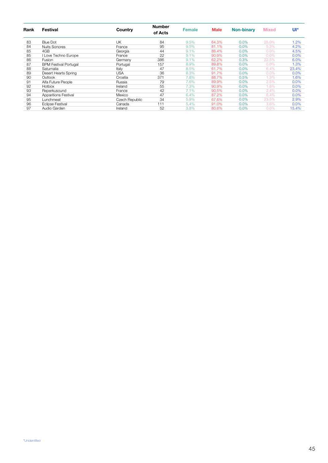| Rank | Festival                     | Country        | <b>Number</b><br>of Acts | <b>Female</b> | <b>Male</b> | <b>Non-binary</b> | <b>Mixed</b> | Ul*   |
|------|------------------------------|----------------|--------------------------|---------------|-------------|-------------------|--------------|-------|
| 83   | <b>Blue Dot</b>              | UK             | 84                       | 9.5%          | 64.3%       | 0.0%              | 25.0%        | 1.2%  |
| 84   | <b>Nuits Sonores</b>         | France         | 95                       | 9.5%          | 81.1%       | $0.0\%$           | 5.3%         | 4.2%  |
| 85   | 4GB                          | Georgia        | 44                       | 9.1%          | 86.4%       | 0.0%              | $0.0\%$      | 4.5%  |
| 85   | I Love Techno Europe         | France         | 22                       | 9.1%          | 90.9%       | 0.0%              | 0.0%         | 0.0%  |
| 86   | Fusion                       | Germany        | 386                      | 9.1%          | 62.2%       | 0.3%              | 22.5%        | 6.0%  |
| 87   | <b>BPM Festival Portugal</b> | Portugal       | 157                      | 8.9%          | 89.8%       | $0.0\%$           | $0.0\%$      | 1.3%  |
| 88   | Saturnalia                   | Italy          | 47                       | 8.5%          | 61.7%       | 0.0%              | 6.4%         | 23.4% |
| 89   | Desert Hearts Spring         | <b>USA</b>     | 36                       | 8.3%          | 91.7%       | 0.0%              | 0.0%         | 0.0%  |
| 90   | Outlook                      | Croatia        | 371                      | 7.8%          | 88.7%       | 0.5%              | 1.3%         | 1.6%  |
| 91   | Alfa Future People           | Russia         | 79                       | 7.6%          | 89.9%       | 0.0%              | 2.5%         | 0.0%  |
| 92   | Hotbox                       | Ireland        | 55                       | 7.3%          | 90.9%       | $0.0\%$           | 1.8%         | 0.0%  |
| 93   | Reperkusound                 | France         | 42                       | 7.1%          | 90.5%       | 0.0%              | 2.4%         | 0.0%  |
| 94   | <b>Apparitions Festival</b>  | Mexico         | 47                       | 6.4%          | 87.2%       | 0.0%              | 6.4%         | 0.0%  |
| 95   | Lunchmeat                    | Czech Republic | 34                       | 5.9%          | 67.6%       | $0.0\%$           | 23.5%        | 2.9%  |
| 96   | <b>Eclipse Festival</b>      | Canada         | 111                      | 5.4%          | 91.0%       | 0.0%              | 3.6%         | 0.0%  |
| 97   | Audio Garden                 | Ireland        | 52                       | 3.8%          | 80.8%       | 0.0%              | $0.0\%$      | 15.4% |
|      |                              |                |                          |               |             |                   |              |       |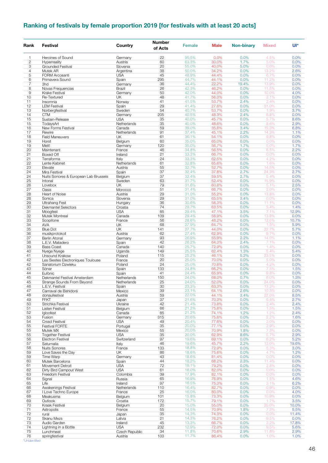## **Ranking of festivals by female proportion 2019 [for festivals with at least 20 acts]**

| Rank           | Festival                                    | Country                   | <b>Number</b><br>of Acts | <b>Female</b>  | <b>Male</b>    | <b>Non-binary</b> | <b>Mixed</b>   | Ul*           |
|----------------|---------------------------------------------|---------------------------|--------------------------|----------------|----------------|-------------------|----------------|---------------|
| 1              | Heroines of Sound                           | Germany                   | 22                       | 95.5%          | 0.0%           | 0.0%              | 4.5%           | 0.0%          |
| $\overline{c}$ | Hyperreality                                | Austria                   | 60                       | 63.3%          | 30.0%          | 1.7%              | 5.0%           | 0.0%          |
| 3              | Grounded Festival                           | Slovenia                  | 20                       | 55.0%          | 40.0%          | 5.0%              | 0.0%           | 0.0%          |
| 4<br>5         | Mutek AR<br><b>FORM Arcosanti</b>           | Argentina<br><b>USA</b>   | 38<br>45                 | 50.0%<br>48.9% | 34.2%<br>44.4% | 0.0%<br>0.0%      | 13.2%<br>6.7%  | 2.6%<br>0.0%  |
| 6              | Primavera Sound                             | Spain                     | 295                      | 44.7%          | 44.1%          | 0.0%              | 11.2%          | 0.0%          |
| $\overline{7}$ | 3hd                                         | Germany                   | 36                       | 44.4%          | 22.2%          | 19.4%             | 13.9%          | 0.0%          |
| 8              | Novas Frequencias                           | Brazil                    | 26                       | 42.3%          | 46.2%          | 0.0%              | 11.5%          | 0.0%          |
| 9<br>10        | <b>Krake Festival</b><br>Re-Textured        | Germany<br>UK             | 50<br>48                 | 42.0%<br>41.7% | 44.0%<br>56.3% | 0.0%<br>0.0%      | 10.0%<br>2.1%  | 4.0%<br>0.0%  |
| 11             | Insomnia                                    | Norway                    | 41                       | 41.5%          | 53.7%          | 2.4%              | 2.4%           | 0.0%          |
| 12             | <b>LEM Festival</b>                         | Spain                     | 29                       | 41.4%          | 27.6%          | 0.0%              | 31.0%          | 0.0%          |
| 13             | Norbergfestival                             | Sweden                    | 54                       | 40.7%          | 53.7%          | 0.0%              | 1.9%           | 3.7%          |
| 14             | <b>CTM</b>                                  | Germany                   | 205<br>35                | 40.5%<br>40.0% | 48.3%<br>45.7% | 2.4%              | 8.8%<br>5.7%   | 0.0%          |
| 15<br>15       | Sustain-Release<br>TodaysArt                | <b>USA</b><br>Netherlands | 35                       | 40.0%          | 48.6%          | 0.0%<br>0.0%      | 8.6%           | 8.6%<br>2.9%  |
| 16             | New Forms Festival                          | Canada                    | 59                       | 39.0%          | 35.6%          | 3.4%              | 15.3%          | 6.8%          |
| 17             | Rewire                                      | Netherlands               | 91                       | 37.4%          | 45.1%          | 2.2%              | 14.3%          | 1.1%          |
| 18             | <b>Field Maneuvers</b>                      | UK                        | 61                       | 36.1%          | 54.1%          | 0.0%              | 9.8%           | 0.0%          |
| 19<br>19       | Horst<br>Melt!                              | Belgium<br>Germany        | 60<br>120                | 35.0%<br>35.0% | 65.0%<br>56.7% | 0.0%<br>1.7%      | 0.0%<br>5.0%   | 0.0%<br>1.7%  |
| 20             | Maintenant                                  | France                    | 46                       | 34.8%          | 56.5%          | 0.0%              | 6.5%           | 2.2%          |
| 21             | Boxed Off                                   | Ireland                   | 21                       | 33.3%          | 66.7%          | 0.0%              | 0.0%           | 0.0%          |
| 21             | Terraforma                                  | Italy                     | 24                       | 33.3%          | 62.5%          | 0.0%              | 4.2%           | 0.0%          |
| 22             | Lente Kabinet                               | Netherlands               | 61                       | 32.8%          | 65.6%          | 0.0%              | 1.6%           | 0.0%          |
| 23<br>24       | Elevate<br>Mira Festival                    | Austria<br>Spain          | 55<br>37                 | 32.7%<br>32.4% | 52.7%<br>37.8% | 0.0%<br>2.7%      | 14.5%<br>24.3% | 0.0%<br>2.7%  |
| 24             | Nuits Sonores & European Lab Brussels       | Belgium                   | 37                       | 32.4%          | 59.5%          | 2.7%              | 5.4%           | 0.0%          |
| 25             | Intonal                                     | Sweden                    | 63                       | 31.7%          | 52.4%          | 0.0%              | 15.9%          | 0.0%          |
| 26             | Lovebox                                     | <b>UK</b>                 | 79                       | 31.6%          | 60.8%          | 0.0%              | 5.1%           | 2.5%          |
| 27             | Oasis                                       | Morocco                   | 51                       | 31.4%          | 66.7%          | 0.0%              | 2.0%           | 0.0%          |
| 28<br>28       | Heart of Noise<br>Sonica                    | Austria<br>Slovenia       | 29<br>29                 | 31.0%<br>31.0% | 55.2%<br>65.5% | 0.0%<br>3.4%      | 13.8%<br>0.0%  | 0.0%<br>0.0%  |
| 29             | <b>Ultrahang Fest</b>                       | Hungary                   | 36                       | 30.6%          | 58.3%          | 0.0%              | 11.1%          | 0.0%          |
| 30             | Dekmantel Selectors                         | Croatia                   | 74                       | 29.7%          | 63.5%          | 0.0%              | 5.4%           | 1.4%          |
| 31             | Moogfest                                    | <b>USA</b>                | 85                       | 29.4%          | 47.1%          | 3.5%              | 7.1%           | 12.9%         |
| 32<br>33       | Mutek Montreal                              | Canada                    | 109<br>56                | 29.4%<br>28.6% | 56.9%          | 0.0%<br>0.0%      | 13.8%<br>12.5% | 0.0%<br>10.7% |
| 34             | Scopitone<br><b>AVA</b>                     | France<br>UK              | 68                       | 27.9%          | 48.2%<br>64.7% | 0.0%              | 1.5%           | 5.9%          |
| 35             | <b>Blue Dot</b>                             | <b>UK</b>                 | 141                      | 27.7%          | 44.0%          | 0.0%              | 22.7%          | 5.7%          |
| 36             | musikprotokoll                              | Austria                   | 62                       | 27.4%          | 62.9%          | 0.0%              | 9.7%           | 0.0%          |
| 37             | <b>Berlin Atonal</b>                        | Germany                   | 93                       | 26.9%          | 55.9%          | 2.2%              | 14.0%          | 1.1%          |
| 38<br>39       | L.E.V. Matadero<br><b>Bass Coast</b>        | Spain<br>Canada           | 42<br>140                | 26.2%<br>25.7% | 64.3%<br>72.9% | 2.4%<br>0.0%      | 7.1%<br>1.4%   | 0.0%<br>0.0%  |
| 40             | Nyege Nyege                                 | Uganda                    | 149                      | 25.5%          | 62.4%          | 1.3%              | 5.4%           | 5.4%          |
| 41             | Unsound Krakow                              | Poland                    | 115                      | 25.2%          | 46.1%          | 5.2%              | 23.5%          | 0.0%          |
| 42             | Les Siestes Electroniques Toulouse          | France                    | 20                       | 25.0%          | 70.0%          | 0.0%              | 5.0%           | 0.0%          |
| 42<br>43       | Sanatorium Dzwieku<br>Sónar                 | Poland<br>Spain           | 24<br>133                | 25.0%<br>24.8% | 70.8%<br>66.2% | 0.0%<br>0.0%      | 4.2%<br>7.5%   | 0.0%<br>1.5%  |
| 44             | Eufònic                                     | Spain                     | 41                       | 24.4%          | 65.9%          | 0.0%              | 9.8%           | 0.0%          |
| 45             | Dekmantel Festival Amsterdam                | Netherlands               | 150                      | 24.0%          | 68.0%          | 0.7%              | 6.0%           | 1.3%          |
| 45             | Strange Sounds From Beyond                  | Netherlands               | 25                       | 24.0%          | 52.0%          | 0.0%              | 24.0%          | 0.0%          |
| 46             | L.E.V. Festival                             | Spain                     | 30                       | 23.3%          | 63.3%          | $0.0\%$           | <u>13.3%</u>   | $0.0\%$       |
| 47<br>48       | Carnaval de Bahidorá<br>donaufestival       | Mexico<br>Austria         | 39<br>59                 | 23.1%<br>22.0% | 64.1%<br>44.1% | 2.6%<br>3.4%      | 10.3%<br>22.0% | 0.0%<br>8.5%  |
| 49             | <b>FFKT</b>                                 | Japan                     | 37                       | 21.6%          | 70.3%          | 0.0%              | 5.4%           | 2.7%          |
| 50             | Strichka Festival                           | Ukraine                   | 42                       | 21.4%          | 73.8%          | 0.0%              | 2.4%           | 2.4%          |
| 51             | Listen Festival                             | Belgium                   | 66                       | 21.2%          | 75.8%          | 0.0%              | 1.5%           | 1.5%          |
| 52             | Igloofest                                   | Canada                    | 85                       | 21.2%<br>20.6% | 74.1%          | 1.2%<br>0.0%      | 1.2%<br>2.2%   | 2.4%          |
| 53<br>54       | Fusion<br><b>Crssd Festival</b>             | Germany<br><b>USA</b>     | 315<br>49                | 20.4%          | 75.6%<br>77.6% | 0.0%              | 2.0%           | 1.6%<br>0.0%  |
| 55             | Festival FORTE                              | Portugal                  | 35                       | 20.0%          | 77.1%          | 0.0%              | 2.9%           | 0.0%          |
| 55             | Mutek MX                                    | Mexico                    | 55                       | 20.0%          | 70.9%          | 1.8%              | 7.3%           | 0.0%          |
| 55             | <b>Together Festival</b>                    | <b>USA</b>                | 35                       | 20.0%          | 62.9%          | 8.6%              | 5.7%           | 2.9%          |
| 56<br>57       | Electron Festival<br>Saturnalia             | Switzerland<br>Italy      | 97<br>46                 | 19.6%<br>19.6% | 69.1%<br>45.7% | 0.0%<br>2.2%      | 6.2%<br>13.0%  | 5.2%<br>19.6% |
| 58             | <b>Nuits Sonores</b>                        | France                    | 133                      | 18.8%          | 72.9%          | 0.0%              | 5.3%           | 3.0%          |
| 59             | Love Saves the Day                          | UK                        | 86                       | 18.6%          | 75.6%          | 0.0%              | 4.7%           | 1.2%          |
| 59             | Time Warp                                   | Germany                   | 43                       | 18.6%          | 81.4%          | 0.0%              | 0.0%           | 0.0%          |
| 60<br>61       | Mutek Barcelona                             | Spain                     | 44<br>72                 | 18.2%<br>18.1% | 68.2%<br>79.2% | 2.3%<br>0.0%      | 11.4%<br>2.8%  | 0.0%<br>0.0%  |
| 62             | Movement Detroit<br>Dirty Bird Campout West | <b>USA</b><br><b>USA</b>  | 61                       | 18.0%          | 82.0%          | 0.0%              | 0.0%           | 0.0%          |
| 63             | Freedom Festival                            | Colombia                  | 39                       | 17.9%          | 82.1%          | 0.0%              | 0.0%           | 0.0%          |
| 64             | Signal                                      | Russia                    | 65                       | 16.9%          | 76.9%          | 0.0%              | 1.5%           | 4.6%          |
| 65             | Life                                        | Ireland                   | 97                       | 16.5%          | 75.3%          | 0.0%              | 2.1%           | 6.2%          |
| 66<br>67       | Awakenings Festival<br>I Love Techno Europe | Netherlands<br>France     | 110<br>25                | 16.4%<br>16.0% | 82.7%<br>80.0% | 0.0%<br>0.0%      | 0.9%<br>0.0%   | 0.0%<br>4.0%  |
| 68             | Meakusma                                    | Belgium                   | 101                      | 15.8%          | 73.3%          | 0.0%              | 10.9%          | 0.0%          |
| 69             | Outlook                                     | Croatia                   | 172                      | 15.7%          | 79.1%          | 0.0%              | 1.7%           | 3.5%          |
| 70             | Kraak Festival                              | Belgium                   | 20                       | 15.0%          | 55.0%          | 0.0%              | 20.0%          | 10.0%         |
| 71             | Astropolis                                  | France                    | 55                       | 14.5%          | 70.9%          | 1.8%              | 7.3%           | 5.5%          |
| 72<br>72       | rural<br>Skanu Mezs                         | Japan<br>Latvia           | 35<br>21                 | 14.3%<br>14.3% | 74.3%<br>76.2% | 0.0%<br>0.0%      | 0.0%<br>9.5%   | 11.4%<br>0.0% |
| 73             | Audio Garden                                | Ireland                   | 45                       | 13.3%          | 66.7%          | 0.0%              | 2.2%           | 17.8%         |
| 74             | Lightning in a Bottle                       | <b>USA</b>                | 232                      | 12.9%          | 72.0%          | 0.0%              | 9.5%           | 5.6%          |
| 75             | Lunchmeat                                   | Czech Republic            | 34                       | 11.8%          | 70.6%          | 2.9%              | 11.8%          | 2.9%          |
| 76             | springfestival                              | Austria                   | 103                      | 11.7%          | 86.4%          | 0.0%              | 1.0%           | 1.0%          |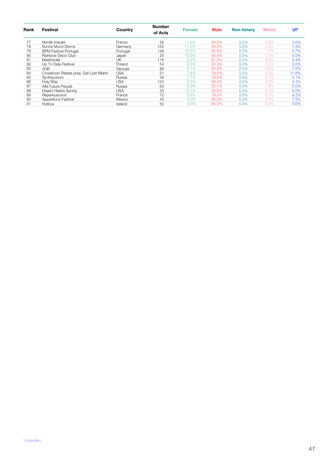| Rank | Festival                              | Country  | <b>Number</b><br>of Acts | <b>Female</b> | <b>Male</b> | <b>Non-binary</b> | <b>Mixed</b> | Ul*   |
|------|---------------------------------------|----------|--------------------------|---------------|-------------|-------------------|--------------|-------|
| 77   | Nördik Impakt                         | France   | 26                       | 11.5%         | 84.6%       | 0.0%              | 3.8%         | 0.0%  |
| 78   | Sonne Mond Sterne                     | Germany  | 155                      | 11.0%         | 84.5%       | 0.0%              | 3.2%         | 1.3%  |
| 79   | <b>BPM Festival Portugal</b>          | Portugal | 146                      | 10.3%         | 85.6%       | 0.0%              | 1.4%         | 2.7%  |
| 80   | Rainbow Disco Club                    | Japan    | 20                       | 10.0%         | 90.0%       | 0.0%              | 0.0%         | 0.0%  |
| 81   | Beatherder                            | UΚ       | 116                      | 9.5%          | 81.0%       | 0.0%              | 6.0%         | 3.4%  |
| 82   | Up To Date Festival                   | Poland   | 54                       | 9.3%          | 83.3%       | 0.0%              | 7.4%         | 0.0%  |
| 83   | 4GB                                   | Georgia  | 86                       | 8.1%          | 84.9%       | 0.0%              | 0.0%         | 7.0%  |
| 84   | Crosstown Rebels pres. Get Lost Miami | USA      | 51                       | 7.8%          | 76.5%       | 0.0%              | 3.9%         | 11.8% |
| 85   | Synthposium                           | Russia   | 39                       | 7.7%          | 79.5%       | 2.6%              | 5.1%         | 5.1%  |
| 86   | <b>Holy Ship</b>                      | USA      | 123                      | 6.5%          | 89.4%       | 0.0%              | $0.0\%$      | 4.1%  |
| 87   | Alfa Future People                    | Russia   | 63                       | 6.3%          | 92.1%       | 0.0%              | 1.6%         | 0.0%  |
| 88   | Desert Hearts Spring                  | USA      | 33                       | 6.1%          | 93.9%       | 0.0%              | $0.0\%$      | 0.0%  |
| 89   | Reperkusound                          | France   | 72                       | 5.6%          | 79.2%       | 2.8%              | 8.3%         | 4.2%  |
| 90   | <b>Apparitions Festival</b>           | Mexico   | 40                       | 5.0%          | 85.0%       | 0.0%              | 2.5%         | 7.5%  |
| 91   | Hotbox                                | Ireland  | 50                       | 4.0%          | 94.0%       | 0.0%              | 2.0%         | 0.0%  |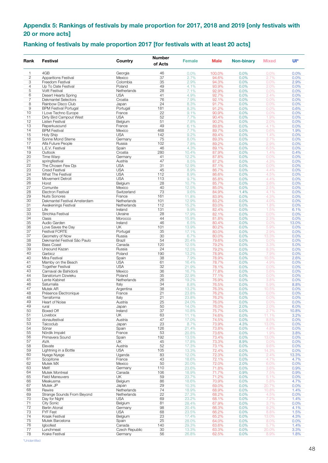### <span id="page-47-0"></span>**Appendix 5: Rankings of festivals by male proportion for 2017, 2018 and 2019 [only festivals with 20 or more acts]**

### **Ranking of festivals by male proportion 2017 [for festivals with at least 20 acts]**

| Rank                | <b>Festival</b>                                  | Country                    | <b>Number</b><br>of Acts | <b>Female</b>  | <b>Male</b>    | <b>Non-binary</b> | <b>Mixed</b>  | Ul*           |
|---------------------|--------------------------------------------------|----------------------------|--------------------------|----------------|----------------|-------------------|---------------|---------------|
| 1                   | 4GB                                              | Georgia                    | 46                       | 0.0%           | 100.0%         | 0.0%              | 0.0%          | 0.0%          |
| $\mathbf{2}$        | <b>Apparitions Festival</b>                      | Mexico                     | 37                       | 2.7%           | 94.6%          | 0.0%              | 2.7%          | 0.0%          |
| 3                   | Freedom Festival                                 | Colombia                   | 35                       | 2.9%           | 94.3%          | 0.0%              | 0.0%          | 2.9%          |
| $\overline{4}$      | Up To Date Festival                              | Poland                     | 49                       | 4.1%           | 93.9%          | 0.0%              | 2.0%          | 0.0%          |
| 5                   | <b>Voltt Festival</b>                            | Netherlands                | 28                       | 7.1%           | 92.9%          | 0.0%              | 0.0%          | 0.0%          |
| 6                   | Desert Hearts Spring                             | <b>USA</b>                 | 41                       | 4.9%           | 92.7%          | 0.0%              | 2.4%          | 0.0%          |
| $\overline{7}$<br>8 | <b>Dekmantel Selectors</b><br>Rainbow Disco Club | Croatia<br>Japan           | 76<br>24                 | 7.9%<br>8.3%   | 92.1%<br>91.7% | 0.0%              | 0.0%<br>0.0%  | 0.0%          |
| 9                   | <b>BPM Festival Portugal</b>                     | Portugal                   | 181                      | 8.3%           | 91.2%          | 0.0%<br>0.0%      | 0.0%          | 0.0%<br>0.6%  |
| 10                  | I Love Techno Europe                             | France                     | 22                       | 9.1%           | 90.9%          | 0.0%              | 0.0%          | 0.0%          |
| 11                  | Dirty Bird Campout West                          | <b>USA</b>                 | 52                       | 7.7%           | 90.4%          | 0.0%              | 1.9%          | 0.0%          |
| 12                  | <b>Listen Festival</b>                           | Belgium                    | 51                       | 7.8%           | 90.2%          | 0.0%              | 2.0%          | 0.0%          |
| 13                  | Reperkusound                                     | France                     | 49                       | 6.1%           | 89.8%          | 0.0%              | 4.1%          | 0.0%          |
| 14                  | <b>BPM Festival</b>                              | Mexico                     | 468                      | 7.7%           | 89.7%          | 0.0%              | 0.6%          | 1.9%          |
| 15                  | <b>Holy Ship</b>                                 | <b>USA</b>                 | 142                      | 9.2%           | 89.4%          | 0.0%              | 1.4%          | 0.0%          |
| 16                  | Sonne Mond Sterne                                | Germany                    | 75                       | 8.0%           | 89.3%          | 0.0%              | 2.7%          | 0.0%          |
| 17                  | Alfa Future People                               | Russia                     | 102                      | 7.8%           | 89.2%          | 0.0%              | 2.9%          | 0.0%          |
| 18<br>19            | L.E.V. Festival<br>Outlook                       | Spain<br>Croatia           | 46<br>280                | 4.3%           | 89.1%          | 0.0%<br>0.0%      | 6.5%          | 0.0%          |
| 20                  | Time Warp                                        | Germany                    | 41                       | 10.4%<br>12.2% | 87.9%<br>87.8% | 0.0%              | 1.4%<br>0.0%  | 0.4%<br>0.0%  |
| 21                  | springfestival                                   | Austria                    | 47                       | 8.5%           | 87.2%          | 0.0%              | 4.3%          | 0.0%          |
| 22                  | The Chosen Few Dis                               | <b>USA</b>                 | 31                       | 12.9%          | 87.1%          | 0.0%              | 0.0%          | 0.0%          |
| 23                  | <b>Crssd Festival</b>                            | <b>USA</b>                 | 45                       | 8.9%           | 86.7%          | 0.0%              | 4.4%          | 0.0%          |
| 24                  | What The Festival                                | <b>USA</b>                 | 112                      | 8.9%           | 86.6%          | 0.0%              | 4.5%          | 0.0%          |
| 25                  | Movement Detroit                                 | <b>USA</b>                 | 113                      | 9.7%           | 85.8%          | 0.0%              | 4.4%          | 0.0%          |
| 26                  | Horst                                            | Belgium                    | 28                       | 10.7%          | 85.7%          | 0.0%              | 3.6%          | 0.0%          |
| 27                  | Comunite                                         | Mexico                     | 40                       | 12.5%          | 85.0%          | 0.0%              | 2.5%          | 0.0%          |
| 28                  | <b>Electron Festival</b>                         | Switzerland                | 73                       | 9.6%           | 84.9%          | 1.4%              | 4.1%          | 0.0%          |
| 29                  | <b>Nuits Sonores</b>                             | France                     | 161                      | 11.8%          | 83.9%          | 0.0%              | 4.3%          | 0.0%          |
| 30                  | Dekmantel Festival Amsterdam                     | Netherlands                | 101                      | 12.9%          | 83.2%          | 0.0%              | 4.0%          | 0.0%          |
| 31                  | Awakenings Festival                              | Netherlands                | 112                      | 15.2%          | 83.0%          | 0.0%              | 1.8%          | 0.0%          |
| 32                  | Life                                             | Ireland                    | 131                      | 9.9%           | 82.4%          | 0.0%              | 1.5%          | 6.1%          |
| 33                  | Strichka Festival                                | Ukraine                    | 28<br>44                 | 17.9%          | 82.1%          | 0.0%              | 0.0%          | 0.0%          |
| 34<br>35            | Oasis<br>Audio Garden                            | Morocco<br>Ireland         | 46                       | 15.9%<br>6.5%  | 81.8%<br>80.4% | 0.0%<br>0.0%      | 2.3%<br>0.0%  | 0.0%          |
| 36                  | Love Saves the Day                               | UK                         | 101                      | 13.9%          | 80.2%          | 0.0%              | 5.9%          | 13.0%<br>0.0% |
| 37                  | <b>Festival FORTE</b>                            | Portugal                   | 35                       | 17.1%          | 80.0%          | 0.0%              | 2.9%          | 0.0%          |
| 37                  | Geometry of Now                                  | Russia                     | 30                       | 6.7%           | 80.0%          | 0.0%              | 13.3%         | 0.0%          |
| 38                  | Dekmantel Festival São Paulo                     | Brazil                     | 54                       | 20.4%          | 79.6%          | 0.0%              | 0.0%          | 0.0%          |
| 39                  | <b>Bass Coast</b>                                | Canada                     | 120                      | 12.5%          | 79.2%          | 0.0%              | 3.3%          | 5.0%          |
| 39                  | Unsound Kazan                                    | Russia                     | 24                       | 12.5%          | 79.2%          | 0.0%              | 8.3%          | 0.0%          |
| 40                  | Garbicz                                          | Poland                     | 190                      | 13.2%          | 78.9%          | 0.0%              | 7.9%          | 0.0%          |
| 40                  | Mira Festival                                    | Spain                      | 38                       | 7.9%           | 78.9%          | 0.0%              | 10.5%         | 2.6%          |
| 41                  | Mamby on the Beach                               | <b>USA</b>                 | 61                       | 16.4%          | 78.7%          | 0.0%              | 4.9%          | 0.0%          |
| 42<br>43            | <b>Together Festival</b><br>Carnaval de Bahidorá | <b>USA</b><br>Mexico       | 32<br>36                 | 21.9%          | 78.1%          | 0.0%              | 0.0%          | 0.0%          |
| 44                  | Sanatorium Dzwieku                               | Poland                     | 35                       | 16.7%<br>22.9% | 77.8%<br>77.1% | 0.0%<br>0.0%      | 5.6%<br>0.0%  | 0.0%<br>0.0%  |
| 45                  | Lente Kabinet                                    | Netherlands                | 26                       | 19.2%          | 76.9%          | 0.0%              | 3.8%          | 0.0%          |
| 46                  | Saturnalia                                       | Italy                      | 34                       | 8.8%           | 76.5%          | 0.0%              | 5.9%          | 8.8%          |
| 47                  | Mutek AR                                         | Argentina                  | 38                       | 13.2%          | 76.3%          | 0.0%              | 10.5%         | 0.0%          |
| 48                  | Présence Electronique                            | France                     | 21                       | 23.8%          | 76.2%          | 0.0%              | 0.0%          | 0.0%          |
| 48                  | Terraforma                                       | Italy                      | 21                       | 23.8%          | 76.2%          | 0.0%              | 0.0%          | 0.0%          |
| 49                  | Heart of Noise                                   | Austria                    | 25                       | 24.0%          | $16.0\%$       | $0.0\%$           | $0.0\%$       | $0.0\%$       |
| 49                  | rural                                            | Japan                      | 50                       | 14.0%          | 76.0%          | 2.0%              | 2.0%          | 6.0%          |
| 50                  | Boxed Off                                        | Ireland                    | 37                       | 10.8%          | 75.7%          | 0.0%              | 2.7%          | 10.8%         |
| 51                  | Lovebox                                          | UK                         | 63                       | 11.1%          | 74.6%          | 0.0%              | 11.1%         | 3.2%          |
| 52                  | donaufestival                                    | Austria                    | 47                       | 17.0%          | 74.5%          | 0.0%              | 8.5%          | 0.0%          |
| 53<br>54            | Taicoclub<br>Sónar                               | Japan<br>Spain             | 23<br>126                | 8.7%<br>21.4%  | 73.9%<br>73.8% | 4.3%<br>0.0%      | 13.0%<br>4.8% | 0.0%<br>0.0%  |
| 55                  | Nördik Impakt                                    | France                     | 53                       | 20.8%          | 73.6%          | 0.0%              | 1.9%          | 3.8%          |
| 56                  | Primavera Sound                                  | Spain                      | 192                      | 13.5%          | 73.4%          | 0.0%              | 13.0%         | 0.0%          |
| 57                  | AVA                                              | UK                         | 45                       | 17.8%          | 73.3%          | 8.9%              | 0.0%          | 0.0%          |
| 58                  | Elevate                                          | Austria                    | 52                       | 17.3%          | 73.1%          | 0.0%              | 9.6%          | 0.0%          |
| 59                  | Lightning in a Bottle                            | <b>USA</b>                 | 105                      | 13.3%          | 72.4%          | 0.0%              | 14.3%         | 0.0%          |
| 60                  | Nyege Nyege                                      | Uganda                     | 83                       | 12.0%          | 72.3%          | 0.0%              | 2.4%          | 13.3%         |
| 61                  | Scopitone                                        | France                     | 43                       | 18.6%          | 72.1%          | 0.0%              | 4.7%          | 4.7%          |
| 62                  | Mutek MX                                         | Mexico                     | 50                       | 20.0%          | 72.0%          | 2.0%              | 6.0%          | 0.0%          |
| 63                  | Melt!                                            | Germany                    | 110                      | 23.6%          | 71.8%          | 0.0%              | 3.6%          | 0.9%          |
| 64                  | Mutek Montreal                                   | Canada                     | 106                      | 18.9%          | 71.7%          | 0.9%              | 7.5%          | 0.9%          |
| 65                  | <b>Field Maneuvers</b>                           | UK                         | 59                       | 23.7%          | 71.2%          | 0.0%              | 5.1%          | 0.0%          |
| 66                  | Meakusma                                         | Belgium                    | 86                       | 18.6%          | 70.9%          | 0.0%              | 5.8%          | 4.7%          |
| 67<br>68            | Mutek JP                                         | Japan                      | 29                       | 10.3%          | 69.0%          | 0.0%              | 20.7%         | 0.0%          |
| 69                  | Rewire<br>Strange Sounds From Beyond             | Netherlands<br>Netherlands | 74<br>22                 | 18.9%<br>27.3% | 68.9%<br>68.2% | 0.0%<br>0.0%      | 10.8%<br>4.5% | 1.4%<br>0.0%  |
| 70                  | Day for Night                                    | <b>USA</b>                 | 69                       | 23.2%          | 68.1%          | 0.0%              | 7.2%          | 1.4%          |
| 71                  | <b>City Sonic</b>                                | Belgium                    | 81                       | 28.4%          | 67.9%          | 0.0%              | 3.7%          | 0.0%          |
| 72                  | Berlin Atonal                                    | Germany                    | 98                       | 20.4%          | 66.3%          | 0.0%              | 9.2%          | 4.1%          |
| 73                  | <b>FYF Fest</b>                                  | <b>USA</b>                 | 68                       | 23.5%          | 66.2%          | 0.0%              | 8.8%          | 1.5%          |
| 74                  | Kraak Festival                                   | Belgium                    | 23                       | 17.4%          | 65.2%          | 0.0%              | 13.0%         | 4.3%          |
| 75                  | Mutek Barcelona                                  | Spain                      | 25                       | 28.0%          | 64.0%          | 0.0%              | 8.0%          | 0.0%          |
| 76                  | Igloofest                                        | Canada                     | 140                      | 29.3%          | 63.6%          | 0.0%              | 5.7%          | 1.4%          |
| 77                  | Lunchmeat                                        | Czech Republic             | 30                       | 13.3%          | 63.3%          | 0.0%              | 20.0%         | 3.3%          |
| 78                  | Krake Festival                                   | Germany                    | 56                       | 26.8%          | 62.5%          | 0.0%              | 8.9%          | 1.8%          |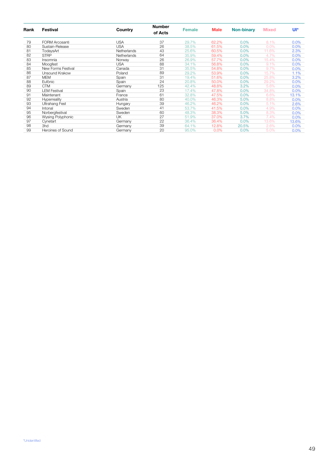| Rank | Festival              | Country     | <b>Number</b><br>of Acts | <b>Female</b> | <b>Male</b> | <b>Non-binary</b> | <b>Mixed</b> | Ul*   |
|------|-----------------------|-------------|--------------------------|---------------|-------------|-------------------|--------------|-------|
| 79   | <b>FORM Arcosanti</b> | <b>USA</b>  | 37                       | 29.7%         | 62.2%       | 0.0%              | 8.1%         | 0.0%  |
| 80   | Sustain-Release       | <b>USA</b>  | 26                       | 38.5%         | 61.5%       | 0.0%              | 0.0%         | 0.0%  |
| 81   | TodaysArt             | Netherlands | 43                       | 25.6%         | 60.5%       | 0.0%              | 11.6%        | 2.3%  |
| 82   | <b>STRP</b>           | Netherlands | 64                       | 35.9%         | 59.4%       | 0.0%              | 4.7%         | 0.0%  |
| 83   | Insomnia              | Norway      | 26                       | 26.9%         | 57.7%       | 0.0%              | 15.4%        | 0.0%  |
| 84   | Moogfest              | <b>USA</b>  | 88                       | 34.1%         | 56.8%       | 0.0%              | 9.1%         | 0.0%  |
| 85   | New Forms Festival    | Canada      | 31                       | 35.5%         | 54.8%       | 0.0%              | 9.7%         | 0.0%  |
| 86   | Unsound Krakow        | Poland      | 89                       | 29.2%         | 53.9%       | 0.0%              | 15.7%        | 1.1%  |
| 87   | <b>MEM</b>            | Spain       | 31                       | 19.4%         | 51.6%       | 0.0%              | 25.8%        | 3.2%  |
| 88   | Eufònic               | Spain       | 24                       | 20.8%         | 50.0%       | 0.0%              | 29.2%        | 0.0%  |
| 89   | <b>CTM</b>            | Germany     | 125                      | 42.4%         | 48.8%       | 3.2%              | 5.6%         | 0.0%  |
| 90   | <b>LEM Festival</b>   | Spain       | 23                       | 17.4%         | 47.8%       | 0.0%              | 34.8%        | 0.0%  |
| 91   | Maintenant            | France      | 61                       | 32.8%         | 47.5%       | 0.0%              | 6.6%         | 13.1% |
| 92   | Hyperreality          | Austria     | 80                       | 40.0%         | 46.3%       | 5.0%              | 8.8%         | 0.0%  |
| 93   | <b>Ultrahang Fest</b> | Hungary     | 39                       | 46.2%         | 46.2%       | 0.0%              | 5.1%         | 2.6%  |
| 94   | Intonal               | Sweden      | 41                       | 53.7%         | 41.5%       | 0.0%              | 4.9%         | 0.0%  |
| 95   | Norbergfestival       | Sweden      | 60                       | 48.3%         | 38.3%       | 5.0%              | 8.3%         | 0.0%  |
| 96   | Wysing Polyphonic     | UK          | 27                       | 51.9%         | 37.0%       | 3.7%              | 7.4%         | 0.0%  |
| 97   | Cynetart              | Germany     | 22                       | 36.4%         | 36.4%       | 0.0%              | 13.6%        | 13.6% |
| 98   | 3hd                   | Germany     | 39                       | 64.1%         | 12.8%       | 20.5%             | 2.6%         | 0.0%  |
| 99   | Heroines of Sound     | Germany     | 20                       | 95.0%         | 0.0%        | 0.0%              | 5.0%         | 0.0%  |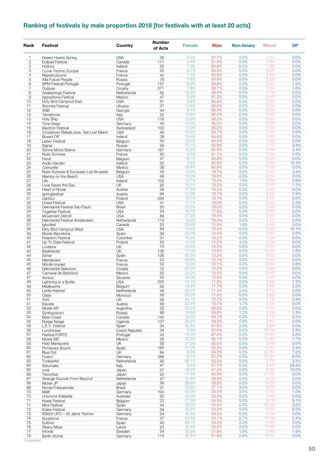## **Ranking of festivals by male proportion 2018 [for festivals with at least 20 acts]**

| Rank                | Festival                                    | Country              | <b>Number</b><br>of Acts | <b>Female</b>  | <b>Male</b>    | <b>Non-binary</b> | <b>Mixed</b>   | Ul*           |
|---------------------|---------------------------------------------|----------------------|--------------------------|----------------|----------------|-------------------|----------------|---------------|
| 1                   | Desert Hearts Spring                        | <b>USA</b>           | 36                       | 8.3%           | 91.7%          | 0.0%              | 0.0%           | 0.0%          |
| $\mathbf{2}$        | <b>Eclipse Festival</b>                     | Canada               | 111                      | 5.4%           | 91.0%          | 0.0%              | 3.6%           | 0.0%          |
| 3                   | Hotbox                                      | Ireland              | 55                       | 7.3%           | 90.9%          | 0.0%              | 1.8%           | 0.0%          |
| 3<br>$\overline{4}$ | I Love Techno Europe                        | France<br>France     | 22<br>42                 | 9.1%<br>7.1%   | 90.9%<br>90.5% | 0.0%<br>0.0%      | 0.0%<br>2.4%   | 0.0%<br>0.0%  |
| 5                   | Reperkusound<br>Alfa Future People          | Russia               | 79                       | 7.6%           | 89.9%          | 0.0%              | 2.5%           | 0.0%          |
| 6                   | <b>BPM Festival Portugal</b>                | Portugal             | 157                      | 8.9%           | 89.8%          | 0.0%              | 0.0%           | 1.3%          |
| $\overline{7}$      | Outlook                                     | Croatia              | 371                      | 7.8%           | 88.7%          | 0.5%              | 1.3%           | 1.6%          |
| 8                   | Awakenings Festival                         | Netherlands          | 95                       | 10.5%          | 88.4%          | 0.0%              | 1.1%           | 0.0%          |
| 9                   | <b>Apparitions Festival</b>                 | Mexico               | 47                       | 6.4%           | 87.2%          | 0.0%              | 6.4%           | 0.0%          |
| 10                  | Dirty Bird Campout East                     | <b>USA</b>           | 61                       | 9.8%<br>13.5%  | 86.9%<br>86.5% | 0.0%<br>0.0%      | 0.0%           | 3.3%          |
| 11<br>12            | Strichka Festival<br>4GB                    | Ukraine<br>Georgia   | 37<br>44                 | 9.1%           | 86.4%          | 0.0%              | 0.0%<br>0.0%   | 0.0%<br>4.5%  |
| 12                  | Terraforma                                  | Italy                | 22                       | 13.6%          | 86.4%          | 0.0%              | 0.0%           | 0.0%          |
| 13                  | Holy Ship                                   | <b>USA</b>           | 116                      | 13.8%          | 86.2%          | 0.0%              | 0.0%           | 0.0%          |
| 14                  | Time Warp                                   | Germany              | 43                       | 14.0%          | 86.0%          | 0.0%              | 0.0%           | 0.0%          |
| 15                  | <b>Electron Festival</b>                    | Switzerland          | 100                      | 11.0%          | 86.0%          | 0.0%              | 3.0%           | 0.0%          |
| 16                  | Crosstown Rebels pres. Get Lost Miami       | <b>USA</b>           | 49                       | 14.3%          | 85.7%          | 0.0%              | 0.0%           | 0.0%          |
| 17<br>18            | Boxed Off                                   | Ireland              | 39<br>50                 | 15.4%<br>12.0% | 84.6%<br>84.0% | 0.0%              | 0.0%<br>4.0%   | 0.0%          |
| 19                  | Listen Festival<br>Signal                   | Belgium<br>Russia    | 58                       | 12.1%          | 82.8%          | 0.0%<br>0.0%      | 1.7%           | 0.0%<br>3.4%  |
| 20                  | Sonne Mond Sterne                           | Germany              | 167                      | 10.2%          | 82.0%          | 0.0%              | 5.4%           | 2.4%          |
| 21                  | <b>Nuits Sonores</b>                        | France               | 95                       | 9.5%           | 81.1%          | 0.0%              | 5.3%           | 4.2%          |
| 22                  | Horst                                       | Belgium              | 47                       | 19.1%          | 80.9%          | 0.0%              | 0.0%           | 0.0%          |
| 23                  | Audio Garden                                | Ireland              | 52                       | 3.8%           | 80.8%          | 0.0%              | 0.0%           | 15.4%         |
| 24                  | Comunite                                    | Mexico               | 36                       | 19.4%          | 80.6%          | 0.0%              | 0.0%           | 0.0%          |
| 25                  | Nuits Sonores & European Lab Brussels       | Belgium              | 59                       | 13.6%          | 79.7%          | 0.0%              | 3.4%           | 3.4%          |
| 26                  | Mamby on the Beach                          | <b>USA</b>           | 49                       | 12.2%          | 79.6%          | 0.0%              | 8.2%           | 0.0%          |
| 27                  | Life                                        | Ireland              | 102                      | 13.7%<br>14.1% | 79.4%<br>79.3% | 1.0%<br>0.0%      | 2.0%<br>5.4%   | 3.9%<br>1.1%  |
| 28<br>29            | Love Saves the Day<br><b>Heart of Noise</b> | UK<br>Austria        | 92<br>29                 | 17.2%          | 79.3%          | 0.0%              | 3.4%           | 0.0%          |
| 30                  | springfestival                              | Austria              | 94                       | 10.6%          | 78.7%          | 0.0%              | 3.2%           | 7.4%          |
| 31                  | Garbicz                                     | Poland               | 256                      | 13.7%          | 78.1%          | 0.0%              | 8.2%           | 0.0%          |
| 32                  | <b>Crssd Festival</b>                       | <b>USA</b>           | 41                       | 17.1%          | 78.0%          | 0.0%              | 2.4%           | 2.4%          |
| 33                  | Dekmantel Festival São Paulo                | Brazil               | 50                       | 22.0%          | 78.0%          | 0.0%              | 0.0%           | 0.0%          |
| 34                  | <b>Together Festival</b>                    | <b>USA</b>           | 54                       | 16.7%          | 77.8%          | 0.0%              | 5.6%           | 0.0%          |
| 35                  | Movement Detroit                            | <b>USA</b>           | 89                       | 21.3%          | 76.4%          | 0.0%              | 2.2%           | 0.0%          |
| 36                  | Dekmantel Festival Amsterdam                | Netherlands          | 114                      | 19.3%          | 76.3%          | 0.0%              | 4.4%           | 0.0%          |
| 37                  | Igloofest                                   | Canada               | 53<br>69                 | 22.6%          | 75.5%<br>75.4% | 1.9%<br>0.0%      | 0.0%           | 0.0%<br>10.1% |
| 38<br>39            | Dirty Bird Campout West<br>Mutek Barcelona  | <b>USA</b><br>Spain  | 39                       | 14.5%<br>20.5% | 74.4%          | 0.0%              | 0.0%<br>2.6%   | 2.6%          |
| 40                  | Freedom Festival                            | Colombia             | 31                       | 19.4%          | 74.2%          | 0.0%              | 0.0%           | 6.5%          |
| 41                  | Up To Date Festival                         | Poland               | 50                       | 14.0%          | 74.0%          | 4.0%              | 4.0%           | 4.0%          |
| 42                  | Lovebox                                     | UK                   | 73                       | 20.5%          | 74.0%          | 0.0%              | 5.5%           | 0.0%          |
| 43                  | Beatherder                                  | UK                   | 136                      | 11.0%          | 73.5%          | 0.0%              | 14.0%          | 1.5%          |
| 44                  | Sónar                                       | Spain                | 138                      | 20.3%          | 73.2%          | 0.0%              | 6.5%           | 0.0%          |
| 45                  | Maintenant                                  | France               | 52                       | 26.9%          | 73.1%          | 0.0%              | 0.0%<br>9.6%   | 0.0%          |
| 45<br>46            | Nördik Impakt<br><b>Dekmantel Selectors</b> | France<br>Croatia    | 52<br>72                 | 13.5%<br>25.0% | 73.1%<br>72.2% | 0.0%<br>0.0%      | 2.8%           | 3.8%<br>0.0%  |
| 47                  | Carnaval de Bahidorá                        | Mexico               | 50                       | 20.0%          | 72.0%          | 0.0%              | 8.0%           | 0.0%          |
| 47                  | Sonica                                      | Slovenia             | 25                       | 20.0%          | 72.0%          | 0.0%              | 4.0%           | 4.0%          |
| 48                  | Lightning in a Bottle                       | <b>USA</b>           | 220                      | 14.1%          | 71.8%          | 0.0%              | 6.8%           | 7.3%          |
| 49                  | Meakusma                                    | Belgium              | 92                       | 16.3%          | (1.7%          | $0.0\%$           | $9.8\%$        | $2.2\%$       |
| 50                  | Lente Kabinet                               | Netherlands          | 49                       | 20.4%          | 71.4%          | 2.0%              | 6.1%           | 0.0%          |
| 50                  | Oasis                                       | Morocco              | 56                       | 25.0%          | 71.4%          | 0.0%              | 3.6%           | 0.0%          |
| 51                  | AVA                                         | UK                   | 58                       | 24.1%          | 70.7%          | 0.0%              | 1.7%<br>5.2%   | 3.4%          |
| 51<br>52            | Elevate<br>Mutek AR                         | Austria<br>Argentina | 58<br>53                 | 22.4%<br>24.5% | 70.7%<br>69.8% | 1.7%<br>0.0%      | 5.7%           | 0.0%<br>0.0%  |
| 53                  | Synthposium                                 | Russia               | 86                       | 18.6%          | 69.8%          | 1.2%              | 9.3%           | 1.2%          |
| 54                  | <b>Bass Coast</b>                           | Canada               | 142                      | 19.0%          | 69.7%          | 0.0%              | 2.1%           | 9.2%          |
| 55                  | Nyege Nyege                                 | Uganda               | 107                      | 26.2%          | 69.2%          | 0.9%              | 2.8%           | 0.9%          |
| 56                  | L.E.V. Festival                             | Spain                | 34                       | 20.6%          | 67.6%          | 2.9%              | 8.8%           | 0.0%          |
| 56                  | Lunchmeat                                   | Czech Republic       | 34                       | 5.9%           | 67.6%          | 0.0%              | 23.5%          | 2.9%          |
| 57                  | <b>Festival FORTE</b>                       | Portugal             | 43                       | 14.0%          | 67.4%          | 2.3%              | 14.0%          | 2.3%          |
| 58<br>59            | Mutek MX                                    | Mexico               | 59<br>58                 | 20.3%<br>31.0% | 66.1%<br>65.5% | 0.0%              | 11.9%<br>3.4%  | 1.7%<br>0.0%  |
| 60                  | <b>Field Maneuvers</b><br>Primavera Sound   | UK<br>Spain          | 165                      | 21.2%          | 65.5%          | 0.0%<br>0.6%      | 10.3%          | 2.4%          |
| 61                  | <b>Blue Dot</b>                             | UK                   | 84                       | 9.5%           | 64.3%          | 0.0%              | 25.0%          | 1.2%          |
| 62                  | Fusion                                      | Germany              | 386                      | 9.1%           | 62.2%          | 0.3%              | 22.5%          | 6.0%          |
| 63                  | TodaysArt                                   | Netherlands          | 92                       | 26.1%          | 62.0%          | 0.0%              | 8.7%           | 3.3%          |
| 64                  | Saturnalia                                  | Italy                | 47                       | 8.5%           | 61.7%          | 0.0%              | 6.4%           | 23.4%         |
| 65                  | rural                                       | Japan                | 57                       | 19.3%          | 61.4%          | 0.0%              | 8.8%           | 10.5%         |
| 66                  | Taicoclub                                   | Japan                | 23                       | 17.4%          | 60.9%          | 0.0%              | 21.7%          | 0.0%          |
| 67                  | Strange Sounds From Beyond                  | Netherlands          | 47                       | 31.9%          | 59.6%          | 0.0%              | 8.5%<br>14.3%  | 0.0%          |
| 68<br>69            | Mutek JP<br>Novas Frequencias               | Japan<br>Brazil      | 56<br>21                 | 26.8%<br>23.8% | 58.9%<br>57.1% | 0.0%<br>9.5%      | 9.5%           | 0.0%<br>0.0%  |
| 70                  | Melt!                                       | Germany              | 100                      | 35.0%          | 55.0%          | 2.0%              | 7.0%           | 1.0%          |
| 70                  | Unsound Adelaide                            | Australia            | 20                       | 45.0%          | 55.0%          | 0.0%              | 0.0%           | 0.0%          |
| 71                  | Kraak Festival                              | Belgium              | 22                       | 27.3%          | 54.5%          | 0.0%              | 9.1%           | 9.1%          |
| 71                  | Mira Festival                               | Spain                | 44                       | 25.0%          | 54.5%          | 0.0%              | 20.5%          | 0.0%          |
| 72                  | <b>Krake Festival</b>                       | Germany              | 59                       | 30.5%          | 54.2%          | 0.0%              | 6.8%           | 8.5%          |
| 73                  | S3kt0r UFO - 30 Jahre Techno                | Germany              | 24                       | 45.8%          | 54.2%          | 0.0%              | 0.0%           | 0.0%          |
| 74                  | Scopitone                                   | France               | 37<br>45                 | 24.3%          | 54.1%          | 2.7%              | 13.5%          | 5.4%          |
| 75<br>76            | Eufònic<br>Skanu Mezs                       | Spain<br>Latvia      | 23                       | 26.7%<br>30.4% | 53.3%<br>52.2% | 2.2%<br>0.0%      | 17.8%<br>17.4% | 0.0%<br>0.0%  |
| 77                  | Intonal                                     | Sweden               | 54                       | 38.9%          | 51.9%          | 1.9%              | 5.6%           | 1.9%          |
| 78                  | <b>Berlin Atonal</b>                        | Germany              | 114                      | 32.5%          | 51.8%          | 2.6%              | 13.2%          | 0.0%          |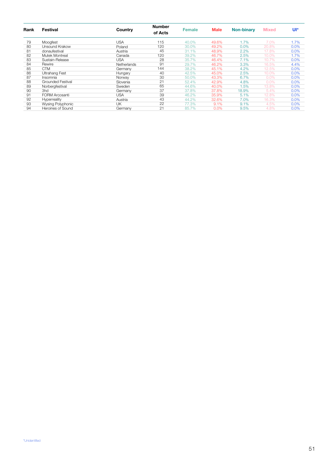| Rank | Festival              | Country     | <b>Number</b><br>of Acts | <b>Female</b> | <b>Male</b> | <b>Non-binary</b> | <b>Mixed</b> | Ul*     |
|------|-----------------------|-------------|--------------------------|---------------|-------------|-------------------|--------------|---------|
| 79   | Moogfest              | USA         | 115                      | 40.0%         | 49.6%       | 1.7%              | 7.0%         | 1.7%    |
| 80   | Unsound Krakow        | Poland      | 120                      | 30.0%         | 49.2%       | $0.0\%$           | 20.8%        | 0.0%    |
| 81   | donaufestival         | Austria     | 45                       | 31.1%         | 48.9%       | 2.2%              | 17.8%        | 0.0%    |
| 82   | Mutek Montreal        | Canada      | 120                      | 39.2%         | 46.7%       | 2.5%              | 10.0%        | 1.7%    |
| 83   | Sustain-Release       | USA         | 28                       | 35.7%         | 46.4%       | 7.1%              | 10.7%        | 0.0%    |
| 84   | Rewire                | Netherlands | 91                       | 29.7%         | 46.2%       | 3.3%              | 16.5%        | 4.4%    |
| 85   | <b>CTM</b>            | Germany     | 144                      | 38.2%         | 45.1%       | 4.2%              | 12.5%        | 0.0%    |
| 86   | Ultrahang Fest        | Hungary     | 40                       | 42.5%         | 45.0%       | 2.5%              | 10.0%        | 0.0%    |
| 87   | Insomnia              | Norway      | 30                       | 50.0%         | 43.3%       | 6.7%              | 0.0%         | 0.0%    |
| 88   | Grounded Festival     | Slovenia    | 21                       | 52.4%         | 42.9%       | 4.8%              | 0.0%         | 0.0%    |
| 89   | Norbergfestival       | Sweden      | 65                       | 44.6%         | 40.0%       | 1.5%              | 13.8%        | 0.0%    |
| 90   | 3hd                   | Germany     | 37                       | 37.8%         | 37.8%       | 18.9%             | 5.4%         | 0.0%    |
| 91   | <b>FORM Arcosanti</b> | <b>USA</b>  | 39                       | 46.2%         | 35.9%       | 5.1%              | 12.8%        | $0.0\%$ |
| 92   | Hyperreality          | Austria     | 43                       | 44.2%         | 32.6%       | 7.0%              | 16.3%        | 0.0%    |
| 93   | Wysing Polyphonic     | UΚ          | 22                       | 77.3%         | 9.1%        | 9.1%              | 4.5%         | 0.0%    |
| 94   | Heroines of Sound     | Germany     | 21                       | 85.7%         | 0.0%        | 9.5%              | 4.8%         | 0.0%    |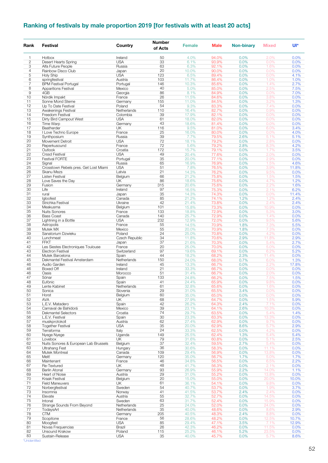## **Ranking of festivals by male proportion 2019 [for festivals with at least 20 acts]**

| Rank                | Festival                                                | Country              | <b>Number</b><br>of Acts | <b>Female</b>  | <b>Male</b>    | <b>Non-binary</b> | <b>Mixed</b>   | Ul*           |
|---------------------|---------------------------------------------------------|----------------------|--------------------------|----------------|----------------|-------------------|----------------|---------------|
| 1                   | Hotbox                                                  | Ireland              | 50                       | 4.0%           | 94.0%          | 0.0%              | 2.0%           | 0.0%          |
| $\mathbf{2}$        | Desert Hearts Spring                                    | <b>USA</b>           | 33                       | 6.1%           | 93.9%          | 0.0%              | 0.0%           | 0.0%          |
| 3                   | Alfa Future People                                      | Russia               | 63                       | 6.3%           | 92.1%          | 0.0%              | 1.6%           | 0.0%          |
| $\overline{4}$<br>5 | Rainbow Disco Club<br>Holy Ship                         | Japan<br><b>USA</b>  | 20<br>123                | 10.0%<br>6.5%  | 90.0%<br>89.4% | 0.0%<br>0.0%      | 0.0%<br>0.0%   | 0.0%<br>4.1%  |
| 6                   | springfestival                                          | Austria              | 103                      | 11.7%          | 86.4%          | 0.0%              | 1.0%           | 1.0%          |
| $\overline{7}$      | <b>BPM Festival Portugal</b>                            | Portugal             | 146                      | 10.3%          | 85.6%          | 0.0%              | 1.4%           | 2.7%          |
| 8                   | <b>Apparitions Festival</b>                             | Mexico               | 40                       | 5.0%           | 85.0%          | 0.0%              | 2.5%           | 7.5%          |
| 9                   | 4GB                                                     | Georgia              | 86                       | 8.1%           | 84.9%          | 0.0%              | 0.0%           | 7.0%          |
| 10                  | Nördik Impakt                                           | France               | 26                       | 11.5%          | 84.6%          | 0.0%              | 3.8%           | 0.0%          |
| 11<br>12            | Sonne Mond Sterne<br>Up To Date Festival                | Germany<br>Poland    | 155<br>54                | 11.0%<br>9.3%  | 84.5%<br>83.3% | 0.0%<br>0.0%      | 3.2%<br>7.4%   | 1.3%<br>0.0%  |
| 13                  | Awakenings Festival                                     | Netherlands          | 110                      | 16.4%          | 82.7%          | 0.0%              | 0.9%           | 0.0%          |
| 14                  | Freedom Festival                                        | Colombia             | 39                       | 17.9%          | 82.1%          | 0.0%              | 0.0%           | 0.0%          |
| 15                  | Dirty Bird Campout West                                 | <b>USA</b>           | 61                       | 18.0%          | 82.0%          | 0.0%              | 0.0%           | 0.0%          |
| 16                  | Time Warp                                               | Germany              | 43                       | 18.6%          | 81.4%          | 0.0%              | 0.0%           | 0.0%          |
| 17                  | Beatherder                                              | UK                   | 116                      | 9.5%           | 81.0%          | 0.0%              | 6.0%           | 3.4%          |
| 18                  | I Love Techno Europe                                    | France               | 25                       | 16.0%          | 80.0%          | 0.0%              | 0.0%           | 4.0%          |
| 19                  | Synthposium                                             | Russia               | 39                       | 7.7%           | 79.5%          | 2.6%              | 5.1%           | 5.1%          |
| 20<br>20            | Movement Detroit<br>Reperkusound                        | <b>USA</b><br>France | 72<br>72                 | 18.1%<br>5.6%  | 79.2%<br>79.2% | 0.0%<br>2.8%      | 2.8%<br>8.3%   | 0.0%<br>4.2%  |
| 21                  | Outlook                                                 | Croatia              | 172                      | 15.7%          | 79.1%          | 0.0%              | 1.7%           | 3.5%          |
| 22                  | <b>Crssd Festival</b>                                   | <b>USA</b>           | 49                       | 20.4%          | 77.6%          | 0.0%              | 2.0%           | 0.0%          |
| 23                  | <b>Festival FORTE</b>                                   | Portugal             | 35                       | 20.0%          | 77.1%          | 0.0%              | 2.9%           | 0.0%          |
| 24                  | Signal                                                  | Russia               | 65                       | 16.9%          | 76.9%          | 0.0%              | 1.5%           | 4.6%          |
| 25                  | Crosstown Rebels pres. Get Lost Miami                   | <b>USA</b>           | 51                       | 7.8%           | 76.5%          | 0.0%              | 3.9%           | 11.8%         |
| 26                  | Skanu Mezs                                              | Latvia               | 21                       | 14.3%          | 76.2%          | 0.0%              | 9.5%           | 0.0%          |
| 27                  | <b>Listen Festival</b>                                  | Belgium              | 66                       | 21.2%          | 75.8%          | 0.0%              | 1.5%           | 1.5%          |
| 28                  | Love Saves the Day                                      | UK                   | 86                       | 18.6%          | 75.6%          | 0.0%              | 4.7%           | 1.2%          |
| 29                  | Fusion                                                  | Germany              | 315                      | 20.6%          | 75.6%          | 0.0%              | 2.2%           | 1.6%          |
| 30<br>31            | Life<br>rural                                           | Ireland<br>Japan     | 97<br>35                 | 16.5%<br>14.3% | 75.3%<br>74.3% | 0.0%<br>0.0%      | 2.1%<br>0.0%   | 6.2%<br>11.4% |
| 32                  | Igloofest                                               | Canada               | 85                       | 21.2%          | 74.1%          | 1.2%              | 1.2%           | 2.4%          |
| 33                  | Strichka Festival                                       | Ukraine              | 42                       | 21.4%          | 73.8%          | 0.0%              | 2.4%           | 2.4%          |
| 34                  | Meakusma                                                | Belgium              | 101                      | 15.8%          | 73.3%          | 0.0%              | 10.9%          | 0.0%          |
| 35                  | <b>Nuits Sonores</b>                                    | France               | 133                      | 18.8%          | 72.9%          | 0.0%              | 5.3%           | 3.0%          |
| 36                  | <b>Bass Coast</b>                                       | Canada               | 140                      | 25.7%          | 72.9%          | 0.0%              | 1.4%           | 0.0%          |
| 37                  | Lightning in a Bottle                                   | <b>USA</b>           | 232                      | 12.9%          | 72.0%          | 0.0%              | 9.5%           | 5.6%          |
| 38                  | Astropolis                                              | France               | 55                       | 14.5%          | 70.9%          | 1.8%              | 7.3%           | 5.5%          |
| 38<br>39            | Mutek MX<br>Sanatorium Dzwieku                          | Mexico<br>Poland     | 55<br>24                 | 20.0%<br>25.0% | 70.9%<br>70.8% | 1.8%<br>0.0%      | 7.3%<br>4.2%   | 0.0%<br>0.0%  |
| 40                  | Lunchmeat                                               | Czech Republic       | 34                       | 11.8%          | 70.6%          | 2.9%              | 11.8%          | 2.9%          |
| 41                  | <b>FFKT</b>                                             | Japan                | 37                       | 21.6%          | 70.3%          | 0.0%              | 5.4%           | 2.7%          |
| 42                  | Les Siestes Electroniques Toulouse                      | France               | 20                       | 25.0%          | 70.0%          | 0.0%              | 5.0%           | 0.0%          |
| 43                  | <b>Electron Festival</b>                                | Switzerland          | 97                       | 19.6%          | 69.1%          | 0.0%              | 6.2%           | 5.2%          |
| 44                  | Mutek Barcelona                                         | Spain                | 44                       | 18.2%          | 68.2%          | 2.3%              | 11.4%          | 0.0%          |
| 45                  | Dekmantel Festival Amsterdam                            | Netherlands          | 150                      | 24.0%          | 68.0%          | 0.7%              | 6.0%           | 1.3%          |
| 46<br>46            | Audio Garden<br>Boxed Off                               | Ireland<br>Ireland   | 45<br>21                 | 13.3%<br>33.3% | 66.7%<br>66.7% | 0.0%<br>0.0%      | 2.2%<br>0.0%   | 17.8%<br>0.0% |
| 46                  | Oasis                                                   | Morocco              | 51                       | 31.4%          | 66.7%          | 0.0%              | 2.0%           | 0.0%          |
| 47                  | Sónar                                                   | Spain                | 133                      | 24.8%          | 66.2%          | 0.0%              | 7.5%           | 1.5%          |
| 48                  | Eufònic                                                 | Spain                | 41                       | 24.4%          | 65.9%          | 0.0%              | 9.8%           | 0.0%          |
| 49                  | Lente Kabinet                                           | Netherlands          | 61                       | 32.8%          | 65.6%          | 0.0%              | 1.6%           | 0.0%          |
| 50                  | Sonica                                                  | Slovenia             | 29                       | 31.0%          | 65.5%          | 3.4%              | 0.0%           | 0.0%          |
| 51                  | Horst                                                   | Belgium              | 60                       | 35.0%          | 65.0%          | 0.0%              | 0.0%           | 0.0%          |
| 52                  | AVA                                                     | UK                   | 68                       | 27.9%          | 64.7%          | 0.0%              | 1.5%           | 5.9%          |
| 53                  | L.E.V. Matadero                                         | Spain<br>Mexico      | 42                       | 26.2%          | 64.3%          | 2.4%              | 7.1%           | 0.0%          |
| 54<br>55            | Carnaval de Bahidorá<br><b>Dekmantel Selectors</b>      | Croatia              | 39<br>74                 | 23.1%<br>29.7% | 64.1%<br>63.5% | 2.6%<br>0.0%      | 10.3%<br>5.4%  | 0.0%<br>1.4%  |
| 56                  | L.E.V. Festival                                         | Spain                | 30                       | 23.3%          | 63.3%          | 0.0%              | 13.3%          | 0.0%          |
| 57                  | musikprotokoll                                          | Austria              | 62                       | 27.4%          | 62.9%          | 0.0%              | 9.7%           | 0.0%          |
| 58                  | <b>Together Festival</b>                                | <b>USA</b>           | 35                       | 20.0%          | 62.9%          | 8.6%              | 5.7%           | 2.9%          |
| 59                  | Terraforma                                              | Italy                | 24                       | 33.3%          | 62.5%          | 0.0%              | 4.2%           | 0.0%          |
| 60                  | Nyege Nyege                                             | Uganda               | 149                      | 25.5%          | 62.4%          | 1.3%              | 5.4%           | 5.4%          |
| 61                  | Lovebox                                                 | UK                   | 79                       | 31.6%          | 60.8%          | 0.0%              | 5.1%           | 2.5%          |
| 62                  | Nuits Sonores & European Lab Brussels<br>Ultrahang Fest | Belgium              | 37<br>36                 | 32.4%<br>30.6% | 59.5%<br>58.3% | 2.7%              | 5.4%<br>11.1%  | 0.0%          |
| 63<br>64            | Mutek Montreal                                          | Hungary<br>Canada    | 109                      | 29.4%          | 56.9%          | 0.0%<br>0.0%      | 13.8%          | 0.0%<br>0.0%  |
| 65                  | Melt!                                                   | Germany              | 120                      | 35.0%          | 56.7%          | 1.7%              | 5.0%           | 1.7%          |
| 66                  | Maintenant                                              | France               | 46                       | 34.8%          | 56.5%          | 0.0%              | 6.5%           | 2.2%          |
| 67                  | Re-Textured                                             | UK                   | 48                       | 41.7%          | 56.3%          | 0.0%              | 2.1%           | 0.0%          |
| 68                  | <b>Berlin Atonal</b>                                    | Germany              | 93                       | 26.9%          | 55.9%          | 2.2%              | 14.0%          | 1.1%          |
| 69                  | Heart of Noise                                          | Austria              | 29                       | 31.0%          | 55.2%          | 0.0%              | 13.8%          | 0.0%          |
| 70                  | Kraak Festival                                          | Belgium              | 20                       | 15.0%          | 55.0%          | 0.0%              | 20.0%          | 10.0%         |
| 71                  | <b>Field Maneuvers</b>                                  | UK                   | 61                       | 36.1%          | 54.1%          | 0.0%              | 9.8%           | 0.0%          |
| 72<br>73            | Norbergfestival                                         | Sweden<br>Norway     | 54<br>41                 | 40.7%          | 53.7%          | 0.0%              | 1.9%           | 3.7%          |
| 74                  | Insomnia<br>Elevate                                     | Austria              | 55                       | 41.5%<br>32.7% | 53.7%<br>52.7% | 2.4%<br>0.0%      | 2.4%<br>14.5%  | 0.0%<br>0.0%  |
| 75                  | Intonal                                                 | Sweden               | 63                       | 31.7%          | 52.4%          | 0.0%              | 15.9%          | 0.0%          |
| 76                  | Strange Sounds From Beyond                              | Netherlands          | 25                       | 24.0%          | 52.0%          | 0.0%              | 24.0%          | 0.0%          |
| 77                  | TodaysArt                                               | Netherlands          | 35                       | 40.0%          | 48.6%          | 0.0%              | 8.6%           | 2.9%          |
| 78                  | <b>CTM</b>                                              | Germany              | 205                      | 40.5%          | 48.3%          | 2.4%              | 8.8%           | 0.0%          |
| 79                  | Scopitone                                               | France               | 56                       | 28.6%          | 48.2%          | 0.0%              | 12.5%          | 10.7%         |
| 80                  | Moogfest                                                | <b>USA</b>           | 85                       | 29.4%          | 47.1%          | 3.5%              | 7.1%           | 12.9%         |
| 81<br>82            | Novas Frequencias<br>Unsound Krakow                     | Brazil<br>Poland     | 26<br>115                | 42.3%<br>25.2% | 46.2%          | 0.0%<br>5.2%      | 11.5%<br>23.5% | 0.0%          |
| 83                  | Sustain-Release                                         | <b>USA</b>           | 35                       | 40.0%          | 46.1%<br>45.7% | 0.0%              | 5.7%           | 0.0%<br>8.6%  |
|                     |                                                         |                      |                          |                |                |                   |                |               |